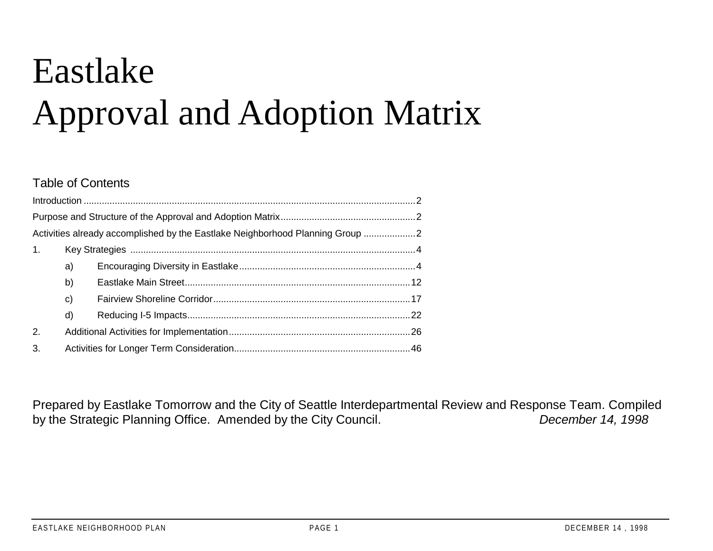# Eastlake Approval and Adoption Matrix

#### Table of Contents

|    |    | Activities already accomplished by the Eastlake Neighborhood Planning Group |  |  |  |  |  |  |  |
|----|----|-----------------------------------------------------------------------------|--|--|--|--|--|--|--|
| 1. |    |                                                                             |  |  |  |  |  |  |  |
|    | a) |                                                                             |  |  |  |  |  |  |  |
|    | b) |                                                                             |  |  |  |  |  |  |  |
|    | c) |                                                                             |  |  |  |  |  |  |  |
|    | d) |                                                                             |  |  |  |  |  |  |  |
| 2. |    |                                                                             |  |  |  |  |  |  |  |
| 3. |    |                                                                             |  |  |  |  |  |  |  |

Prepared by Eastlake Tomorrow and the City of Seattle Interdepartmental Review and Response Team. Compiled by the Strategic Planning Office. Amended by the City Council. *December 14, 1998*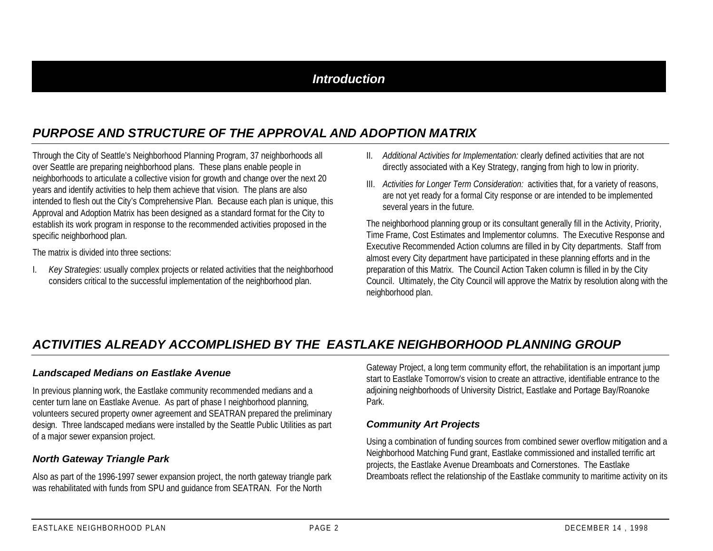## *Introduction*

## *PURPOSE AND STRUCTURE OF THE APPROVAL AND ADOPTION MATRIX*

Through the City of Seattle's Neighborhood Planning Program, 37 neighborhoods all over Seattle are preparing neighborhood plans. These plans enable people in neighborhoods to articulate a collective vision for growth and change over the next 20 years and identify activities to help them achieve that vision. The plans are also intended to flesh out the City's Comprehensive Plan. Because each plan is unique, this Approval and Adoption Matrix has been designed as a standard format for the City to establish its work program in response to the recommended activities proposed in the specific neighborhood plan.

The matrix is divided into three sections:

I. *Key Strategies*: usually complex projects or related activities that the neighborhood considers critical to the successful implementation of the neighborhood plan.

- II. *Additional Activities for Implementation:* clearly defined activities that are not directly associated with a Key Strategy, ranging from high to low in priority.
- III. *Activities for Longer Term Consideration:* activities that, for a variety of reasons, are not yet ready for a formal City response or are intended to be implemented several years in the future.

The neighborhood planning group or its consultant generally fill in the Activity, Priority, Time Frame, Cost Estimates and Implementor columns. The Executive Response and Executive Recommended Action columns are filled in by City departments. Staff from almost every City department have participated in these planning efforts and in the preparation of this Matrix. The Council Action Taken column is filled in by the City Council. Ultimately, the City Council will approve the Matrix by resolution along with the neighborhood plan.

## *ACTIVITIES ALREADY ACCOMPLISHED BY THE EASTLAKE NEIGHBORHOOD PLANNING GROUP*

#### *Landscaped Medians on Eastlake Avenue*

In previous planning work, the Eastlake community recommended medians and a center turn lane on Eastlake Avenue. As part of phase I neighborhood planning, volunteers secured property owner agreement and SEATRAN prepared the preliminary design. Three landscaped medians were installed by the Seattle Public Utilities as part of a major sewer expansion project.

#### *North Gateway Triangle Park*

Also as part of the 1996-1997 sewer expansion project, the north gateway triangle park was rehabilitated with funds from SPU and guidance from SEATRAN. For the North

Gateway Project, a long term community effort, the rehabilitation is an important jump start to Eastlake Tomorrow's vision to create an attractive, identifiable entrance to the adjoining neighborhoods of University District, Eastlake and Portage Bay/Roanoke Park.

#### *Community Art Projects*

Using a combination of funding sources from combined sewer overflow mitigation and a Neighborhood Matching Fund grant, Eastlake commissioned and installed terrific art projects, the Eastlake Avenue Dreamboats and Cornerstones. The Eastlake Dreamboats reflect the relationship of the Eastlake community to maritime activity on its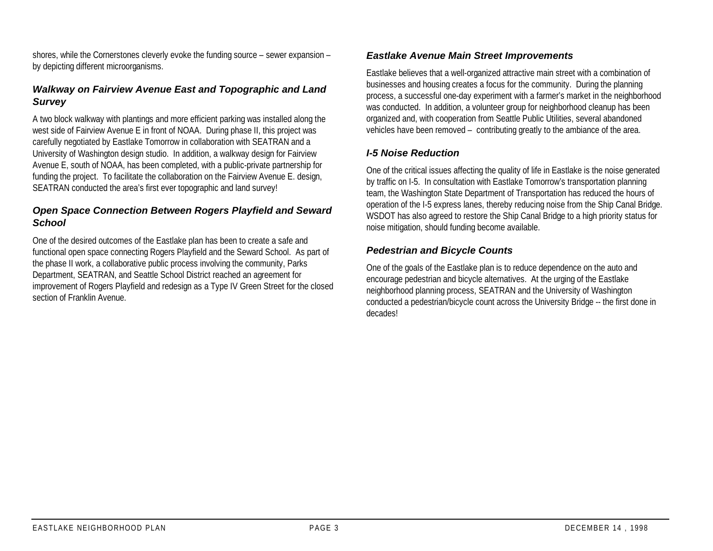shores, while the Cornerstones cleverly evoke the funding source – sewer expansion – by depicting different microorganisms.

#### *Walkway on Fairview Avenue East and Topographic and Land Survey*

A two block walkway with plantings and more efficient parking was installed along the west side of Fairview Avenue E in front of NOAA. During phase II, this project was carefully negotiated by Eastlake Tomorrow in collaboration with SEATRAN and a University of Washington design studio. In addition, a walkway design for Fairview Avenue E, south of NOAA, has been completed, with a public-private partnership for funding the project. To facilitate the collaboration on the Fairview Avenue E. design, SEATRAN conducted the area's first ever topographic and land survey!

#### *Open Space Connection Between Rogers Playfield and Seward School*

One of the desired outcomes of the Eastlake plan has been to create a safe and functional open space connecting Rogers Playfield and the Seward School. As part of the phase II work, a collaborative public process involving the community, Parks Department, SEATRAN, and Seattle School District reached an agreement for improvement of Rogers Playfield and redesign as a Type IV Green Street for the closed section of Franklin Avenue.

#### *Eastlake Avenue Main Street Improvements*

Eastlake believes that a well-organized attractive main street with a combination of businesses and housing creates a focus for the community. During the planning process, a successful one-day experiment with a farmer's market in the neighborhood was conducted. In addition, a volunteer group for neighborhood cleanup has been organized and, with cooperation from Seattle Public Utilities, several abandoned vehicles have been removed – contributing greatly to the ambiance of the area.

#### *I-5 Noise Reduction*

One of the critical issues affecting the quality of life in Eastlake is the noise generated by traffic on I-5. In consultation with Eastlake Tomorrow's transportation planning team, the Washington State Department of Transportation has reduced the hours of operation of the I-5 express lanes, thereby reducing noise from the Ship Canal Bridge. WSDOT has also agreed to restore the Ship Canal Bridge to a high priority status for noise mitigation, should funding become available.

#### *Pedestrian and Bicycle Counts*

One of the goals of the Eastlake plan is to reduce dependence on the auto and encourage pedestrian and bicycle alternatives. At the urging of the Eastlake neighborhood planning process, SEATRAN and the University of Washington conducted a pedestrian/bicycle count across the University Bridge -- the first done in decades!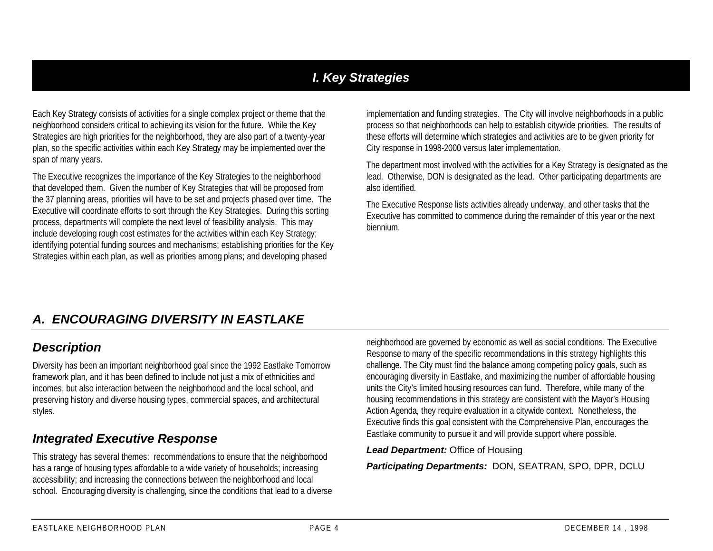## *I. Key Strategies*

Each Key Strategy consists of activities for a single complex project or theme that the neighborhood considers critical to achieving its vision for the future. While the Key Strategies are high priorities for the neighborhood, they are also part of a twenty-year plan, so the specific activities within each Key Strategy may be implemented over the span of many years.

The Executive recognizes the importance of the Key Strategies to the neighborhood that developed them. Given the number of Key Strategies that will be proposed from the 37 planning areas, priorities will have to be set and projects phased over time. The Executive will coordinate efforts to sort through the Key Strategies. During this sorting process, departments will complete the next level of feasibility analysis. This may include developing rough cost estimates for the activities within each Key Strategy; identifying potential funding sources and mechanisms; establishing priorities for the Key Strategies within each plan, as well as priorities among plans; and developing phased

implementation and funding strategies. The City will involve neighborhoods in a public process so that neighborhoods can help to establish citywide priorities. The results of these efforts will determine which strategies and activities are to be given priority for City response in 1998-2000 versus later implementation.

The department most involved with the activities for a Key Strategy is designated as the lead. Otherwise, DON is designated as the lead. Other participating departments are also identified.

The Executive Response lists activities already underway, and other tasks that the Executive has committed to commence during the remainder of this year or the next biennium.

## *A. ENCOURAGING DIVERSITY IN EASTLAKE*

#### *Description*

Diversity has been an important neighborhood goal since the 1992 Eastlake Tomorrow framework plan, and it has been defined to include not just a mix of ethnicities and incomes, but also interaction between the neighborhood and the local school, and preserving history and diverse housing types, commercial spaces, and architectural styles.

## *Integrated Executive Response*

This strategy has several themes: recommendations to ensure that the neighborhood has a range of housing types affordable to a wide variety of households; increasing accessibility; and increasing the connections between the neighborhood and local school. Encouraging diversity is challenging, since the conditions that lead to a diverse neighborhood are governed by economic as well as social conditions. The Executive Response to many of the specific recommendations in this strategy highlights this challenge. The City must find the balance among competing policy goals, such as encouraging diversity in Eastlake, and maximizing the number of affordable housing units the City's limited housing resources can fund. Therefore, while many of the housing recommendations in this strategy are consistent with the Mayor's Housing Action Agenda, they require evaluation in a citywide context. Nonetheless, the Executive finds this goal consistent with the Comprehensive Plan, encourages the Eastlake community to pursue it and will provide support where possible.

*Lead Department:* Office of Housing

*Participating Departments:* DON, SEATRAN, SPO, DPR, DCLU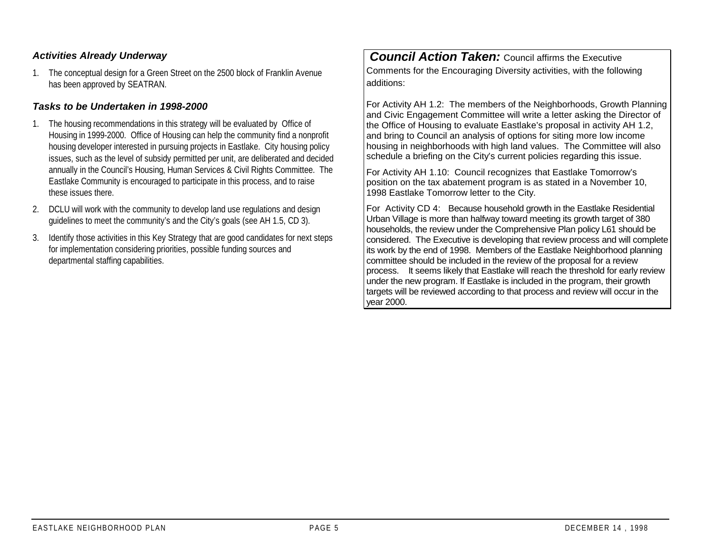#### *Activities Already Underway*

1. The conceptual design for a Green Street on the 2500 block of Franklin Avenue has been approved by SEATRAN.

#### *Tasks to be Undertaken in 1998-2000*

- 1. The housing recommendations in this strategy will be evaluated by Office of Housing in 1999-2000. Office of Housing can help the community find a nonprofit housing developer interested in pursuing projects in Eastlake. City housing policy issues, such as the level of subsidy permitted per unit, are deliberated and decided annually in the Council's Housing, Human Services & Civil Rights Committee. The Eastlake Community is encouraged to participate in this process, and to raise these issues there.
- 2. DCLU will work with the community to develop land use regulations and design guidelines to meet the community's and the City's goals (see AH 1.5, CD 3).
- 3. Identify those activities in this Key Strategy that are good candidates for next steps for implementation considering priorities, possible funding sources and departmental staffing capabilities.

*Council Action Taken: Council affirms the Executive* Comments for the Encouraging Diversity activities, with the following additions:

For Activity AH 1.2: The members of the Neighborhoods, Growth Planning and Civic Engagement Committee will write a letter asking the Director of the Office of Housing to evaluate Eastlake's proposal in activity AH 1.2, and bring to Council an analysis of options for siting more low income housing in neighborhoods with high land values. The Committee will also schedule a briefing on the City's current policies regarding this issue.

For Activity AH 1.10: Council recognizes that Eastlake Tomorrow's position on the tax abatement program is as stated in a November 10, 1998 Eastlake Tomorrow letter to the City.

For Activity CD 4: Because household growth in the Eastlake Residential Urban Village is more than halfway toward meeting its growth target of 380 households, the review under the Comprehensive Plan policy L61 should be considered. The Executive is developing that review process and will complete its work by the end of 1998. Members of the Eastlake Neighborhood planning committee should be included in the review of the proposal for a review process. It seems likely that Eastlake will reach the threshold for early review under the new program. If Eastlake is included in the program, their growth targets will be reviewed according to that process and review will occur in the year 2000.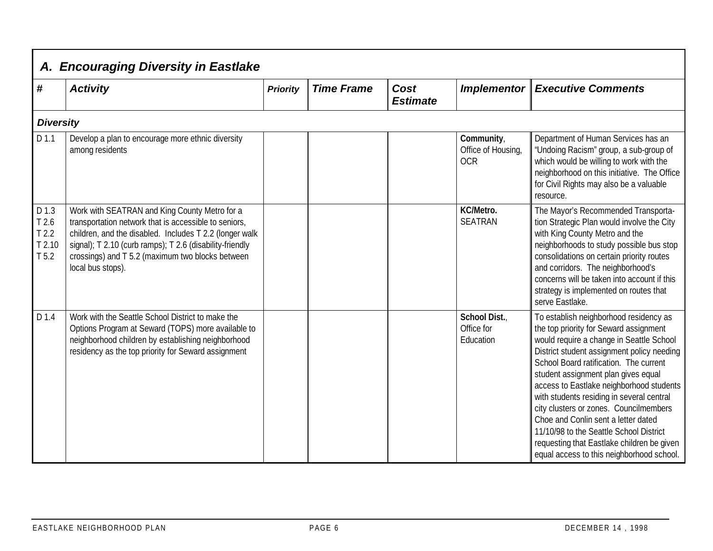| #                                                               | <b>Activity</b>                                                                                                                                                                                                                                                                                        | <b>Priority</b> | <b>Time Frame</b> | Cost<br><b>Estimate</b> | <b>Implementor</b>                             | <b>Executive Comments</b>                                                                                                                                                                                                                                                                                                                                                                                                                                                                                                                                                   |
|-----------------------------------------------------------------|--------------------------------------------------------------------------------------------------------------------------------------------------------------------------------------------------------------------------------------------------------------------------------------------------------|-----------------|-------------------|-------------------------|------------------------------------------------|-----------------------------------------------------------------------------------------------------------------------------------------------------------------------------------------------------------------------------------------------------------------------------------------------------------------------------------------------------------------------------------------------------------------------------------------------------------------------------------------------------------------------------------------------------------------------------|
| <b>Diversity</b>                                                |                                                                                                                                                                                                                                                                                                        |                 |                   |                         |                                                |                                                                                                                                                                                                                                                                                                                                                                                                                                                                                                                                                                             |
| D 1.1                                                           | Develop a plan to encourage more ethnic diversity<br>among residents                                                                                                                                                                                                                                   |                 |                   |                         | Community,<br>Office of Housing,<br><b>OCR</b> | Department of Human Services has an<br>'Undoing Racism" group, a sub-group of<br>which would be willing to work with the<br>neighborhood on this initiative. The Office<br>for Civil Rights may also be a valuable<br>resource.                                                                                                                                                                                                                                                                                                                                             |
| D 1.3<br>T 2.6<br>T <sub>2.2</sub><br>T2.10<br>T <sub>5.2</sub> | Work with SEATRAN and King County Metro for a<br>transportation network that is accessible to seniors,<br>children, and the disabled. Includes T 2.2 (longer walk<br>signal); T 2.10 (curb ramps); T 2.6 (disability-friendly<br>crossings) and T 5.2 (maximum two blocks between<br>local bus stops). |                 |                   |                         | KC/Metro.<br><b>SEATRAN</b>                    | The Mayor's Recommended Transporta-<br>tion Strategic Plan would involve the City<br>with King County Metro and the<br>neighborhoods to study possible bus stop<br>consolidations on certain priority routes<br>and corridors. The neighborhood's<br>concerns will be taken into account if this<br>strategy is implemented on routes that<br>serve Eastlake.                                                                                                                                                                                                               |
| D 1.4                                                           | Work with the Seattle School District to make the<br>Options Program at Seward (TOPS) more available to<br>neighborhood children by establishing neighborhood<br>residency as the top priority for Seward assignment                                                                                   |                 |                   |                         | School Dist.<br>Office for<br>Education        | To establish neighborhood residency as<br>the top priority for Seward assignment<br>would require a change in Seattle School<br>District student assignment policy needing<br>School Board ratification. The current<br>student assignment plan gives equal<br>access to Eastlake neighborhood students<br>with students residing in several central<br>city clusters or zones. Councilmembers<br>Choe and Conlin sent a letter dated<br>11/10/98 to the Seattle School District<br>requesting that Eastlake children be given<br>equal access to this neighborhood school. |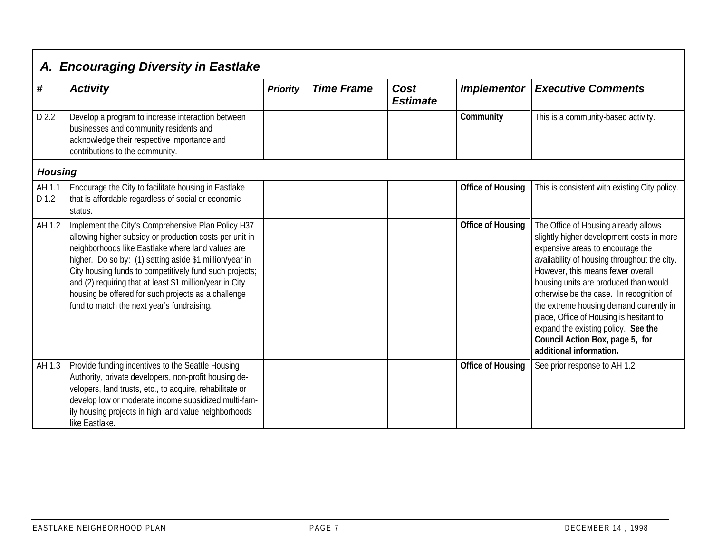|                 | A. Encouraging Diversity in Eastlake                                                                                                                                                                                                                                                                                                                                                                                                                      |                 |                   |                         |                          |                                                                                                                                                                                                                                                                                                                                                                                                                                                                                            |  |  |
|-----------------|-----------------------------------------------------------------------------------------------------------------------------------------------------------------------------------------------------------------------------------------------------------------------------------------------------------------------------------------------------------------------------------------------------------------------------------------------------------|-----------------|-------------------|-------------------------|--------------------------|--------------------------------------------------------------------------------------------------------------------------------------------------------------------------------------------------------------------------------------------------------------------------------------------------------------------------------------------------------------------------------------------------------------------------------------------------------------------------------------------|--|--|
| #               | <b>Activity</b>                                                                                                                                                                                                                                                                                                                                                                                                                                           | <b>Priority</b> | <b>Time Frame</b> | Cost<br><b>Estimate</b> | <b>Implementor</b>       | <b>Executive Comments</b>                                                                                                                                                                                                                                                                                                                                                                                                                                                                  |  |  |
| D 2.2           | Develop a program to increase interaction between<br>businesses and community residents and<br>acknowledge their respective importance and<br>contributions to the community.                                                                                                                                                                                                                                                                             |                 |                   |                         | Community                | This is a community-based activity.                                                                                                                                                                                                                                                                                                                                                                                                                                                        |  |  |
| <b>Housing</b>  |                                                                                                                                                                                                                                                                                                                                                                                                                                                           |                 |                   |                         |                          |                                                                                                                                                                                                                                                                                                                                                                                                                                                                                            |  |  |
| AH 1.1<br>D 1.2 | Encourage the City to facilitate housing in Eastlake<br>that is affordable regardless of social or economic<br>status.                                                                                                                                                                                                                                                                                                                                    |                 |                   |                         | Office of Housing        | This is consistent with existing City policy.                                                                                                                                                                                                                                                                                                                                                                                                                                              |  |  |
| AH 1.2          | Implement the City's Comprehensive Plan Policy H37<br>allowing higher subsidy or production costs per unit in<br>neighborhoods like Eastlake where land values are<br>higher. Do so by: (1) setting aside \$1 million/year in<br>City housing funds to competitively fund such projects;<br>and (2) requiring that at least \$1 million/year in City<br>housing be offered for such projects as a challenge<br>fund to match the next year's fundraising. |                 |                   |                         | <b>Office of Housing</b> | The Office of Housing already allows<br>slightly higher development costs in more<br>expensive areas to encourage the<br>availability of housing throughout the city.<br>However, this means fewer overall<br>housing units are produced than would<br>otherwise be the case. In recognition of<br>the extreme housing demand currently in<br>place, Office of Housing is hesitant to<br>expand the existing policy. See the<br>Council Action Box, page 5, for<br>additional information. |  |  |
| AH 1.3          | Provide funding incentives to the Seattle Housing<br>Authority, private developers, non-profit housing de-<br>velopers, land trusts, etc., to acquire, rehabilitate or<br>develop low or moderate income subsidized multi-fam-<br>ily housing projects in high land value neighborhoods<br>like Eastlake.                                                                                                                                                 |                 |                   |                         | <b>Office of Housing</b> | See prior response to AH 1.2                                                                                                                                                                                                                                                                                                                                                                                                                                                               |  |  |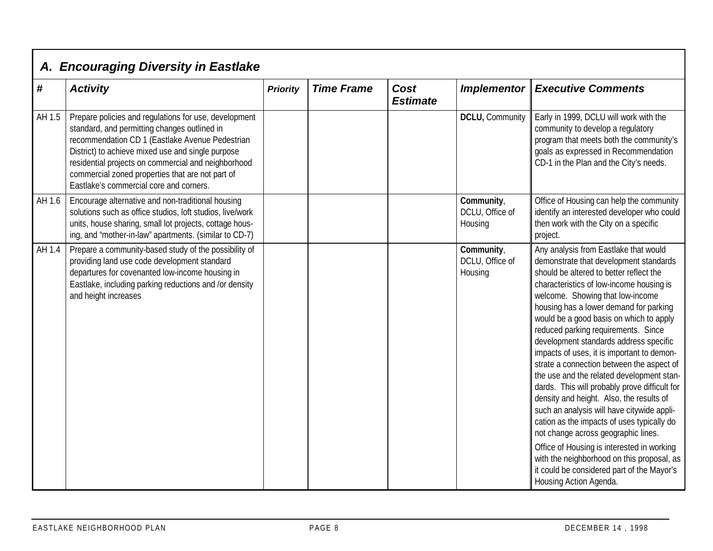|        | A. Encouraging Diversity in Eastlake                                                                                                                                                                                                                                                                                                                                |                 |                   |                         |                                          |                                                                                                                                                                                                                                                                                                                                                                                                                                                                                                                                                                                                                                                                                                                                                                                                                                                                                                                              |  |  |
|--------|---------------------------------------------------------------------------------------------------------------------------------------------------------------------------------------------------------------------------------------------------------------------------------------------------------------------------------------------------------------------|-----------------|-------------------|-------------------------|------------------------------------------|------------------------------------------------------------------------------------------------------------------------------------------------------------------------------------------------------------------------------------------------------------------------------------------------------------------------------------------------------------------------------------------------------------------------------------------------------------------------------------------------------------------------------------------------------------------------------------------------------------------------------------------------------------------------------------------------------------------------------------------------------------------------------------------------------------------------------------------------------------------------------------------------------------------------------|--|--|
| #      | <b>Activity</b>                                                                                                                                                                                                                                                                                                                                                     | <b>Priority</b> | <b>Time Frame</b> | Cost<br><b>Estimate</b> | Implementor                              | <b>Executive Comments</b>                                                                                                                                                                                                                                                                                                                                                                                                                                                                                                                                                                                                                                                                                                                                                                                                                                                                                                    |  |  |
| AH 1.5 | Prepare policies and regulations for use, development<br>standard, and permitting changes outlined in<br>recommendation CD 1 (Eastlake Avenue Pedestrian<br>District) to achieve mixed use and single purpose<br>residential projects on commercial and neighborhood<br>commercial zoned properties that are not part of<br>Eastlake's commercial core and corners. |                 |                   |                         | DCLU, Community                          | Early in 1999, DCLU will work with the<br>community to develop a regulatory<br>program that meets both the community's<br>goals as expressed in Recommendation<br>CD-1 in the Plan and the City's needs.                                                                                                                                                                                                                                                                                                                                                                                                                                                                                                                                                                                                                                                                                                                     |  |  |
| AH 1.6 | Encourage alternative and non-traditional housing<br>solutions such as office studios, loft studios, live/work<br>units, house sharing, small lot projects, cottage hous-<br>ing, and 'mother-in-law" apartments. (similar to CD-7)                                                                                                                                 |                 |                   |                         | Community,<br>DCLU, Office of<br>Housing | Office of Housing can help the community<br>identify an interested developer who could<br>then work with the City on a specific<br>project.                                                                                                                                                                                                                                                                                                                                                                                                                                                                                                                                                                                                                                                                                                                                                                                  |  |  |
| AH 1.4 | Prepare a community-based study of the possibility of<br>providing land use code development standard<br>departures for covenanted low-income housing in<br>Eastlake, including parking reductions and /or density<br>and height increases                                                                                                                          |                 |                   |                         | Community,<br>DCLU, Office of<br>Housing | Any analysis from Eastlake that would<br>demonstrate that development standards<br>should be altered to better reflect the<br>characteristics of low-income housing is<br>welcome. Showing that low-income<br>housing has a lower demand for parking<br>would be a good basis on which to apply<br>reduced parking requirements. Since<br>development standards address specific<br>impacts of uses, it is important to demon-<br>strate a connection between the aspect of<br>the use and the related development stan-<br>dards. This will probably prove difficult for<br>density and height. Also, the results of<br>such an analysis will have citywide appli-<br>cation as the impacts of uses typically do<br>not change across geographic lines.<br>Office of Housing is interested in working<br>with the neighborhood on this proposal, as<br>it could be considered part of the Mayor's<br>Housing Action Agenda. |  |  |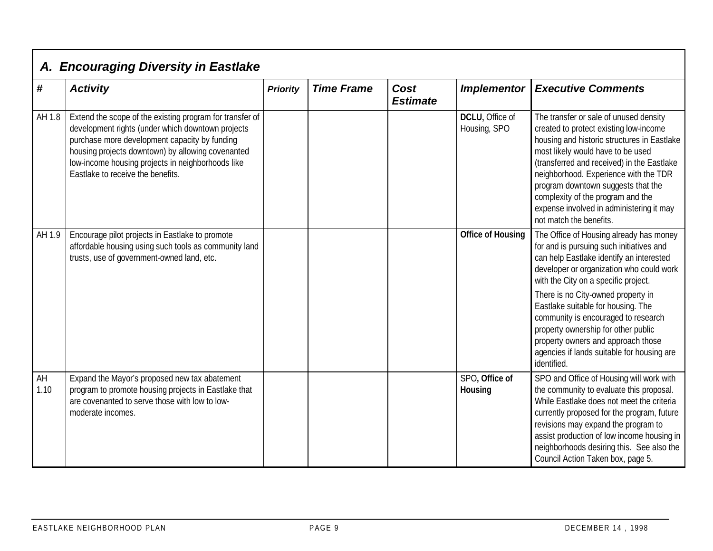|            | A. Encouraging Diversity in Eastlake                                                                                                                                                                                                                                                                          |                 |                   |                         |                                 |                                                                                                                                                                                                                                                                                                                                                                                                               |
|------------|---------------------------------------------------------------------------------------------------------------------------------------------------------------------------------------------------------------------------------------------------------------------------------------------------------------|-----------------|-------------------|-------------------------|---------------------------------|---------------------------------------------------------------------------------------------------------------------------------------------------------------------------------------------------------------------------------------------------------------------------------------------------------------------------------------------------------------------------------------------------------------|
| #          | <b>Activity</b>                                                                                                                                                                                                                                                                                               | <b>Priority</b> | <b>Time Frame</b> | Cost<br><b>Estimate</b> | <b>Implementor</b>              | <b>Executive Comments</b>                                                                                                                                                                                                                                                                                                                                                                                     |
| AH 1.8     | Extend the scope of the existing program for transfer of<br>development rights (under which downtown projects<br>purchase more development capacity by funding<br>housing projects downtown) by allowing covenanted<br>low-income housing projects in neighborhoods like<br>Eastlake to receive the benefits. |                 |                   |                         | DCLU, Office of<br>Housing, SPO | The transfer or sale of unused density<br>created to protect existing low-income<br>housing and historic structures in Eastlake<br>most likely would have to be used<br>(transferred and received) in the Eastlake<br>neighborhood. Experience with the TDR<br>program downtown suggests that the<br>complexity of the program and the<br>expense involved in administering it may<br>not match the benefits. |
| AH 1.9     | Encourage pilot projects in Eastlake to promote<br>affordable housing using such tools as community land<br>trusts, use of government-owned land, etc.                                                                                                                                                        |                 |                   |                         | <b>Office of Housing</b>        | The Office of Housing already has money<br>for and is pursuing such initiatives and<br>can help Eastlake identify an interested<br>developer or organization who could work<br>with the City on a specific project.                                                                                                                                                                                           |
|            |                                                                                                                                                                                                                                                                                                               |                 |                   |                         |                                 | There is no City-owned property in<br>Eastlake suitable for housing. The<br>community is encouraged to research<br>property ownership for other public<br>property owners and approach those<br>agencies if lands suitable for housing are<br>identified.                                                                                                                                                     |
| AH<br>1.10 | Expand the Mayor's proposed new tax abatement<br>program to promote housing projects in Eastlake that<br>are covenanted to serve those with low to low-<br>moderate incomes.                                                                                                                                  |                 |                   |                         | SPO, Office of<br>Housing       | SPO and Office of Housing will work with<br>the community to evaluate this proposal.<br>While Eastlake does not meet the criteria<br>currently proposed for the program, future<br>revisions may expand the program to<br>assist production of low income housing in<br>neighborhoods desiring this. See also the<br>Council Action Taken box, page 5.                                                        |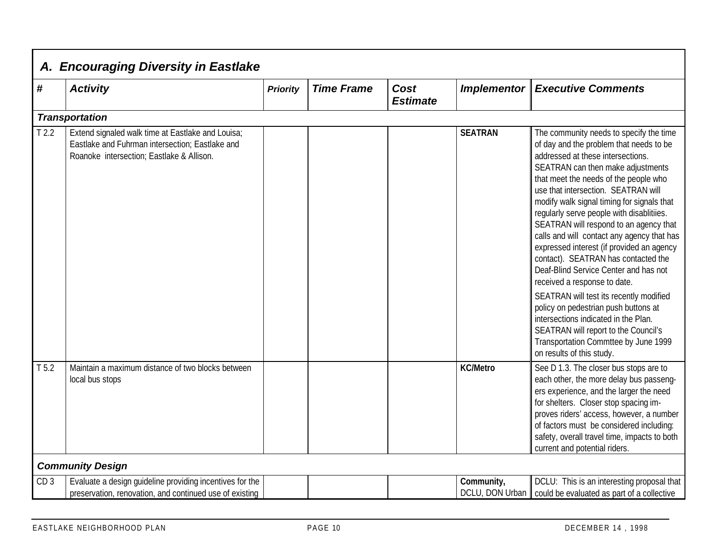|                   | A. Encouraging Diversity in Eastlake                                                                                                              |                 |                   |                         |                               |                                                                                                                                                                                                                                                                                                                                                                                                                                                                                                                                                                                                                                                                                                                                                                                                                                      |
|-------------------|---------------------------------------------------------------------------------------------------------------------------------------------------|-----------------|-------------------|-------------------------|-------------------------------|--------------------------------------------------------------------------------------------------------------------------------------------------------------------------------------------------------------------------------------------------------------------------------------------------------------------------------------------------------------------------------------------------------------------------------------------------------------------------------------------------------------------------------------------------------------------------------------------------------------------------------------------------------------------------------------------------------------------------------------------------------------------------------------------------------------------------------------|
| $\boldsymbol{\#}$ | <b>Activity</b>                                                                                                                                   | <b>Priority</b> | <b>Time Frame</b> | Cost<br><b>Estimate</b> | <b>Implementor</b>            | <b>Executive Comments</b>                                                                                                                                                                                                                                                                                                                                                                                                                                                                                                                                                                                                                                                                                                                                                                                                            |
|                   | <b>Transportation</b>                                                                                                                             |                 |                   |                         |                               |                                                                                                                                                                                                                                                                                                                                                                                                                                                                                                                                                                                                                                                                                                                                                                                                                                      |
| T <sub>2.2</sub>  | Extend signaled walk time at Eastlake and Louisa;<br>Eastlake and Fuhrman intersection; Eastlake and<br>Roanoke intersection; Eastlake & Allison. |                 |                   |                         | <b>SEATRAN</b>                | The community needs to specify the time<br>of day and the problem that needs to be<br>addressed at these intersections.<br>SEATRAN can then make adjustments<br>that meet the needs of the people who<br>use that intersection. SEATRAN will<br>modify walk signal timing for signals that<br>regularly serve people with disablitiies.<br>SEATRAN will respond to an agency that<br>calls and will contact any agency that has<br>expressed interest (if provided an agency<br>contact). SEATRAN has contacted the<br>Deaf-Blind Service Center and has not<br>received a response to date.<br>SEATRAN will test its recently modified<br>policy on pedestrian push buttons at<br>intersections indicated in the Plan.<br>SEATRAN will report to the Council's<br>Transportation Commttee by June 1999<br>on results of this study. |
| T 5.2             | Maintain a maximum distance of two blocks between<br>local bus stops                                                                              |                 |                   |                         | <b>KC/Metro</b>               | See D 1.3. The closer bus stops are to<br>each other, the more delay bus passeng-<br>ers experience, and the larger the need<br>for shelters. Closer stop spacing im-<br>proves riders' access, however, a number<br>of factors must be considered including:<br>safety, overall travel time, impacts to both<br>current and potential riders.                                                                                                                                                                                                                                                                                                                                                                                                                                                                                       |
|                   | <b>Community Design</b>                                                                                                                           |                 |                   |                         |                               |                                                                                                                                                                                                                                                                                                                                                                                                                                                                                                                                                                                                                                                                                                                                                                                                                                      |
| CD <sub>3</sub>   | Evaluate a design guideline providing incentives for the<br>preservation, renovation, and continued use of existing                               |                 |                   |                         | Community,<br>DCLU, DON Urban | DCLU: This is an interesting proposal that<br>could be evaluated as part of a collective                                                                                                                                                                                                                                                                                                                                                                                                                                                                                                                                                                                                                                                                                                                                             |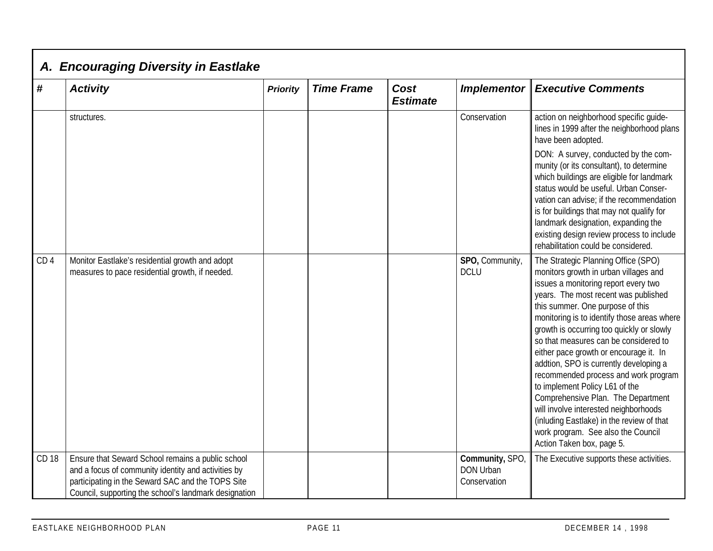|                   | A. Encouraging Diversity in Eastlake                                                                       |                 |                   |                         |                                |                                                                                                                                                                                                                                                                                                                                                                                                                                                                                                                                                                                                                                                                                                    |  |  |  |
|-------------------|------------------------------------------------------------------------------------------------------------|-----------------|-------------------|-------------------------|--------------------------------|----------------------------------------------------------------------------------------------------------------------------------------------------------------------------------------------------------------------------------------------------------------------------------------------------------------------------------------------------------------------------------------------------------------------------------------------------------------------------------------------------------------------------------------------------------------------------------------------------------------------------------------------------------------------------------------------------|--|--|--|
| $\boldsymbol{\#}$ | <b>Activity</b>                                                                                            | <b>Priority</b> | <b>Time Frame</b> | Cost<br><b>Estimate</b> | <b>Implementor</b>             | <b>Executive Comments</b>                                                                                                                                                                                                                                                                                                                                                                                                                                                                                                                                                                                                                                                                          |  |  |  |
|                   | structures.                                                                                                |                 |                   |                         | Conservation                   | action on neighborhood specific guide-<br>lines in 1999 after the neighborhood plans<br>have been adopted.                                                                                                                                                                                                                                                                                                                                                                                                                                                                                                                                                                                         |  |  |  |
|                   |                                                                                                            |                 |                   |                         |                                | DON: A survey, conducted by the com-<br>munity (or its consultant), to determine<br>which buildings are eligible for landmark<br>status would be useful. Urban Conser-<br>vation can advise; if the recommendation<br>is for buildings that may not qualify for<br>landmark designation, expanding the<br>existing design review process to include<br>rehabilitation could be considered.                                                                                                                                                                                                                                                                                                         |  |  |  |
| CD <sub>4</sub>   | Monitor Eastlake's residential growth and adopt<br>measures to pace residential growth, if needed.         |                 |                   |                         | SPO, Community,<br><b>DCLU</b> | The Strategic Planning Office (SPO)<br>monitors growth in urban villages and<br>issues a monitoring report every two<br>years. The most recent was published<br>this summer. One purpose of this<br>monitoring is to identify those areas where<br>growth is occurring too quickly or slowly<br>so that measures can be considered to<br>either pace growth or encourage it. In<br>addtion, SPO is currently developing a<br>recommended process and work program<br>to implement Policy L61 of the<br>Comprehensive Plan. The Department<br>will involve interested neighborhoods<br>(inluding Eastlake) in the review of that<br>work program. See also the Council<br>Action Taken box, page 5. |  |  |  |
| CD 18             | Ensure that Seward School remains a public school<br>and a focus of community identity and activities by   |                 |                   |                         | Community, SPO<br>DON Urban    | The Executive supports these activities.                                                                                                                                                                                                                                                                                                                                                                                                                                                                                                                                                                                                                                                           |  |  |  |
|                   | participating in the Seward SAC and the TOPS Site<br>Council, supporting the school's landmark designation |                 |                   |                         | Conservation                   |                                                                                                                                                                                                                                                                                                                                                                                                                                                                                                                                                                                                                                                                                                    |  |  |  |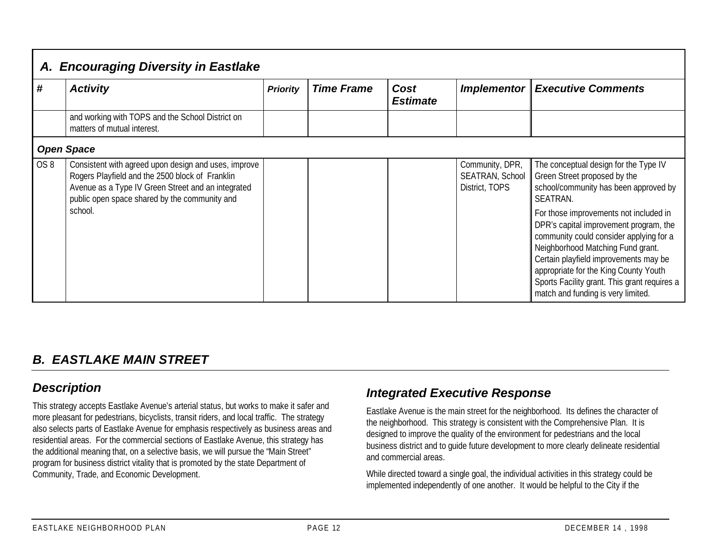|                 | A. Encouraging Diversity in Eastlake                                                                                                                                                                           |                 |                   |                         |                                                      |                                                                                                                                                                                                                                                                                                                                          |  |  |
|-----------------|----------------------------------------------------------------------------------------------------------------------------------------------------------------------------------------------------------------|-----------------|-------------------|-------------------------|------------------------------------------------------|------------------------------------------------------------------------------------------------------------------------------------------------------------------------------------------------------------------------------------------------------------------------------------------------------------------------------------------|--|--|
| #               | <b>Activity</b>                                                                                                                                                                                                | <b>Priority</b> | <b>Time Frame</b> | Cost<br><b>Estimate</b> | Implementor                                          | <b>Executive Comments</b>                                                                                                                                                                                                                                                                                                                |  |  |
|                 | and working with TOPS and the School District on<br>matters of mutual interest.                                                                                                                                |                 |                   |                         |                                                      |                                                                                                                                                                                                                                                                                                                                          |  |  |
|                 | <b>Open Space</b>                                                                                                                                                                                              |                 |                   |                         |                                                      |                                                                                                                                                                                                                                                                                                                                          |  |  |
| OS <sub>8</sub> | Consistent with agreed upon design and uses, improve<br>Rogers Playfield and the 2500 block of Franklin<br>Avenue as a Type IV Green Street and an integrated<br>public open space shared by the community and |                 |                   |                         | Community, DPR,<br>SEATRAN, School<br>District, TOPS | The conceptual design for the Type IV<br>Green Street proposed by the<br>school/community has been approved by<br>SEATRAN.                                                                                                                                                                                                               |  |  |
|                 | school.                                                                                                                                                                                                        |                 |                   |                         |                                                      | For those improvements not included in<br>DPR's capital improvement program, the<br>community could consider applying for a<br>Neighborhood Matching Fund grant.<br>Certain playfield improvements may be<br>appropriate for the King County Youth<br>Sports Facility grant. This grant requires a<br>match and funding is very limited. |  |  |

## *B. EASTLAKE MAIN STREET*

## *Description*

This strategy accepts Eastlake Avenue's arterial status, but works to make it safer and more pleasant for pedestrians, bicyclists, transit riders, and local traffic. The strategy also selects parts of Eastlake Avenue for emphasis respectively as business areas and residential areas. For the commercial sections of Eastlake Avenue, this strategy has the additional meaning that, on a selective basis, we will pursue the "Main Street" program for business district vitality that is promoted by the state Department of Community, Trade, and Economic Development.

## *Integrated Executive Response*

Eastlake Avenue is the main street for the neighborhood. Its defines the character of the neighborhood. This strategy is consistent with the Comprehensive Plan. It is designed to improve the quality of the environment for pedestrians and the local business district and to guide future development to more clearly delineate residential and commercial areas.

While directed toward a single goal, the individual activities in this strategy could be implemented independently of one another. It would be helpful to the City if the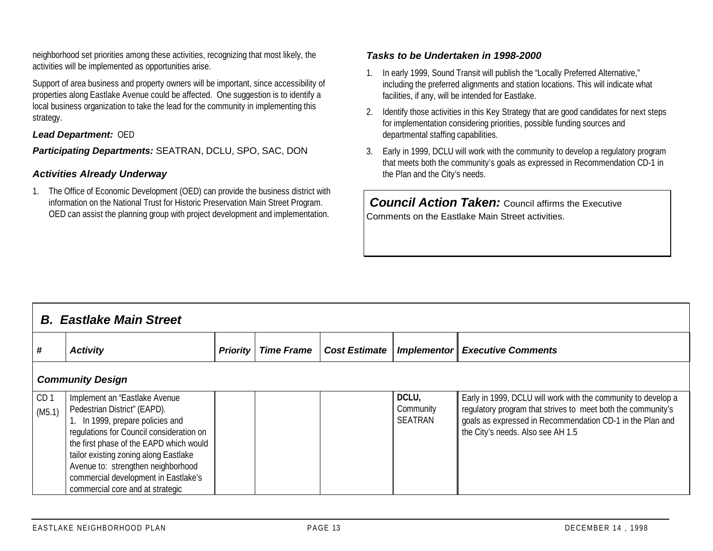neighborhood set priorities among these activities, recognizing that most likely, the activities will be implemented as opportunities arise.

Support of area business and property owners will be important, since accessibility of properties along Eastlake Avenue could be affected. One suggestion is to identify a local business organization to take the lead for the community in implementing this strategy.

#### *Lead Department:* OED

*Participating Departments:* SEATRAN, DCLU, SPO, SAC, DON

#### *Activities Already Underway*

1. The Office of Economic Development (OED) can provide the business district with information on the National Trust for Historic Preservation Main Street Program. OED can assist the planning group with project development and implementation.

#### *Tasks to be Undertaken in 1998-2000*

- 1. In early 1999, Sound Transit will publish the "Locally Preferred Alternative," including the preferred alignments and station locations. This will indicate what facilities, if any, will be intended for Eastlake.
- 2. Identify those activities in this Key Strategy that are good candidates for next steps for implementation considering priorities, possible funding sources and departmental staffing capabilities.
- 3. Early in 1999, DCLU will work with the community to develop a regulatory program that meets both the community's goals as expressed in Recommendation CD-1 in the Plan and the City's needs.

*Council Action Taken: Council affirms the Executive* Comments on the Eastlake Main Street activities.

|                           | <b>B.</b> Eastlake Main Street                                                                                                                                                                                                                                                                                                                      |                 |                   |                      |                                      |                                                                                                                                                                                                                                 |  |  |  |
|---------------------------|-----------------------------------------------------------------------------------------------------------------------------------------------------------------------------------------------------------------------------------------------------------------------------------------------------------------------------------------------------|-----------------|-------------------|----------------------|--------------------------------------|---------------------------------------------------------------------------------------------------------------------------------------------------------------------------------------------------------------------------------|--|--|--|
| #                         | <b>Activity</b>                                                                                                                                                                                                                                                                                                                                     | <b>Priority</b> | <b>Time Frame</b> | <b>Cost Estimate</b> |                                      | <b>Implementor Executive Comments</b>                                                                                                                                                                                           |  |  |  |
|                           | <b>Community Design</b>                                                                                                                                                                                                                                                                                                                             |                 |                   |                      |                                      |                                                                                                                                                                                                                                 |  |  |  |
| CD <sub>1</sub><br>(M5.1) | Implement an "Eastlake Avenue<br>Pedestrian District" (EAPD).<br>1. In 1999, prepare policies and<br>regulations for Council consideration on<br>the first phase of the EAPD which would<br>tailor existing zoning along Eastlake<br>Avenue to: strengthen neighborhood<br>commercial development in Eastlake's<br>commercial core and at strategic |                 |                   |                      | DCLU,<br>Community<br><b>SEATRAN</b> | Early in 1999, DCLU will work with the community to develop a<br>regulatory program that strives to meet both the community's<br>goals as expressed in Recommendation CD-1 in the Plan and<br>the City's needs. Also see AH 1.5 |  |  |  |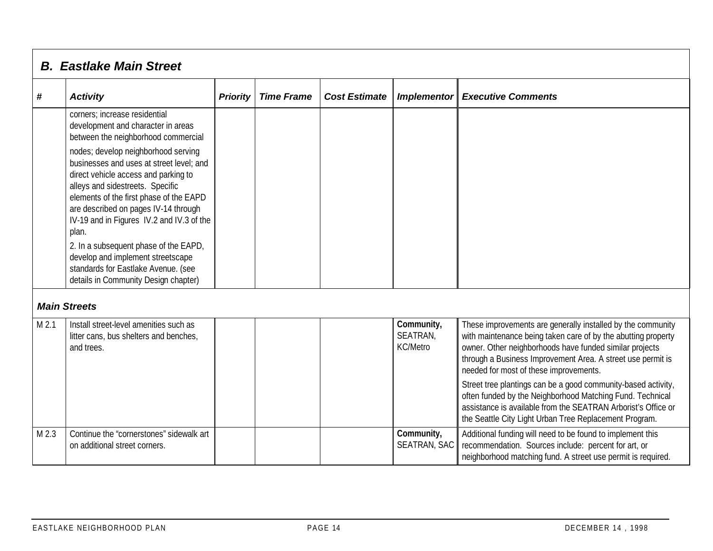|         | <b>B. Eastlake Main Street</b>                                                                                                                                                                                                                                                                                                                                                                                                                                                                                                                                                  |                 |                   |                      |                                           |                                                                                                                                                                                                                                                                                                                                                                                                                                                                                                                                                           |  |  |  |
|---------|---------------------------------------------------------------------------------------------------------------------------------------------------------------------------------------------------------------------------------------------------------------------------------------------------------------------------------------------------------------------------------------------------------------------------------------------------------------------------------------------------------------------------------------------------------------------------------|-----------------|-------------------|----------------------|-------------------------------------------|-----------------------------------------------------------------------------------------------------------------------------------------------------------------------------------------------------------------------------------------------------------------------------------------------------------------------------------------------------------------------------------------------------------------------------------------------------------------------------------------------------------------------------------------------------------|--|--|--|
| #       | <b>Activity</b>                                                                                                                                                                                                                                                                                                                                                                                                                                                                                                                                                                 | <b>Priority</b> | <b>Time Frame</b> | <b>Cost Estimate</b> | <b>Implementor</b>                        | <b>Executive Comments</b>                                                                                                                                                                                                                                                                                                                                                                                                                                                                                                                                 |  |  |  |
|         | corners; increase residential<br>development and character in areas<br>between the neighborhood commercial<br>nodes; develop neighborhood serving<br>businesses and uses at street level; and<br>direct vehicle access and parking to<br>alleys and sidestreets. Specific<br>elements of the first phase of the EAPD<br>are described on pages IV-14 through<br>IV-19 and in Figures IV.2 and IV.3 of the<br>plan.<br>2. In a subsequent phase of the EAPD,<br>develop and implement streetscape<br>standards for Eastlake Avenue. (see<br>details in Community Design chapter) |                 |                   |                      |                                           |                                                                                                                                                                                                                                                                                                                                                                                                                                                                                                                                                           |  |  |  |
|         | <b>Main Streets</b>                                                                                                                                                                                                                                                                                                                                                                                                                                                                                                                                                             |                 |                   |                      |                                           |                                                                                                                                                                                                                                                                                                                                                                                                                                                                                                                                                           |  |  |  |
| $M$ 2.1 | Install street-level amenities such as<br>litter cans, bus shelters and benches,<br>and trees.                                                                                                                                                                                                                                                                                                                                                                                                                                                                                  |                 |                   |                      | Community,<br>SEATRAN,<br><b>KC/Metro</b> | These improvements are generally installed by the community<br>with maintenance being taken care of by the abutting property<br>owner. Other neighborhoods have funded similar projects<br>through a Business Improvement Area. A street use permit is<br>needed for most of these improvements.<br>Street tree plantings can be a good community-based activity,<br>often funded by the Neighborhood Matching Fund. Technical<br>assistance is available from the SEATRAN Arborist's Office or<br>the Seattle City Light Urban Tree Replacement Program. |  |  |  |
| M 2.3   | Continue the "cornerstones" sidewalk art<br>on additional street corners.                                                                                                                                                                                                                                                                                                                                                                                                                                                                                                       |                 |                   |                      | Community,<br>SEATRAN, SAC                | Additional funding will need to be found to implement this<br>recommendation. Sources include: percent for art, or<br>neighborhood matching fund. A street use permit is required.                                                                                                                                                                                                                                                                                                                                                                        |  |  |  |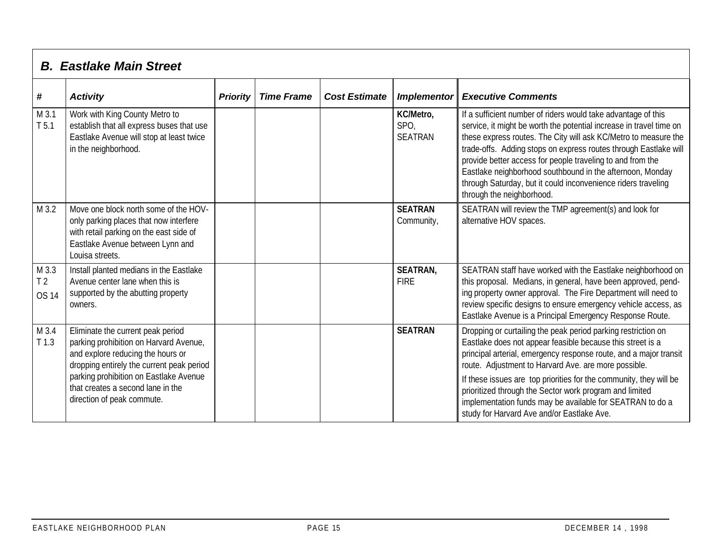| <b>B. Eastlake Main Street</b> |  |
|--------------------------------|--|
|                                |  |

| #                                       | <b>Activity</b>                                                                                                                                                                                                                                                            | <b>Priority</b> | <b>Time Frame</b> | <b>Cost Estimate</b> | Implementor                         | <b>Executive Comments</b>                                                                                                                                                                                                                                                                                                                                                                                                                                                                            |
|-----------------------------------------|----------------------------------------------------------------------------------------------------------------------------------------------------------------------------------------------------------------------------------------------------------------------------|-----------------|-------------------|----------------------|-------------------------------------|------------------------------------------------------------------------------------------------------------------------------------------------------------------------------------------------------------------------------------------------------------------------------------------------------------------------------------------------------------------------------------------------------------------------------------------------------------------------------------------------------|
| M 3.1<br>T <sub>5.1</sub>               | Work with King County Metro to<br>establish that all express buses that use<br>Eastlake Avenue will stop at least twice<br>in the neighborhood.                                                                                                                            |                 |                   |                      | KC/Metro,<br>SPO,<br><b>SEATRAN</b> | If a sufficient number of riders would take advantage of this<br>service, it might be worth the potential increase in travel time on<br>these express routes. The City will ask KC/Metro to measure the<br>trade-offs. Adding stops on express routes through Eastlake will<br>provide better access for people traveling to and from the<br>Eastlake neighborhood southbound in the afternoon, Monday<br>through Saturday, but it could inconvenience riders traveling<br>through the neighborhood. |
| M 3.2                                   | Move one block north some of the HOV-<br>only parking places that now interfere<br>with retail parking on the east side of<br>Eastlake Avenue between Lynn and<br>Louisa streets.                                                                                          |                 |                   |                      | <b>SEATRAN</b><br>Community,        | SEATRAN will review the TMP agreement(s) and look for<br>alternative HOV spaces.                                                                                                                                                                                                                                                                                                                                                                                                                     |
| M 3.3<br>T <sub>2</sub><br><b>OS 14</b> | Install planted medians in the Eastlake<br>Avenue center lane when this is<br>supported by the abutting property<br>owners.                                                                                                                                                |                 |                   |                      | <b>SEATRAN,</b><br><b>FIRE</b>      | SEATRAN staff have worked with the Eastlake neighborhood on<br>this proposal. Medians, in general, have been approved, pend-<br>ing property owner approval. The Fire Department will need to<br>review specific designs to ensure emergency vehicle access, as<br>Eastlake Avenue is a Principal Emergency Response Route.                                                                                                                                                                          |
| M 3.4<br>$T$ 1.3                        | Eliminate the current peak period<br>parking prohibition on Harvard Avenue,<br>and explore reducing the hours or<br>dropping entirely the current peak period<br>parking prohibition on Eastlake Avenue<br>that creates a second lane in the<br>direction of peak commute. |                 |                   |                      | <b>SEATRAN</b>                      | Dropping or curtailing the peak period parking restriction on<br>Eastlake does not appear feasible because this street is a<br>principal arterial, emergency response route, and a major transit<br>route. Adjustment to Harvard Ave. are more possible.<br>If these issues are top priorities for the community, they will be<br>prioritized through the Sector work program and limited<br>implementation funds may be available for SEATRAN to do a<br>study for Harvard Ave and/or Eastlake Ave. |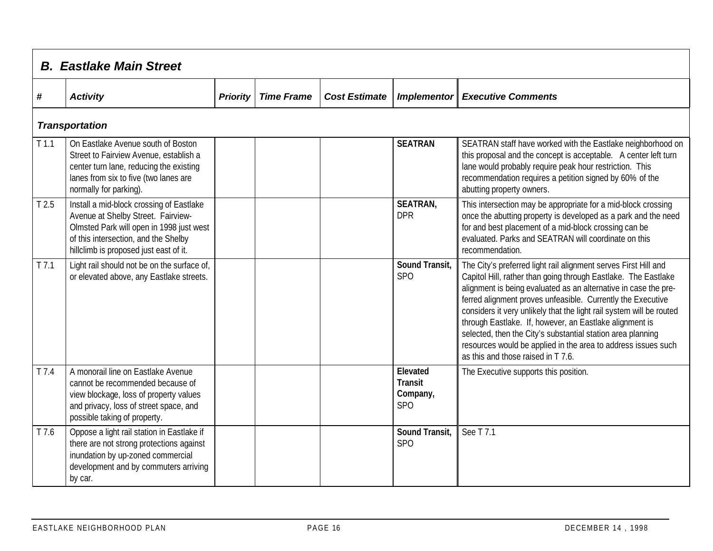|                  | <b>B.</b> Eastlake Main Street                                                                                                                                                                               |                 |                   |                      |                                                      |                                                                                                                                                                                                                                                                                                                                                                                                                                                                                                                                                                              |  |  |  |  |  |
|------------------|--------------------------------------------------------------------------------------------------------------------------------------------------------------------------------------------------------------|-----------------|-------------------|----------------------|------------------------------------------------------|------------------------------------------------------------------------------------------------------------------------------------------------------------------------------------------------------------------------------------------------------------------------------------------------------------------------------------------------------------------------------------------------------------------------------------------------------------------------------------------------------------------------------------------------------------------------------|--|--|--|--|--|
| #                | <b>Activity</b>                                                                                                                                                                                              | <b>Priority</b> | <b>Time Frame</b> | <b>Cost Estimate</b> | <b>Implementor</b>                                   | <b>Executive Comments</b>                                                                                                                                                                                                                                                                                                                                                                                                                                                                                                                                                    |  |  |  |  |  |
|                  | <b>Transportation</b>                                                                                                                                                                                        |                 |                   |                      |                                                      |                                                                                                                                                                                                                                                                                                                                                                                                                                                                                                                                                                              |  |  |  |  |  |
| T <sub>1.1</sub> | On Eastlake Avenue south of Boston<br>Street to Fairview Avenue, establish a<br>center turn lane, reducing the existing<br>lanes from six to five (two lanes are<br>normally for parking).                   |                 |                   |                      | <b>SEATRAN</b>                                       | SEATRAN staff have worked with the Eastlake neighborhood on<br>this proposal and the concept is acceptable.  A center left turn<br>lane would probably require peak hour restriction. This<br>recommendation requires a petition signed by 60% of the<br>abutting property owners.                                                                                                                                                                                                                                                                                           |  |  |  |  |  |
| T <sub>2.5</sub> | Install a mid-block crossing of Eastlake<br>Avenue at Shelby Street. Fairview-<br>Olmsted Park will open in 1998 just west<br>of this intersection, and the Shelby<br>hillclimb is proposed just east of it. |                 |                   |                      | <b>SEATRAN,</b><br><b>DPR</b>                        | This intersection may be appropriate for a mid-block crossing<br>once the abutting property is developed as a park and the need<br>for and best placement of a mid-block crossing can be<br>evaluated. Parks and SEATRAN will coordinate on this<br>recommendation.                                                                                                                                                                                                                                                                                                          |  |  |  |  |  |
| T <sub>7.1</sub> | Light rail should not be on the surface of,<br>or elevated above, any Eastlake streets.                                                                                                                      |                 |                   |                      | Sound Transit,<br>SP <sub>O</sub>                    | The City's preferred light rail alignment serves First Hill and<br>Capitol Hill, rather than going through Eastlake. The Eastlake<br>alignment is being evaluated as an alternative in case the pre-<br>ferred alignment proves unfeasible. Currently the Executive<br>considers it very unlikely that the light rail system will be routed<br>through Eastlake. If, however, an Eastlake alignment is<br>selected, then the City's substantial station area planning<br>resources would be applied in the area to address issues such<br>as this and those raised in T 7.6. |  |  |  |  |  |
| $T$ 7.4          | A monorail line on Eastlake Avenue<br>cannot be recommended because of<br>view blockage, loss of property values<br>and privacy, loss of street space, and<br>possible taking of property.                   |                 |                   |                      | Elevated<br><b>Transit</b><br>Company,<br><b>SPO</b> | The Executive supports this position.                                                                                                                                                                                                                                                                                                                                                                                                                                                                                                                                        |  |  |  |  |  |
| T 7.6            | Oppose a light rail station in Eastlake if<br>there are not strong protections against<br>inundation by up-zoned commercial<br>development and by commuters arriving<br>by car.                              |                 |                   |                      | Sound Transit,<br>SP <sub>O</sub>                    | See T 7.1                                                                                                                                                                                                                                                                                                                                                                                                                                                                                                                                                                    |  |  |  |  |  |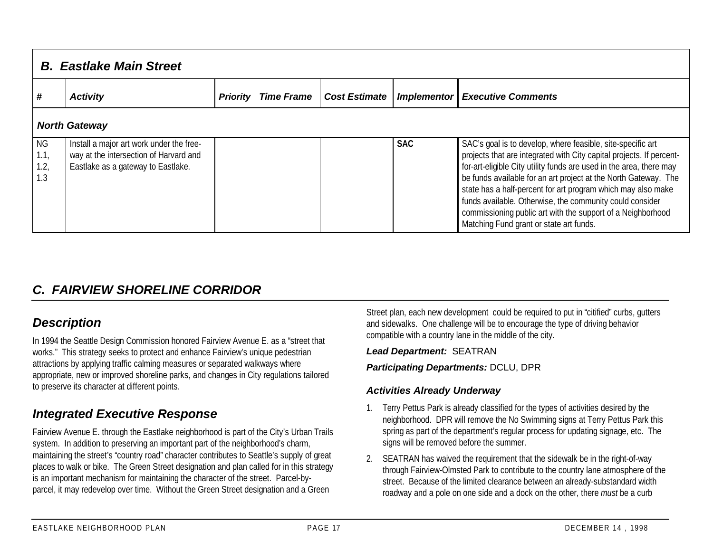|                           | <b>B. Eastlake Main Street</b>                                                                                           |                 |                   |                      |             |                                                                                                                                                                                                                                                                                                                                                                                                                                                                                                                     |  |  |  |  |  |
|---------------------------|--------------------------------------------------------------------------------------------------------------------------|-----------------|-------------------|----------------------|-------------|---------------------------------------------------------------------------------------------------------------------------------------------------------------------------------------------------------------------------------------------------------------------------------------------------------------------------------------------------------------------------------------------------------------------------------------------------------------------------------------------------------------------|--|--|--|--|--|
| #                         | <b>Activity</b>                                                                                                          | <b>Priority</b> | <b>Time Frame</b> | <b>Cost Estimate</b> | Implementor | <b>Executive Comments</b>                                                                                                                                                                                                                                                                                                                                                                                                                                                                                           |  |  |  |  |  |
|                           | <b>North Gateway</b>                                                                                                     |                 |                   |                      |             |                                                                                                                                                                                                                                                                                                                                                                                                                                                                                                                     |  |  |  |  |  |
| ΝG<br>1.1,<br>1.2,<br>1.3 | Install a major art work under the free-<br>way at the intersection of Harvard and<br>Eastlake as a gateway to Eastlake. |                 |                   |                      | <b>SAC</b>  | SAC's goal is to develop, where feasible, site-specific art<br>projects that are integrated with City capital projects. If percent-<br>for-art-eligible City utility funds are used in the area, there may<br>be funds available for an art project at the North Gateway. The<br>state has a half-percent for art program which may also make<br>funds available. Otherwise, the community could consider<br>commissioning public art with the support of a Neighborhood<br>Matching Fund grant or state art funds. |  |  |  |  |  |

## *C. FAIRVIEW SHORELINE CORRIDOR*

## *Description*

In 1994 the Seattle Design Commission honored Fairview Avenue E. as a "street that works." This strategy seeks to protect and enhance Fairview's unique pedestrian attractions by applying traffic calming measures or separated walkways where appropriate, new or improved shoreline parks, and changes in City regulations tailored to preserve its character at different points.

## *Integrated Executive Response*

Fairview Avenue E. through the Eastlake neighborhood is part of the City's Urban Trails system. In addition to preserving an important part of the neighborhood's charm, maintaining the street's "country road" character contributes to Seattle's supply of great places to walk or bike. The Green Street designation and plan called for in this strategy is an important mechanism for maintaining the character of the street. Parcel-byparcel, it may redevelop over time. Without the Green Street designation and a Green

Street plan, each new development could be required to put in "citified" curbs, gutters and sidewalks. One challenge will be to encourage the type of driving behavior compatible with a country lane in the middle of the city.

#### *Lead Department:* SEATRAN

#### *Participating Departments:* DCLU, DPR

#### *Activities Already Underway*

- 1. Terry Pettus Park is already classified for the types of activities desired by the neighborhood. DPR will remove the No Swimming signs at Terry Pettus Park this spring as part of the department's regular process for updating signage, etc. The signs will be removed before the summer.
- 2. SEATRAN has waived the requirement that the sidewalk be in the right-of-way through Fairview-Olmsted Park to contribute to the country lane atmosphere of the street. Because of the limited clearance between an already-substandard width roadway and a pole on one side and a dock on the other, there *must* be a curb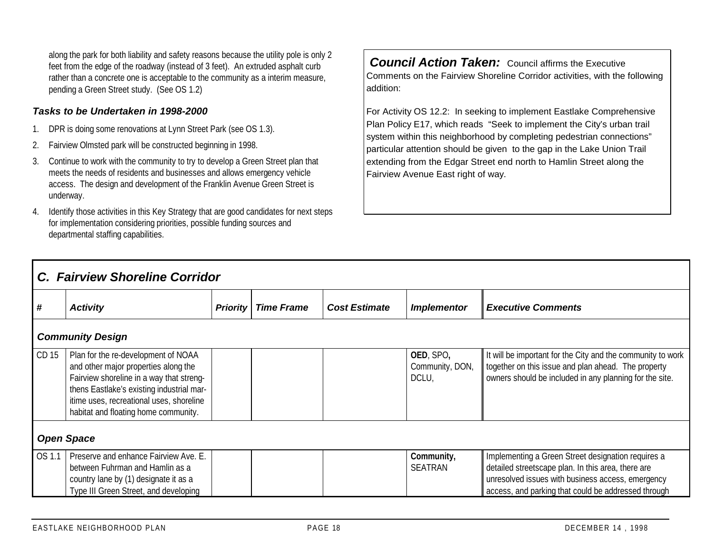along the park for both liability and safety reasons because the utility pole is only 2 feet from the edge of the roadway (instead of 3 feet). An extruded asphalt curb rather than a concrete one is acceptable to the community as a interim measure, pending a Green Street study. (See OS 1.2)

#### *Tasks to be Undertaken in 1998-2000*

- 1. DPR is doing some renovations at Lynn Street Park (see OS 1.3).
- 2. Fairview Olmsted park will be constructed beginning in 1998.
- 3. Continue to work with the community to try to develop a Green Street plan that meets the needs of residents and businesses and allows emergency vehicle access. The design and development of the Franklin Avenue Green Street is underway.
- 4. Identify those activities in this Key Strategy that are good candidates for next steps for implementation considering priorities, possible funding sources and departmental staffing capabilities.

*Council Action Taken:* Council affirms the Executive Comments on the Fairview Shoreline Corridor activities, with the following addition:

For Activity OS 12.2: In seeking to implement Eastlake Comprehensive Plan Policy E17, which reads "Seek to implement the City's urban trail system within this neighborhood by completing pedestrian connections" particular attention should be given to the gap in the Lake Union Trail extending from the Edgar Street end north to Hamlin Street along the Fairview Avenue East right of way.

|                         | C. Fairview Shoreline Corridor                                                                                                                                                                                                                           |                 |                   |                      |                                       |                                                                                                                                                                                                                      |  |  |  |  |
|-------------------------|----------------------------------------------------------------------------------------------------------------------------------------------------------------------------------------------------------------------------------------------------------|-----------------|-------------------|----------------------|---------------------------------------|----------------------------------------------------------------------------------------------------------------------------------------------------------------------------------------------------------------------|--|--|--|--|
| l #                     | <b>Activity</b>                                                                                                                                                                                                                                          | <b>Priority</b> | <b>Time Frame</b> | <b>Cost Estimate</b> | <b>Implementor</b>                    | <b>Executive Comments</b>                                                                                                                                                                                            |  |  |  |  |
| <b>Community Design</b> |                                                                                                                                                                                                                                                          |                 |                   |                      |                                       |                                                                                                                                                                                                                      |  |  |  |  |
| CD 15                   | Plan for the re-development of NOAA<br>and other major properties along the<br>Fairview shoreline in a way that streng-<br>thens Eastlake's existing industrial mar-<br>itime uses, recreational uses, shoreline<br>habitat and floating home community. |                 |                   |                      | OED, SPO,<br>Community, DON,<br>DCLU, | It will be important for the City and the community to work<br>together on this issue and plan ahead. The property<br>owners should be included in any planning for the site.                                        |  |  |  |  |
|                         | <b>Open Space</b>                                                                                                                                                                                                                                        |                 |                   |                      |                                       |                                                                                                                                                                                                                      |  |  |  |  |
| OS 1.1                  | Preserve and enhance Fairview Ave. E.<br>between Fuhrman and Hamlin as a<br>country lane by (1) designate it as a<br>Type III Green Street, and developing                                                                                               |                 |                   |                      | Community,<br><b>SEATRAN</b>          | Implementing a Green Street designation requires a<br>detailed streetscape plan. In this area, there are<br>unresolved issues with business access, emergency<br>access, and parking that could be addressed through |  |  |  |  |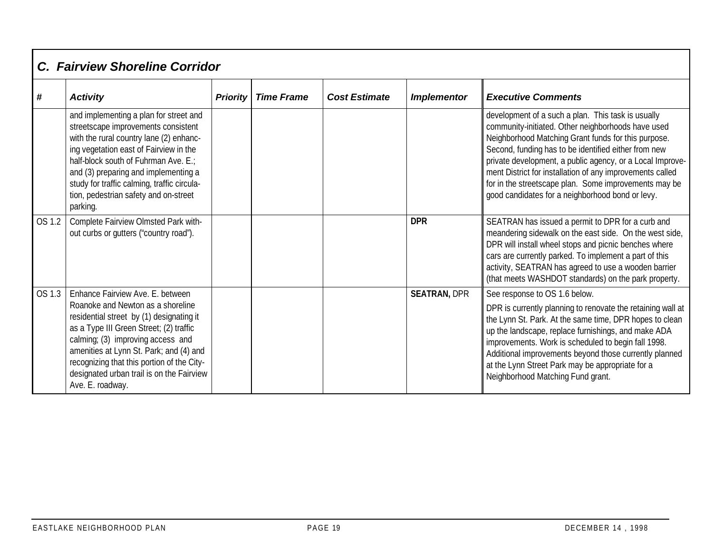|        | <b>C. Fairview Shoreline Corridor</b>                                                                                                                                                                                                                                                                                                                       |                 |                   |                      |                     |                                                                                                                                                                                                                                                                                                                                                                                                                                                                |
|--------|-------------------------------------------------------------------------------------------------------------------------------------------------------------------------------------------------------------------------------------------------------------------------------------------------------------------------------------------------------------|-----------------|-------------------|----------------------|---------------------|----------------------------------------------------------------------------------------------------------------------------------------------------------------------------------------------------------------------------------------------------------------------------------------------------------------------------------------------------------------------------------------------------------------------------------------------------------------|
| #      | <b>Activity</b>                                                                                                                                                                                                                                                                                                                                             | <b>Priority</b> | <b>Time Frame</b> | <b>Cost Estimate</b> | <b>Implementor</b>  | <b>Executive Comments</b>                                                                                                                                                                                                                                                                                                                                                                                                                                      |
|        | and implementing a plan for street and<br>streetscape improvements consistent<br>with the rural country lane (2) enhanc-<br>ing vegetation east of Fairview in the<br>half-block south of Fuhrman Ave. E.;<br>and (3) preparing and implementing a<br>study for traffic calming, traffic circula-<br>tion, pedestrian safety and on-street<br>parking.      |                 |                   |                      |                     | development of a such a plan. This task is usually<br>community-initiated. Other neighborhoods have used<br>Neighborhood Matching Grant funds for this purpose.<br>Second, funding has to be identified either from new<br>private development, a public agency, or a Local Improve-<br>ment District for installation of any improvements called<br>for in the streetscape plan. Some improvements may be<br>good candidates for a neighborhood bond or levy. |
| OS 1.2 | Complete Fairview Olmsted Park with-<br>out curbs or gutters ("country road").                                                                                                                                                                                                                                                                              |                 |                   |                      | <b>DPR</b>          | SEATRAN has issued a permit to DPR for a curb and<br>meandering sidewalk on the east side. On the west side,<br>DPR will install wheel stops and picnic benches where<br>cars are currently parked. To implement a part of this<br>activity, SEATRAN has agreed to use a wooden barrier<br>(that meets WASHDOT standards) on the park property.                                                                                                                |
| OS 1.3 | Enhance Fairview Ave. E. between<br>Roanoke and Newton as a shoreline<br>residential street by (1) designating it<br>as a Type III Green Street; (2) traffic<br>calming; (3) improving access and<br>amenities at Lynn St. Park; and (4) and<br>recognizing that this portion of the City-<br>designated urban trail is on the Fairview<br>Ave. E. roadway. |                 |                   |                      | <b>SEATRAN, DPR</b> | See response to OS 1.6 below.<br>DPR is currently planning to renovate the retaining wall at<br>the Lynn St. Park. At the same time, DPR hopes to clean<br>up the landscape, replace furnishings, and make ADA<br>improvements. Work is scheduled to begin fall 1998.<br>Additional improvements beyond those currently planned<br>at the Lynn Street Park may be appropriate for a<br>Neighborhood Matching Fund grant.                                       |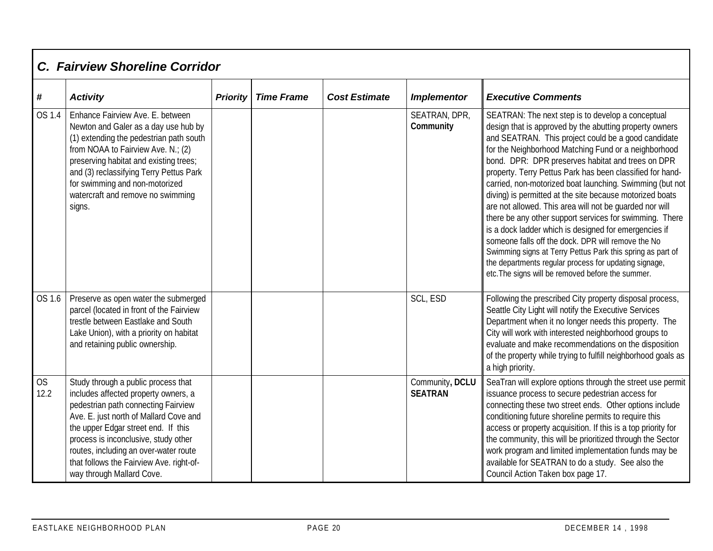|                   | C. Fairview Shoreline Corridor                                                                                                                                                                                                                                                                                                                                |                 |                   |                      |                                   |                                                                                                                                                                                                                                                                                                                                                                                                                                                                                                                                                                                                                                                                                                                                                                                                                                                                                        |  |  |  |  |  |
|-------------------|---------------------------------------------------------------------------------------------------------------------------------------------------------------------------------------------------------------------------------------------------------------------------------------------------------------------------------------------------------------|-----------------|-------------------|----------------------|-----------------------------------|----------------------------------------------------------------------------------------------------------------------------------------------------------------------------------------------------------------------------------------------------------------------------------------------------------------------------------------------------------------------------------------------------------------------------------------------------------------------------------------------------------------------------------------------------------------------------------------------------------------------------------------------------------------------------------------------------------------------------------------------------------------------------------------------------------------------------------------------------------------------------------------|--|--|--|--|--|
| $\#$              | <b>Activity</b>                                                                                                                                                                                                                                                                                                                                               | <b>Priority</b> | <b>Time Frame</b> | <b>Cost Estimate</b> | <b>Implementor</b>                | <b>Executive Comments</b>                                                                                                                                                                                                                                                                                                                                                                                                                                                                                                                                                                                                                                                                                                                                                                                                                                                              |  |  |  |  |  |
| OS 1.4            | Enhance Fairview Ave. E. between<br>Newton and Galer as a day use hub by<br>(1) extending the pedestrian path south<br>from NOAA to Fairview Ave. N.; (2)<br>preserving habitat and existing trees;<br>and (3) reclassifying Terry Pettus Park<br>for swimming and non-motorized<br>watercraft and remove no swimming<br>signs.                               |                 |                   |                      | SEATRAN, DPR,<br>Community        | SEATRAN: The next step is to develop a conceptual<br>design that is approved by the abutting property owners<br>and SEATRAN. This project could be a good candidate<br>for the Neighborhood Matching Fund or a neighborhood<br>bond. DPR: DPR preserves habitat and trees on DPR<br>property. Terry Pettus Park has been classified for hand-<br>carried, non-motorized boat launching. Swimming (but not<br>diving) is permitted at the site because motorized boats<br>are not allowed. This area will not be guarded nor will<br>there be any other support services for swimming. There<br>is a dock ladder which is designed for emergencies if<br>someone falls off the dock. DPR will remove the No<br>Swimming signs at Terry Pettus Park this spring as part of<br>the departments regular process for updating signage,<br>etc. The signs will be removed before the summer. |  |  |  |  |  |
| OS 1.6            | Preserve as open water the submerged<br>parcel (located in front of the Fairview<br>trestle between Eastlake and South<br>Lake Union), with a priority on habitat<br>and retaining public ownership.                                                                                                                                                          |                 |                   |                      | SCL, ESD                          | Following the prescribed City property disposal process,<br>Seattle City Light will notify the Executive Services<br>Department when it no longer needs this property. The<br>City will work with interested neighborhood groups to<br>evaluate and make recommendations on the disposition<br>of the property while trying to fulfill neighborhood goals as<br>a high priority.                                                                                                                                                                                                                                                                                                                                                                                                                                                                                                       |  |  |  |  |  |
| <b>OS</b><br>12.2 | Study through a public process that<br>includes affected property owners, a<br>pedestrian path connecting Fairview<br>Ave. E. just north of Mallard Cove and<br>the upper Edgar street end. If this<br>process is inconclusive, study other<br>routes, including an over-water route<br>that follows the Fairview Ave. right-of-<br>way through Mallard Cove. |                 |                   |                      | Community, DCLU<br><b>SEATRAN</b> | SeaTran will explore options through the street use permit<br>issuance process to secure pedestrian access for<br>connecting these two street ends. Other options include<br>conditioning future shoreline permits to require this<br>access or property acquisition. If this is a top priority for<br>the community, this will be prioritized through the Sector<br>work program and limited implementation funds may be<br>available for SEATRAN to do a study. See also the<br>Council Action Taken box page 17.                                                                                                                                                                                                                                                                                                                                                                    |  |  |  |  |  |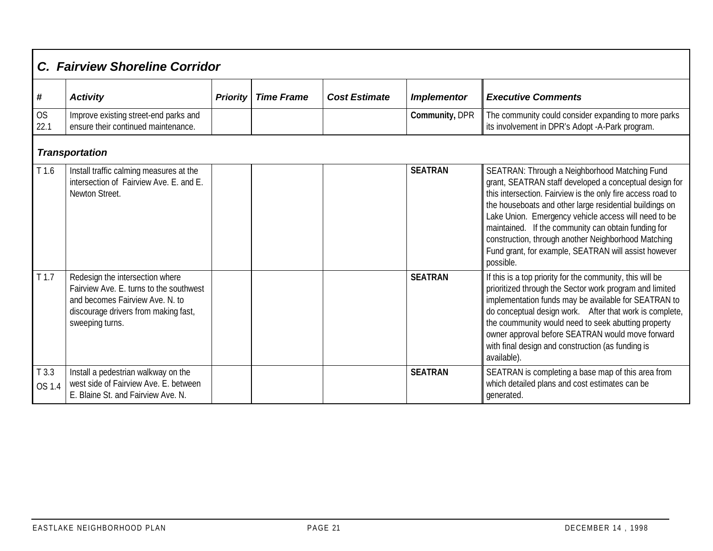|                   | C. Fairview Shoreline Corridor                                                                                                                                           |                 |                   |                      |                    |                                                                                                                                                                                                                                                                                                                                                                                                                                                                              |  |  |  |  |  |
|-------------------|--------------------------------------------------------------------------------------------------------------------------------------------------------------------------|-----------------|-------------------|----------------------|--------------------|------------------------------------------------------------------------------------------------------------------------------------------------------------------------------------------------------------------------------------------------------------------------------------------------------------------------------------------------------------------------------------------------------------------------------------------------------------------------------|--|--|--|--|--|
| #                 | <b>Activity</b>                                                                                                                                                          | <b>Priority</b> | <b>Time Frame</b> | <b>Cost Estimate</b> | <b>Implementor</b> | <b>Executive Comments</b>                                                                                                                                                                                                                                                                                                                                                                                                                                                    |  |  |  |  |  |
| <b>OS</b><br>22.1 | Improve existing street-end parks and<br>ensure their continued maintenance.                                                                                             |                 |                   |                      | Community, DPR     | The community could consider expanding to more parks<br>its involvement in DPR's Adopt -A-Park program.                                                                                                                                                                                                                                                                                                                                                                      |  |  |  |  |  |
|                   | <b>Transportation</b>                                                                                                                                                    |                 |                   |                      |                    |                                                                                                                                                                                                                                                                                                                                                                                                                                                                              |  |  |  |  |  |
| T1.6              | Install traffic calming measures at the<br>intersection of Fairview Ave. E. and E.<br>Newton Street.                                                                     |                 |                   |                      | <b>SEATRAN</b>     | SEATRAN: Through a Neighborhood Matching Fund<br>grant, SEATRAN staff developed a conceptual design for<br>this intersection. Fairview is the only fire access road to<br>the houseboats and other large residential buildings on<br>Lake Union. Emergency vehicle access will need to be<br>maintained. If the community can obtain funding for<br>construction, through another Neighborhood Matching<br>Fund grant, for example, SEATRAN will assist however<br>possible. |  |  |  |  |  |
| T <sub>1.7</sub>  | Redesign the intersection where<br>Fairview Ave. E. turns to the southwest<br>and becomes Fairview Ave. N. to<br>discourage drivers from making fast,<br>sweeping turns. |                 |                   |                      | <b>SEATRAN</b>     | If this is a top priority for the community, this will be<br>prioritized through the Sector work program and limited<br>implementation funds may be available for SEATRAN to<br>do conceptual design work. After that work is complete,<br>the coummunity would need to seek abutting property<br>owner approval before SEATRAN would move forward<br>with final design and construction (as funding is<br>available).                                                       |  |  |  |  |  |
| T3.3<br>OS 1.4    | Install a pedestrian walkway on the<br>west side of Fairview Ave. E. between<br>E. Blaine St. and Fairview Ave. N.                                                       |                 |                   |                      | <b>SEATRAN</b>     | SEATRAN is completing a base map of this area from<br>which detailed plans and cost estimates can be<br>generated.                                                                                                                                                                                                                                                                                                                                                           |  |  |  |  |  |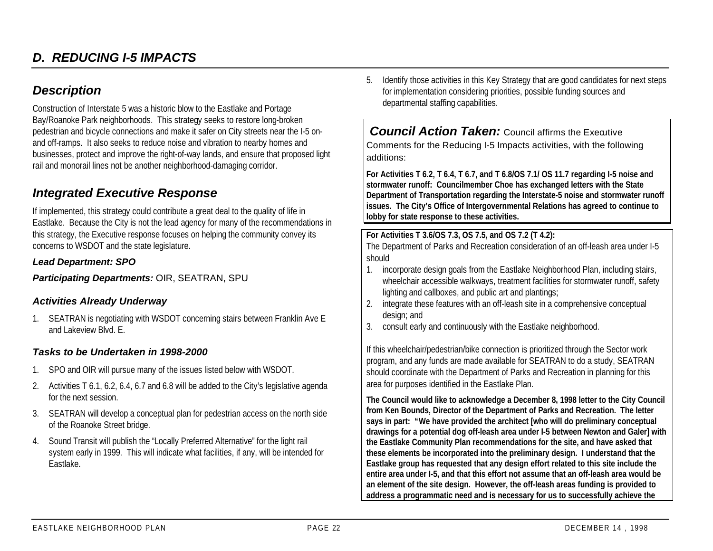## *Description*

Construction of Interstate 5 was a historic blow to the Eastlake and Portage Bay/Roanoke Park neighborhoods. This strategy seeks to restore long-broken pedestrian and bicycle connections and make it safer on City streets near the I-5 onand off-ramps. It also seeks to reduce noise and vibration to nearby homes and businesses, protect and improve the right-of-way lands, and ensure that proposed light rail and monorail lines not be another neighborhood-damaging corridor.

## *Integrated Executive Response*

If implemented, this strategy could contribute a great deal to the quality of life in Eastlake. Because the City is not the lead agency for many of the recommendations in this strategy, the Executive response focuses on helping the community convey its concerns to WSDOT and the state legislature.

#### *Lead Department: SPO*

*Participating Departments:* OIR, SEATRAN, SPU

#### *Activities Already Underway*

1. SEATRAN is negotiating with WSDOT concerning stairs between Franklin Ave E and Lakeview Blvd. E.

#### *Tasks to be Undertaken in 1998-2000*

- 1. SPO and OIR will pursue many of the issues listed below with WSDOT.
- 2. Activities T 6.1, 6.2, 6.4, 6.7 and 6.8 will be added to the City's legislative agenda for the next session.
- 3. SEATRAN will develop a conceptual plan for pedestrian access on the north side of the Roanoke Street bridge.
- 4. Sound Transit will publish the "Locally Preferred Alternative" for the light rail system early in 1999. This will indicate what facilities, if any, will be intended for Eastlake.

5. Identify those activities in this Key Strategy that are good candidates for next steps for implementation considering priorities, possible funding sources and departmental staffing capabilities.

*Council Action Taken: Council affirms the Executive* Comments for the Reducing I-5 Impacts activities, with the following additions:

**For Activities T 6.2, T 6.4, T 6.7, and T 6.8/OS 7.1/ OS 11.7 regarding I-5 noise and stormwater runoff: Councilmember Choe has exchanged letters with the State Department of Transportation regarding the Interstate-5 noise and stormwater runoff issues. The City's Office of Intergovernmental Relations has agreed to continue to lobby for state response to these activities.**

#### **For Activities T 3.6/OS 7.3, OS 7.5, and OS 7.2 (T 4.2):**

The Department of Parks and Recreation consideration of an off-leash area under I-5 should

- 1. incorporate design goals from the Eastlake Neighborhood Plan, including stairs, wheelchair accessible walkways, treatment facilities for stormwater runoff, safety lighting and callboxes, and public art and plantings;
- 2. integrate these features with an off-leash site in a comprehensive conceptual design; and
- 3. consult early and continuously with the Eastlake neighborhood.

If this wheelchair/pedestrian/bike connection is prioritized through the Sector work program, and any funds are made available for SEATRAN to do a study, SEATRAN should coordinate with the Department of Parks and Recreation in planning for this area for purposes identified in the Eastlake Plan.

**The Council would like to acknowledge a December 8, 1998 letter to the City Council from Ken Bounds, Director of the Department of Parks and Recreation. The letter says in part: "We have provided the architect [who will do preliminary conceptual drawings for a potential dog off-leash area under I-5 between Newton and Galer] with the Eastlake Community Plan recommendations for the site, and have asked that these elements be incorporated into the preliminary design. I understand that the Eastlake group has requested that any design effort related to this site include the entire area under I-5, and that this effort not assume that an off-leash area would be an element of the site design. However, the off-leash areas funding is provided to address a programmatic need and is necessary for us to successfully achieve the**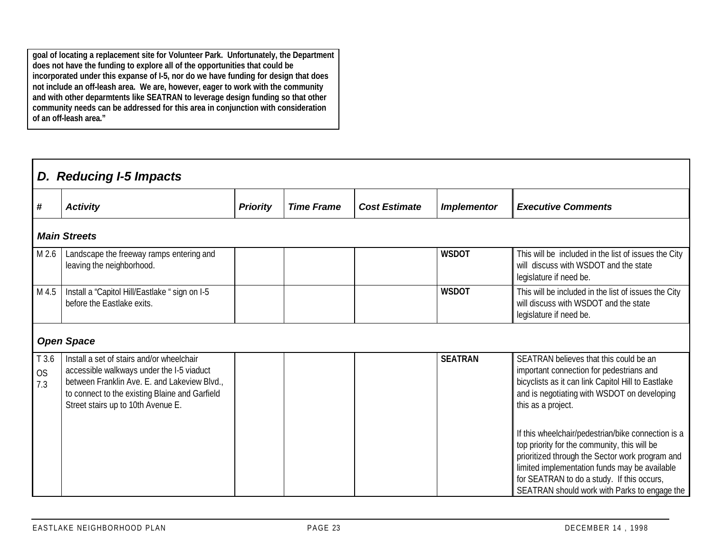**goal of locating a replacement site for Volunteer Park. Unfortunately, the Department does not have the funding to explore all of the opportunities that could be incorporated under this expanse of I-5, nor do we have funding for design that does not include an off-leash area. We are, however, eager to work with the community and with other deparmtents like SEATRAN to leverage design funding so that other community needs can be addressed for this area in conjunction with consideration of an off-leash area."**

|                           | D. Reducing I-5 Impacts                                                                                                                                                                                                        |                 |                   |                      |                    |                                                                                                                                                                                                                                                                                                      |  |  |  |  |  |
|---------------------------|--------------------------------------------------------------------------------------------------------------------------------------------------------------------------------------------------------------------------------|-----------------|-------------------|----------------------|--------------------|------------------------------------------------------------------------------------------------------------------------------------------------------------------------------------------------------------------------------------------------------------------------------------------------------|--|--|--|--|--|
| #                         | <b>Activity</b>                                                                                                                                                                                                                | <b>Priority</b> | <b>Time Frame</b> | <b>Cost Estimate</b> | <b>Implementor</b> | <b>Executive Comments</b>                                                                                                                                                                                                                                                                            |  |  |  |  |  |
|                           | <b>Main Streets</b>                                                                                                                                                                                                            |                 |                   |                      |                    |                                                                                                                                                                                                                                                                                                      |  |  |  |  |  |
| M 2.6                     | Landscape the freeway ramps entering and<br>leaving the neighborhood.                                                                                                                                                          |                 |                   |                      | <b>WSDOT</b>       | This will be included in the list of issues the City<br>will discuss with WSDOT and the state<br>legislature if need be.                                                                                                                                                                             |  |  |  |  |  |
| M 4.5                     | Install a "Capitol Hill/Eastlake "sign on I-5<br>before the Eastlake exits.                                                                                                                                                    |                 |                   |                      | <b>WSDOT</b>       | This will be included in the list of issues the City<br>will discuss with WSDOT and the state<br>legislature if need be.                                                                                                                                                                             |  |  |  |  |  |
|                           | <b>Open Space</b>                                                                                                                                                                                                              |                 |                   |                      |                    |                                                                                                                                                                                                                                                                                                      |  |  |  |  |  |
| T 3.6<br><b>OS</b><br>7.3 | Install a set of stairs and/or wheelchair<br>accessible walkways under the I-5 viaduct<br>between Franklin Ave. E. and Lakeview Blvd.,<br>to connect to the existing Blaine and Garfield<br>Street stairs up to 10th Avenue E. |                 |                   |                      | <b>SEATRAN</b>     | SEATRAN believes that this could be an<br>important connection for pedestrians and<br>bicyclists as it can link Capitol Hill to Eastlake<br>and is negotiating with WSDOT on developing<br>this as a project.                                                                                        |  |  |  |  |  |
|                           |                                                                                                                                                                                                                                |                 |                   |                      |                    | If this wheelchair/pedestrian/bike connection is a<br>top priority for the community, this will be<br>prioritized through the Sector work program and<br>limited implementation funds may be available<br>for SEATRAN to do a study. If this occurs,<br>SEATRAN should work with Parks to engage the |  |  |  |  |  |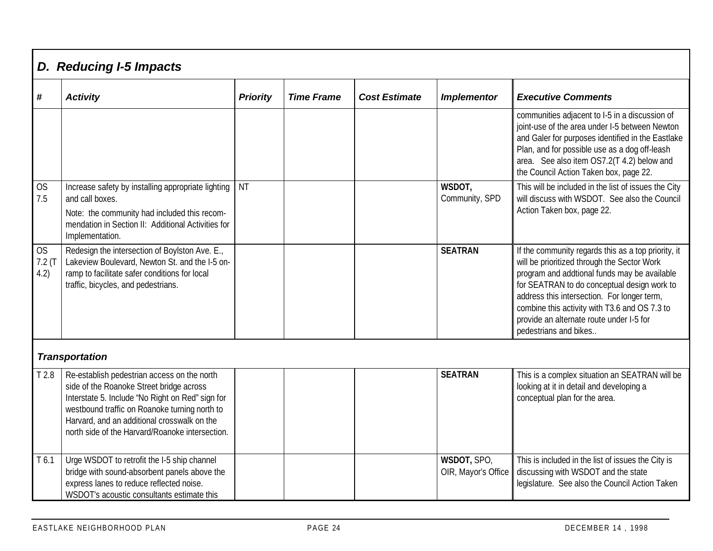|                             | D. Reducing I-5 Impacts                                                                                                                                                                                                                                                                        |                 |                   |                      |                                    |                                                                                                                                                                                                                                                                                                                                                                        |  |  |  |  |  |
|-----------------------------|------------------------------------------------------------------------------------------------------------------------------------------------------------------------------------------------------------------------------------------------------------------------------------------------|-----------------|-------------------|----------------------|------------------------------------|------------------------------------------------------------------------------------------------------------------------------------------------------------------------------------------------------------------------------------------------------------------------------------------------------------------------------------------------------------------------|--|--|--|--|--|
| #                           | <b>Activity</b>                                                                                                                                                                                                                                                                                | <b>Priority</b> | <b>Time Frame</b> | <b>Cost Estimate</b> | <b>Implementor</b>                 | <b>Executive Comments</b>                                                                                                                                                                                                                                                                                                                                              |  |  |  |  |  |
|                             |                                                                                                                                                                                                                                                                                                |                 |                   |                      |                                    | communities adjacent to I-5 in a discussion of<br>joint-use of the area under I-5 between Newton<br>and Galer for purposes identified in the Eastlake<br>Plan, and for possible use as a dog off-leash<br>area. See also item OS7.2(T 4.2) below and<br>the Council Action Taken box, page 22.                                                                         |  |  |  |  |  |
| <b>OS</b><br>7.5            | Increase safety by installing appropriate lighting<br>and call boxes.<br>Note: the community had included this recom-<br>mendation in Section II: Additional Activities for<br>Implementation.                                                                                                 | <b>NT</b>       |                   |                      | WSDOT,<br>Community, SPD           | This will be included in the list of issues the City<br>will discuss with WSDOT. See also the Council<br>Action Taken box, page 22.                                                                                                                                                                                                                                    |  |  |  |  |  |
| <b>OS</b><br>7.2(T)<br>4.2) | Redesign the intersection of Boylston Ave. E.,<br>Lakeview Boulevard, Newton St. and the I-5 on-<br>ramp to facilitate safer conditions for local<br>traffic, bicycles, and pedestrians.                                                                                                       |                 |                   |                      | <b>SEATRAN</b>                     | If the community regards this as a top priority, it<br>will be prioritized through the Sector Work<br>program and addtional funds may be available<br>for SEATRAN to do conceptual design work to<br>address this intersection. For longer term,<br>combine this activity with T3.6 and OS 7.3 to<br>provide an alternate route under I-5 for<br>pedestrians and bikes |  |  |  |  |  |
|                             | <b>Transportation</b>                                                                                                                                                                                                                                                                          |                 |                   |                      |                                    |                                                                                                                                                                                                                                                                                                                                                                        |  |  |  |  |  |
| T <sub>2.8</sub>            | Re-establish pedestrian access on the north<br>side of the Roanoke Street bridge across<br>Interstate 5. Include 'No Right on Red" sign for<br>westbound traffic on Roanoke turning north to<br>Harvard, and an additional crosswalk on the<br>north side of the Harvard/Roanoke intersection. |                 |                   |                      | <b>SEATRAN</b>                     | This is a complex situation an SEATRAN will be<br>looking at it in detail and developing a<br>conceptual plan for the area.                                                                                                                                                                                                                                            |  |  |  |  |  |
| T <sub>6.1</sub>            | Urge WSDOT to retrofit the I-5 ship channel<br>bridge with sound-absorbent panels above the<br>express lanes to reduce reflected noise.<br>WSDOT's acoustic consultants estimate this                                                                                                          |                 |                   |                      | WSDOT, SPO,<br>OIR, Mayor's Office | This is included in the list of issues the City is<br>discussing with WSDOT and the state<br>legislature. See also the Council Action Taken                                                                                                                                                                                                                            |  |  |  |  |  |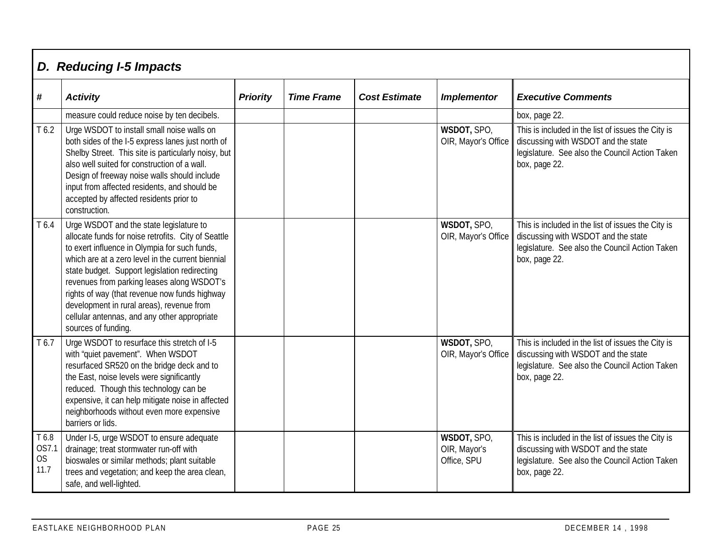|                              | D. Reducing I-5 Impacts                                                                                                                                                                                                                                                                                                                                                                                                                                                  |                 |                   |                      |                                            |                                                                                                                                                              |  |  |  |  |  |
|------------------------------|--------------------------------------------------------------------------------------------------------------------------------------------------------------------------------------------------------------------------------------------------------------------------------------------------------------------------------------------------------------------------------------------------------------------------------------------------------------------------|-----------------|-------------------|----------------------|--------------------------------------------|--------------------------------------------------------------------------------------------------------------------------------------------------------------|--|--|--|--|--|
| #                            | <b>Activity</b>                                                                                                                                                                                                                                                                                                                                                                                                                                                          | <b>Priority</b> | <b>Time Frame</b> | <b>Cost Estimate</b> | <b>Implementor</b>                         | <b>Executive Comments</b>                                                                                                                                    |  |  |  |  |  |
|                              | measure could reduce noise by ten decibels.                                                                                                                                                                                                                                                                                                                                                                                                                              |                 |                   |                      |                                            | box, page 22.                                                                                                                                                |  |  |  |  |  |
| T <sub>6.2</sub>             | Urge WSDOT to install small noise walls on<br>both sides of the I-5 express lanes just north of<br>Shelby Street. This site is particularly noisy, but<br>also well suited for construction of a wall.<br>Design of freeway noise walls should include<br>input from affected residents, and should be<br>accepted by affected residents prior to<br>construction.                                                                                                       |                 |                   |                      | WSDOT, SPO,<br>OIR, Mayor's Office         | This is included in the list of issues the City is<br>discussing with WSDOT and the state<br>legislature. See also the Council Action Taken<br>box, page 22. |  |  |  |  |  |
| T 6.4                        | Urge WSDOT and the state legislature to<br>allocate funds for noise retrofits. City of Seattle<br>to exert influence in Olympia for such funds,<br>which are at a zero level in the current biennial<br>state budget. Support legislation redirecting<br>revenues from parking leases along WSDOT's<br>rights of way (that revenue now funds highway<br>development in rural areas), revenue from<br>cellular antennas, and any other appropriate<br>sources of funding. |                 |                   |                      | WSDOT, SPO,<br>OIR, Mayor's Office         | This is included in the list of issues the City is<br>discussing with WSDOT and the state<br>legislature. See also the Council Action Taken<br>box, page 22. |  |  |  |  |  |
| T 6.7                        | Urge WSDOT to resurface this stretch of I-5<br>with "quiet pavement". When WSDOT<br>resurfaced SR520 on the bridge deck and to<br>the East, noise levels were significantly<br>reduced. Though this technology can be<br>expensive, it can help mitigate noise in affected<br>neighborhoods without even more expensive<br>barriers or lids.                                                                                                                             |                 |                   |                      | WSDOT, SPO,<br>OIR, Mayor's Office         | This is included in the list of issues the City is<br>discussing with WSDOT and the state<br>legislature. See also the Council Action Taken<br>box, page 22. |  |  |  |  |  |
| T 6.8<br>OS7.1<br>OS<br>11.7 | Under I-5, urge WSDOT to ensure adequate<br>drainage; treat stormwater run-off with<br>bioswales or similar methods; plant suitable<br>trees and vegetation; and keep the area clean,<br>safe, and well-lighted.                                                                                                                                                                                                                                                         |                 |                   |                      | WSDOT, SPO,<br>OIR, Mayor's<br>Office, SPU | This is included in the list of issues the City is<br>discussing with WSDOT and the state<br>legislature. See also the Council Action Taken<br>box, page 22. |  |  |  |  |  |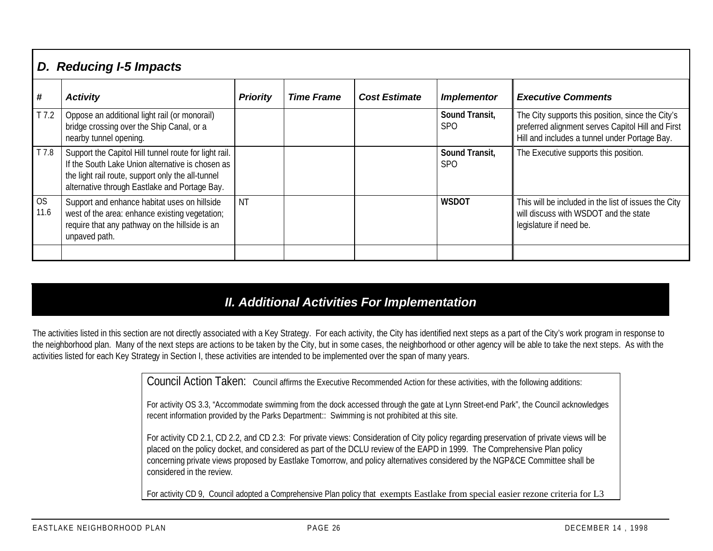|                  | D. Reducing I-5 Impacts                                                                                                                                                                                         |                 |                   |                      |                                   |                                                                                                                                                         |  |  |  |  |  |
|------------------|-----------------------------------------------------------------------------------------------------------------------------------------------------------------------------------------------------------------|-----------------|-------------------|----------------------|-----------------------------------|---------------------------------------------------------------------------------------------------------------------------------------------------------|--|--|--|--|--|
| #                | <b>Activity</b>                                                                                                                                                                                                 | <b>Priority</b> | <b>Time Frame</b> | <b>Cost Estimate</b> | <b>Implementor</b>                | <b>Executive Comments</b>                                                                                                                               |  |  |  |  |  |
| T <sub>7.2</sub> | Oppose an additional light rail (or monorail)<br>bridge crossing over the Ship Canal, or a<br>nearby tunnel opening.                                                                                            |                 |                   |                      | Sound Transit,<br>SP <sub>O</sub> | The City supports this position, since the City's<br>preferred alignment serves Capitol Hill and First<br>Hill and includes a tunnel under Portage Bay. |  |  |  |  |  |
| T 7.8            | Support the Capitol Hill tunnel route for light rail.<br>If the South Lake Union alternative is chosen as<br>the light rail route, support only the all-tunnel<br>alternative through Eastlake and Portage Bay. |                 |                   |                      | Sound Transit,<br><b>SPO</b>      | The Executive supports this position.                                                                                                                   |  |  |  |  |  |
| OS<br>11.6       | Support and enhance habitat uses on hillside<br>west of the area: enhance existing vegetation;<br>require that any pathway on the hillside is an<br>unpaved path.                                               | ΝT              |                   |                      | <b>WSDOT</b>                      | This will be included in the list of issues the City<br>will discuss with WSDOT and the state<br>legislature if need be.                                |  |  |  |  |  |
|                  |                                                                                                                                                                                                                 |                 |                   |                      |                                   |                                                                                                                                                         |  |  |  |  |  |

## *II. Additional Activities For Implementation*

The activities listed in this section are not directly associated with a Key Strategy. For each activity, the City has identified next steps as a part of the City's work program in response to the neighborhood plan. Many of the next steps are actions to be taken by the City, but in some cases, the neighborhood or other agency will be able to take the next steps. As with the activities listed for each Key Strategy in Section I, these activities are intended to be implemented over the span of many years.

Council Action Taken: Council affirms the Executive Recommended Action for these activities, with the following additions:

For activity OS 3.3, "Accommodate swimming from the dock accessed through the gate at Lynn Street-end Park", the Council acknowledges recent information provided by the Parks Department:: Swimming is not prohibited at this site.

For activity CD 2.1, CD 2.2, and CD 2.3: For private views: Consideration of City policy regarding preservation of private views will be placed on the policy docket, and considered as part of the DCLU review of the EAPD in 1999. The Comprehensive Plan policy concerning private views proposed by Eastlake Tomorrow, and policy alternatives considered by the NGP&CE Committee shall be considered in the review.

For activity CD 9, Council adopted a Comprehensive Plan policy that exempts Eastlake from special easier rezone criteria for L3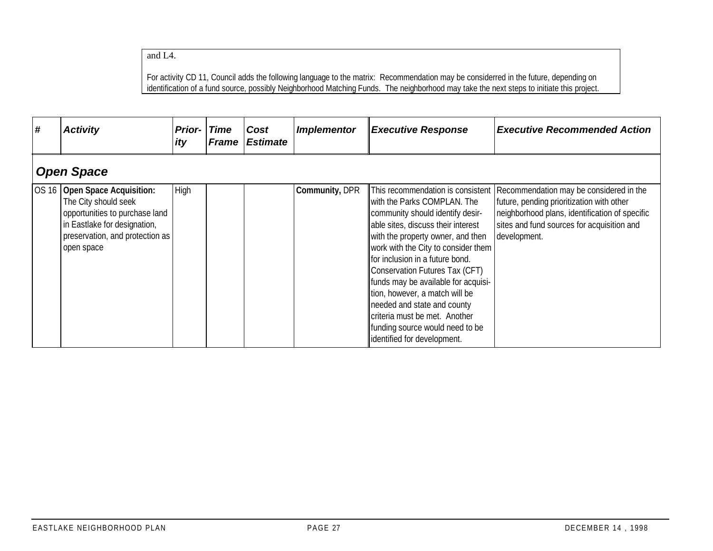and L4.

For activity CD 11, Council adds the following language to the matrix: Recommendation may be considerred in the future, depending on identification of a fund source, possibly Neighborhood Matching Funds. The neighborhood may take the next steps to initiate this project.

| #     | <b>Activity</b>                                                                                                                                                           | <b>Prior-</b><br>ity | <b>Time</b><br><b>Frame</b> | Cost<br><b>Estimate</b> | Implementor    | <b>Executive Response</b>                                                                                                                                                                                                                                                                                                                                                                                                                                         | <b>Executive Recommended Action</b>                                                                                                                                                                                                      |  |  |  |  |  |
|-------|---------------------------------------------------------------------------------------------------------------------------------------------------------------------------|----------------------|-----------------------------|-------------------------|----------------|-------------------------------------------------------------------------------------------------------------------------------------------------------------------------------------------------------------------------------------------------------------------------------------------------------------------------------------------------------------------------------------------------------------------------------------------------------------------|------------------------------------------------------------------------------------------------------------------------------------------------------------------------------------------------------------------------------------------|--|--|--|--|--|
|       | <b>Open Space</b>                                                                                                                                                         |                      |                             |                         |                |                                                                                                                                                                                                                                                                                                                                                                                                                                                                   |                                                                                                                                                                                                                                          |  |  |  |  |  |
| OS 16 | <b>Open Space Acquisition:</b><br>The City should seek<br>opportunities to purchase land<br>in Eastlake for designation,<br>preservation, and protection as<br>open space | High                 |                             |                         | Community, DPR | with the Parks COMPLAN. The<br>community should identify desir-<br>able sites, discuss their interest<br>with the property owner, and then<br>work with the City to consider them<br>for inclusion in a future bond.<br>Conservation Futures Tax (CFT)<br>funds may be available for acquisi-<br>tion, however, a match will be<br>needed and state and county<br>criteria must be met. Another<br>funding source would need to be<br>identified for development. | This recommendation is consistent   Recommendation may be considered in the<br>future, pending prioritization with other<br>neighborhood plans, identification of specific<br>sites and fund sources for acquisition and<br>development. |  |  |  |  |  |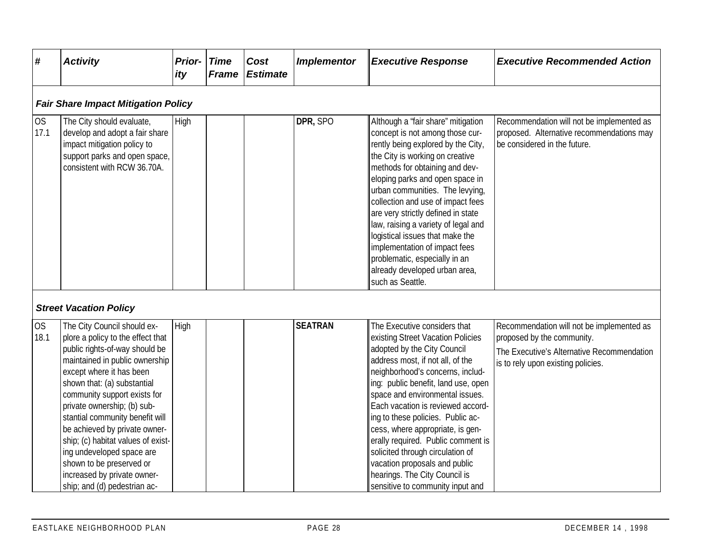| #                 | <b>Activity</b>                                                                                                                                                                                                                                                                                                                                                                                                                                                                                  | <b>Prior-</b><br>ity | <b>Time</b><br><b>Frame</b> | Cost<br><b>Estimate</b> | <b>Implementor</b> | <b>Executive Response</b>                                                                                                                                                                                                                                                                                                                                                                                                                                                                                                                        | <b>Executive Recommended Action</b>                                                                                                                         |
|-------------------|--------------------------------------------------------------------------------------------------------------------------------------------------------------------------------------------------------------------------------------------------------------------------------------------------------------------------------------------------------------------------------------------------------------------------------------------------------------------------------------------------|----------------------|-----------------------------|-------------------------|--------------------|--------------------------------------------------------------------------------------------------------------------------------------------------------------------------------------------------------------------------------------------------------------------------------------------------------------------------------------------------------------------------------------------------------------------------------------------------------------------------------------------------------------------------------------------------|-------------------------------------------------------------------------------------------------------------------------------------------------------------|
|                   | <b>Fair Share Impact Mitigation Policy</b>                                                                                                                                                                                                                                                                                                                                                                                                                                                       |                      |                             |                         |                    |                                                                                                                                                                                                                                                                                                                                                                                                                                                                                                                                                  |                                                                                                                                                             |
| <b>OS</b><br>17.1 | The City should evaluate,<br>develop and adopt a fair share<br>impact mitigation policy to<br>support parks and open space,<br>consistent with RCW 36.70A.                                                                                                                                                                                                                                                                                                                                       | High                 |                             |                         | DPR, SPO           | Although a 'fair share" mitigation<br>concept is not among those cur-<br>rently being explored by the City,<br>the City is working on creative<br>methods for obtaining and dev-<br>eloping parks and open space in<br>urban communities. The levying,<br>collection and use of impact fees<br>are very strictly defined in state<br>law, raising a variety of legal and<br>logistical issues that make the<br>implementation of impact fees<br>problematic, especially in an<br>already developed urban area,<br>such as Seattle.               | Recommendation will not be implemented as<br>proposed. Alternative recommendations may<br>be considered in the future.                                      |
|                   | <b>Street Vacation Policy</b>                                                                                                                                                                                                                                                                                                                                                                                                                                                                    |                      |                             |                         |                    |                                                                                                                                                                                                                                                                                                                                                                                                                                                                                                                                                  |                                                                                                                                                             |
| <b>OS</b><br>18.1 | The City Council should ex-<br>plore a policy to the effect that<br>public rights-of-way should be<br>maintained in public ownership<br>except where it has been<br>shown that: (a) substantial<br>community support exists for<br>private ownership; (b) sub-<br>stantial community benefit will<br>be achieved by private owner-<br>ship; (c) habitat values of exist-<br>ing undeveloped space are<br>shown to be preserved or<br>increased by private owner-<br>ship; and (d) pedestrian ac- | High                 |                             |                         | <b>SEATRAN</b>     | The Executive considers that<br>existing Street Vacation Policies<br>adopted by the City Council<br>address most, if not all, of the<br>neighborhood's concerns, includ-<br>ing: public benefit, land use, open<br>space and environmental issues.<br>Each vacation is reviewed accord-<br>ing to these policies. Public ac-<br>cess, where appropriate, is gen-<br>erally required. Public comment is<br>solicited through circulation of<br>vacation proposals and public<br>hearings. The City Council is<br>sensitive to community input and | Recommendation will not be implemented as<br>proposed by the community.<br>The Executive's Alternative Recommendation<br>is to rely upon existing policies. |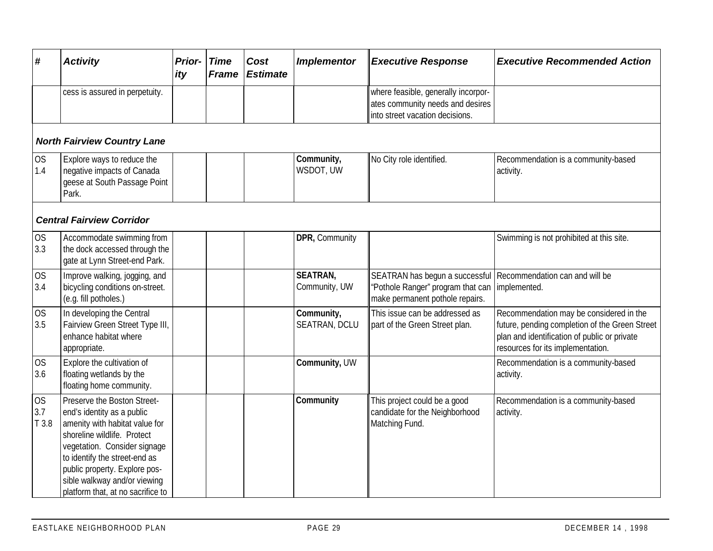| #                         | <b>Activity</b>                                                                                                                                                                                                                                                                                   | <b>Prior-</b><br>ity | <b>Time</b><br><b>Frame</b> | Cost<br><b>Estimate</b> | <b>Implementor</b>                 | <b>Executive Response</b>                                                                                                                            | <b>Executive Recommended Action</b>                                                                                                                                            |  |  |  |  |  |  |
|---------------------------|---------------------------------------------------------------------------------------------------------------------------------------------------------------------------------------------------------------------------------------------------------------------------------------------------|----------------------|-----------------------------|-------------------------|------------------------------------|------------------------------------------------------------------------------------------------------------------------------------------------------|--------------------------------------------------------------------------------------------------------------------------------------------------------------------------------|--|--|--|--|--|--|
|                           | cess is assured in perpetuity.                                                                                                                                                                                                                                                                    |                      |                             |                         |                                    | where feasible, generally incorpor-<br>ates community needs and desires<br>into street vacation decisions.                                           |                                                                                                                                                                                |  |  |  |  |  |  |
|                           | <b>North Fairview Country Lane</b>                                                                                                                                                                                                                                                                |                      |                             |                         |                                    |                                                                                                                                                      |                                                                                                                                                                                |  |  |  |  |  |  |
| OS<br>1.4                 | Explore ways to reduce the<br>negative impacts of Canada<br>geese at South Passage Point<br>Park.                                                                                                                                                                                                 |                      |                             |                         | Community,<br>WSDOT, UW            | No City role identified.                                                                                                                             | Recommendation is a community-based<br>activity.                                                                                                                               |  |  |  |  |  |  |
|                           | <b>Central Fairview Corridor</b>                                                                                                                                                                                                                                                                  |                      |                             |                         |                                    |                                                                                                                                                      |                                                                                                                                                                                |  |  |  |  |  |  |
| OS<br>3.3                 | Accommodate swimming from<br>the dock accessed through the<br>gate at Lynn Street-end Park.                                                                                                                                                                                                       |                      |                             |                         | DPR, Community                     |                                                                                                                                                      | Swimming is not prohibited at this site.                                                                                                                                       |  |  |  |  |  |  |
| OS<br>3.4                 | Improve walking, jogging, and<br>bicycling conditions on-street.<br>(e.g. fill potholes.)                                                                                                                                                                                                         |                      |                             |                         | <b>SEATRAN,</b><br>Community, UW   | SEATRAN has begun a successful Recommendation can and will be<br>"Pothole Ranger" program that can   implemented.<br>make permanent pothole repairs. |                                                                                                                                                                                |  |  |  |  |  |  |
| <b>OS</b><br>3.5          | In developing the Central<br>Fairview Green Street Type III,<br>enhance habitat where<br>appropriate.                                                                                                                                                                                             |                      |                             |                         | Community,<br><b>SEATRAN, DCLU</b> | This issue can be addressed as<br>part of the Green Street plan.                                                                                     | Recommendation may be considered in the<br>future, pending completion of the Green Street<br>plan and identification of public or private<br>resources for its implementation. |  |  |  |  |  |  |
| OS<br>3.6                 | Explore the cultivation of<br>floating wetlands by the<br>floating home community.                                                                                                                                                                                                                |                      |                             |                         | Community, UW                      |                                                                                                                                                      | Recommendation is a community-based<br>activity.                                                                                                                               |  |  |  |  |  |  |
| <b>OS</b><br>3.7<br>T 3.8 | Preserve the Boston Street-<br>end's identity as a public<br>amenity with habitat value for<br>shoreline wildlife. Protect<br>vegetation. Consider signage<br>to identify the street-end as<br>public property. Explore pos-<br>sible walkway and/or viewing<br>platform that, at no sacrifice to |                      |                             |                         | Community                          | This project could be a good<br>candidate for the Neighborhood<br>Matching Fund.                                                                     | Recommendation is a community-based<br>activity.                                                                                                                               |  |  |  |  |  |  |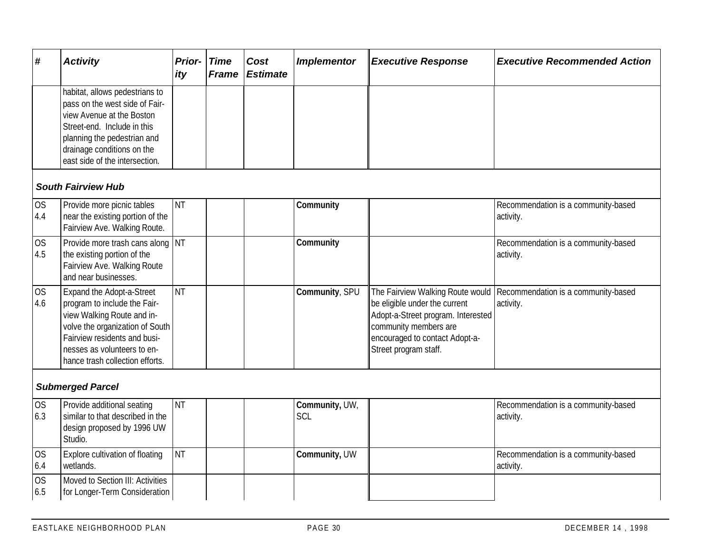| $\pmb{\#}$                | <b>Activity</b>                                                                                                                                                                                                              | Prior-<br>ity | <b>Time</b><br><b>Frame</b> | Cost<br><b>Estimate</b> | <b>Implementor</b>    | <b>Executive Response</b>                                                                                                                                                                   | <b>Executive Recommended Action</b>              |  |  |  |  |
|---------------------------|------------------------------------------------------------------------------------------------------------------------------------------------------------------------------------------------------------------------------|---------------|-----------------------------|-------------------------|-----------------------|---------------------------------------------------------------------------------------------------------------------------------------------------------------------------------------------|--------------------------------------------------|--|--|--|--|
|                           | habitat, allows pedestrians to<br>pass on the west side of Fair-<br>view Avenue at the Boston<br>Street-end. Include in this<br>planning the pedestrian and<br>drainage conditions on the<br>east side of the intersection.  |               |                             |                         |                       |                                                                                                                                                                                             |                                                  |  |  |  |  |
| <b>South Fairview Hub</b> |                                                                                                                                                                                                                              |               |                             |                         |                       |                                                                                                                                                                                             |                                                  |  |  |  |  |
| <b>OS</b><br>4.4          | Provide more picnic tables<br>near the existing portion of the<br>Fairview Ave. Walking Route.                                                                                                                               | <b>NT</b>     |                             |                         | Community             |                                                                                                                                                                                             | Recommendation is a community-based<br>activity. |  |  |  |  |
| <b>OS</b><br>4.5          | Provide more trash cans along NT<br>the existing portion of the<br>Fairview Ave. Walking Route<br>and near businesses.                                                                                                       |               |                             |                         | Community             |                                                                                                                                                                                             | Recommendation is a community-based<br>activity. |  |  |  |  |
| <b>OS</b><br>4.6          | Expand the Adopt-a-Street<br>program to include the Fair-<br>view Walking Route and in-<br>volve the organization of South<br>Fairview residents and busi-<br>nesses as volunteers to en-<br>hance trash collection efforts. | <b>NT</b>     |                             |                         | Community, SPU        | The Fairview Walking Route would<br>be eligible under the current<br>Adopt-a-Street program. Interested<br>community members are<br>encouraged to contact Adopt-a-<br>Street program staff. | Recommendation is a community-based<br>activity. |  |  |  |  |
|                           | <b>Submerged Parcel</b>                                                                                                                                                                                                      |               |                             |                         |                       |                                                                                                                                                                                             |                                                  |  |  |  |  |
| <b>OS</b><br>6.3          | Provide additional seating<br>similar to that described in the<br>design proposed by 1996 UW<br>Studio.                                                                                                                      | <b>NT</b>     |                             |                         | Community, UW,<br>SCL |                                                                                                                                                                                             | Recommendation is a community-based<br>activity. |  |  |  |  |
| <b>OS</b><br>6.4          | Explore cultivation of floating<br>wetlands.                                                                                                                                                                                 | <b>NT</b>     |                             |                         | Community, UW         |                                                                                                                                                                                             | Recommendation is a community-based<br>activity. |  |  |  |  |
| <b>OS</b><br>6.5          | Moved to Section III: Activities<br>for Longer-Term Consideration                                                                                                                                                            |               |                             |                         |                       |                                                                                                                                                                                             |                                                  |  |  |  |  |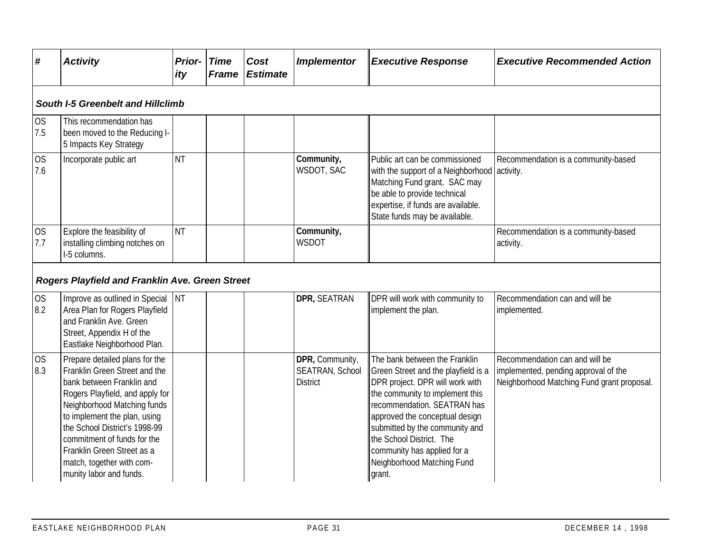| #                                 | <b>Activity</b>                                                                                                                                                                                                                                                                                                                                      | <b>Prior-</b><br>ity | <b>Time</b><br><b>Frame</b> | Cost<br><b>Estimate</b> | <b>Implementor</b>                                    | <b>Executive Response</b>                                                                                                                                                                                                                                                                                                                        | <b>Executive Recommended Action</b>                                                                                  |  |  |  |  |  |
|-----------------------------------|------------------------------------------------------------------------------------------------------------------------------------------------------------------------------------------------------------------------------------------------------------------------------------------------------------------------------------------------------|----------------------|-----------------------------|-------------------------|-------------------------------------------------------|--------------------------------------------------------------------------------------------------------------------------------------------------------------------------------------------------------------------------------------------------------------------------------------------------------------------------------------------------|----------------------------------------------------------------------------------------------------------------------|--|--|--|--|--|
| South I-5 Greenbelt and Hillclimb |                                                                                                                                                                                                                                                                                                                                                      |                      |                             |                         |                                                       |                                                                                                                                                                                                                                                                                                                                                  |                                                                                                                      |  |  |  |  |  |
| <b>OS</b><br>7.5                  | This recommendation has<br>been moved to the Reducing I-<br>5 Impacts Key Strategy                                                                                                                                                                                                                                                                   |                      |                             |                         |                                                       |                                                                                                                                                                                                                                                                                                                                                  |                                                                                                                      |  |  |  |  |  |
| OS<br>7.6                         | Incorporate public art                                                                                                                                                                                                                                                                                                                               | <b>NT</b>            |                             |                         | Community,<br>WSDOT, SAC                              | Public art can be commissioned<br>with the support of a Neighborhood activity.<br>Matching Fund grant. SAC may<br>be able to provide technical<br>expertise, if funds are available.<br>State funds may be available.                                                                                                                            | Recommendation is a community-based                                                                                  |  |  |  |  |  |
| <b>OS</b><br>7.7                  | Explore the feasibility of<br>installing climbing notches on<br>I-5 columns.                                                                                                                                                                                                                                                                         | <b>NT</b>            |                             |                         | Community,<br>WSDOT                                   |                                                                                                                                                                                                                                                                                                                                                  | Recommendation is a community-based<br>activity.                                                                     |  |  |  |  |  |
|                                   | <b>Rogers Playfield and Franklin Ave. Green Street</b>                                                                                                                                                                                                                                                                                               |                      |                             |                         |                                                       |                                                                                                                                                                                                                                                                                                                                                  |                                                                                                                      |  |  |  |  |  |
| OS<br>8.2                         | Improve as outlined in Special<br>Area Plan for Rogers Playfield<br>and Franklin Ave. Green<br>Street, Appendix H of the<br>Eastlake Neighborhood Plan.                                                                                                                                                                                              | <b>NT</b>            |                             |                         | DPR, SEATRAN                                          | DPR will work with community to<br>implement the plan.                                                                                                                                                                                                                                                                                           | Recommendation can and will be<br>implemented.                                                                       |  |  |  |  |  |
| <b>OS</b><br>8.3                  | Prepare detailed plans for the<br>Franklin Green Street and the<br>bank between Franklin and<br>Rogers Playfield, and apply for<br>Neighborhood Matching funds<br>to implement the plan, using<br>the School District's 1998-99<br>commitment of funds for the<br>Franklin Green Street as a<br>match, together with com-<br>munity labor and funds. |                      |                             |                         | DPR, Community,<br>SEATRAN, School<br><b>District</b> | The bank between the Franklin<br>Green Street and the playfield is a<br>DPR project. DPR will work with<br>the community to implement this<br>recommendation. SEATRAN has<br>approved the conceptual design<br>submitted by the community and<br>the School District. The<br>community has applied for a<br>Neighborhood Matching Fund<br>grant. | Recommendation can and will be<br>implemented, pending approval of the<br>Neighborhood Matching Fund grant proposal. |  |  |  |  |  |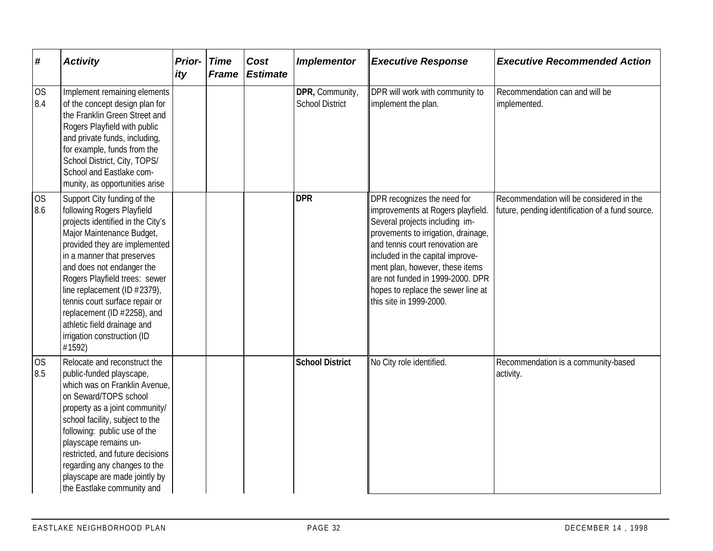| #                | <b>Activity</b>                                                                                                                                                                                                                                                                                                                                                                                                                  | <b>Prior-</b> Time<br>ity | <b>Frame</b> | Cost<br><b>Estimate</b> | <b>Implementor</b>                        | <b>Executive Response</b>                                                                                                                                                                                                                                                                                                                                | <b>Executive Recommended Action</b>                                                          |
|------------------|----------------------------------------------------------------------------------------------------------------------------------------------------------------------------------------------------------------------------------------------------------------------------------------------------------------------------------------------------------------------------------------------------------------------------------|---------------------------|--------------|-------------------------|-------------------------------------------|----------------------------------------------------------------------------------------------------------------------------------------------------------------------------------------------------------------------------------------------------------------------------------------------------------------------------------------------------------|----------------------------------------------------------------------------------------------|
| <b>OS</b><br>8.4 | Implement remaining elements<br>of the concept design plan for<br>the Franklin Green Street and<br>Rogers Playfield with public<br>and private funds, including,<br>for example, funds from the<br>School District, City, TOPS/<br>School and Eastlake com-<br>munity, as opportunities arise                                                                                                                                    |                           |              |                         | DPR, Community,<br><b>School District</b> | DPR will work with community to<br>implement the plan.                                                                                                                                                                                                                                                                                                   | Recommendation can and will be<br>implemented.                                               |
| <b>OS</b><br>8.6 | Support City funding of the<br>following Rogers Playfield<br>projects identified in the City's<br>Major Maintenance Budget<br>provided they are implemented<br>in a manner that preserves<br>and does not endanger the<br>Rogers Playfield trees: sewer<br>line replacement (ID #2379),<br>tennis court surface repair or<br>replacement (ID #2258), and<br>athletic field drainage and<br>irrigation construction (ID<br>#1592) |                           |              |                         | <b>DPR</b>                                | DPR recognizes the need for<br>improvements at Rogers playfield.<br>Several projects including im-<br>provements to irrigation, drainage,<br>and tennis court renovation are<br>included in the capital improve-<br>ment plan, however, these items<br>are not funded in 1999-2000. DPR<br>hopes to replace the sewer line at<br>this site in 1999-2000. | Recommendation will be considered in the<br>future, pending identification of a fund source. |
| <b>OS</b><br>8.5 | Relocate and reconstruct the<br>public-funded playscape,<br>which was on Franklin Avenue,<br>on Seward/TOPS school<br>property as a joint community/<br>school facility, subject to the<br>following: public use of the<br>playscape remains un-<br>restricted, and future decisions<br>regarding any changes to the<br>playscape are made jointly by<br>the Eastlake community and                                              |                           |              |                         | <b>School District</b>                    | No City role identified.                                                                                                                                                                                                                                                                                                                                 | Recommendation is a community-based<br>activity.                                             |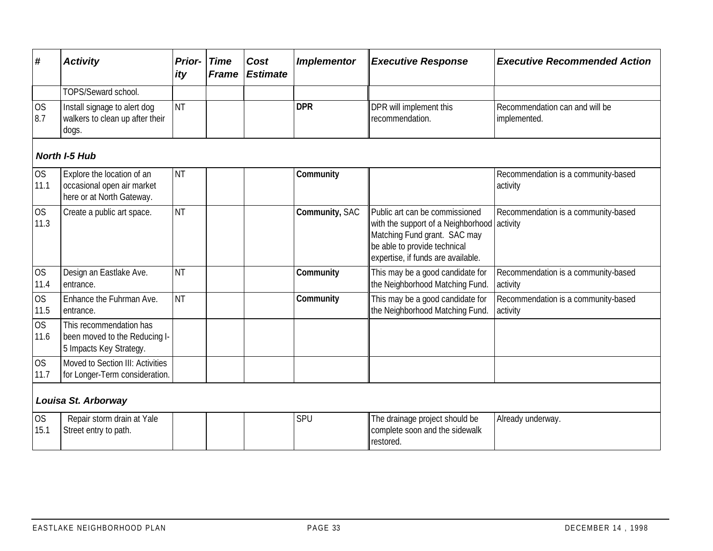| #                 | <b>Activity</b>                                                                       | Prior-<br>ity | <b>Time</b><br><b>Frame</b> | Cost<br><b>Estimate</b> | <b>Implementor</b> | <b>Executive Response</b>                                                                                                                                                           | <b>Executive Recommended Action</b>             |
|-------------------|---------------------------------------------------------------------------------------|---------------|-----------------------------|-------------------------|--------------------|-------------------------------------------------------------------------------------------------------------------------------------------------------------------------------------|-------------------------------------------------|
|                   | TOPS/Seward school.                                                                   |               |                             |                         |                    |                                                                                                                                                                                     |                                                 |
| <b>OS</b><br>8.7  | Install signage to alert dog<br>walkers to clean up after their<br>dogs.              | <b>NT</b>     |                             |                         | <b>DPR</b>         | DPR will implement this<br>recommendation.                                                                                                                                          | Recommendation can and will be<br>implemented.  |
|                   | <b>North I-5 Hub</b>                                                                  |               |                             |                         |                    |                                                                                                                                                                                     |                                                 |
| <b>OS</b><br>11.1 | Explore the location of an<br>occasional open air market<br>here or at North Gateway. | <b>NT</b>     |                             |                         | Community          |                                                                                                                                                                                     | Recommendation is a community-based<br>activity |
| <b>OS</b><br>11.3 | Create a public art space.                                                            | <b>NT</b>     |                             |                         | Community, SAC     | Public art can be commissioned<br>with the support of a Neighborhood activity<br>Matching Fund grant. SAC may<br>be able to provide technical<br>expertise, if funds are available. | Recommendation is a community-based             |
| <b>OS</b><br>11.4 | Design an Eastlake Ave.<br>entrance.                                                  | <b>NT</b>     |                             |                         | Community          | This may be a good candidate for<br>the Neighborhood Matching Fund.                                                                                                                 | Recommendation is a community-based<br>activity |
| <b>OS</b><br>11.5 | Enhance the Fuhrman Ave.<br>entrance.                                                 | <b>NT</b>     |                             |                         | Community          | This may be a good candidate for<br>the Neighborhood Matching Fund.                                                                                                                 | Recommendation is a community-based<br>activity |
| <b>OS</b><br>11.6 | This recommendation has<br>been moved to the Reducing I<br>5 Impacts Key Strategy.    |               |                             |                         |                    |                                                                                                                                                                                     |                                                 |
| <b>OS</b><br>11.7 | Moved to Section III: Activities<br>for Longer-Term consideration.                    |               |                             |                         |                    |                                                                                                                                                                                     |                                                 |
|                   | Louisa St. Arborway                                                                   |               |                             |                         |                    |                                                                                                                                                                                     |                                                 |
| <b>OS</b><br>15.1 | Repair storm drain at Yale<br>Street entry to path.                                   |               |                             |                         | SPU                | The drainage project should be<br>complete soon and the sidewalk<br>restored.                                                                                                       | Already underway.                               |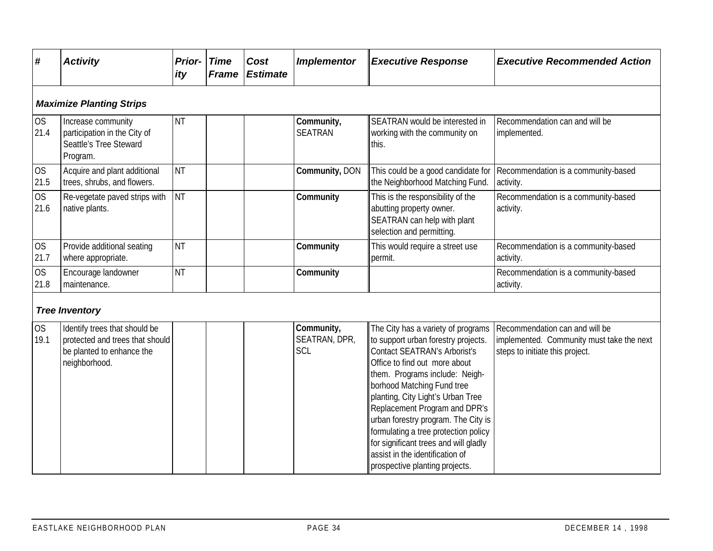| #                               | <b>Activity</b>                                                                                                | <b>Prior-</b><br>ity | <b>Time</b><br><b>Frame</b> | Cost<br><b>Estimate</b> | <b>Implementor</b>                 | <b>Executive Response</b>                                                                                                                                                                                                                                                        | <b>Executive Recommended Action</b>                                                                            |  |  |  |  |  |
|---------------------------------|----------------------------------------------------------------------------------------------------------------|----------------------|-----------------------------|-------------------------|------------------------------------|----------------------------------------------------------------------------------------------------------------------------------------------------------------------------------------------------------------------------------------------------------------------------------|----------------------------------------------------------------------------------------------------------------|--|--|--|--|--|
| <b>Maximize Planting Strips</b> |                                                                                                                |                      |                             |                         |                                    |                                                                                                                                                                                                                                                                                  |                                                                                                                |  |  |  |  |  |
| <b>OS</b><br>21.4               | Increase community<br>participation in the City of<br>Seattle's Tree Steward<br>Program.                       | <b>NT</b>            |                             |                         | Community,<br><b>SEATRAN</b>       | SEATRAN would be interested in<br>working with the community on<br>this.                                                                                                                                                                                                         | Recommendation can and will be<br>implemented.                                                                 |  |  |  |  |  |
| <b>OS</b><br>21.5               | Acquire and plant additional<br>trees, shrubs, and flowers.                                                    | <b>NT</b>            |                             |                         | Community, DON                     | This could be a good candidate for<br>the Neighborhood Matching Fund.                                                                                                                                                                                                            | Recommendation is a community-based<br>activity.                                                               |  |  |  |  |  |
| <b>OS</b><br>21.6               | Re-vegetate paved strips with<br>native plants.                                                                | <b>NT</b>            |                             |                         | Community                          | This is the responsibility of the<br>abutting property owner.<br>SEATRAN can help with plant<br>selection and permitting.                                                                                                                                                        | Recommendation is a community-based<br>activity.                                                               |  |  |  |  |  |
| <b>OS</b><br>21.7               | Provide additional seating<br>where appropriate.                                                               | <b>NT</b>            |                             |                         | Community                          | This would require a street use<br>permit.                                                                                                                                                                                                                                       | Recommendation is a community-based<br>activity.                                                               |  |  |  |  |  |
| <b>OS</b><br>21.8               | Encourage landowner<br>maintenance.                                                                            | <b>NT</b>            |                             |                         | Community                          |                                                                                                                                                                                                                                                                                  | Recommendation is a community-based<br>activity.                                                               |  |  |  |  |  |
|                                 | <b>Tree Inventory</b>                                                                                          |                      |                             |                         |                                    |                                                                                                                                                                                                                                                                                  |                                                                                                                |  |  |  |  |  |
| <b>OS</b><br>19.1               | Identify trees that should be<br>protected and trees that should<br>be planted to enhance the<br>neighborhood. |                      |                             |                         | Community,<br>SEATRAN, DPR,<br>SCL | The City has a variety of programs<br>to support urban forestry projects.<br>Contact SEATRAN's Arborist's<br>Office to find out more about<br>them. Programs include: Neigh-<br>borhood Matching Fund tree<br>planting, City Light's Urban Tree<br>Replacement Program and DPR's | Recommendation can and will be<br>implemented. Community must take the next<br>steps to initiate this project. |  |  |  |  |  |

urban forestry program. The City is formulating a tree protection policy for significant trees and will gladly assist in the identification of prospective planting projects.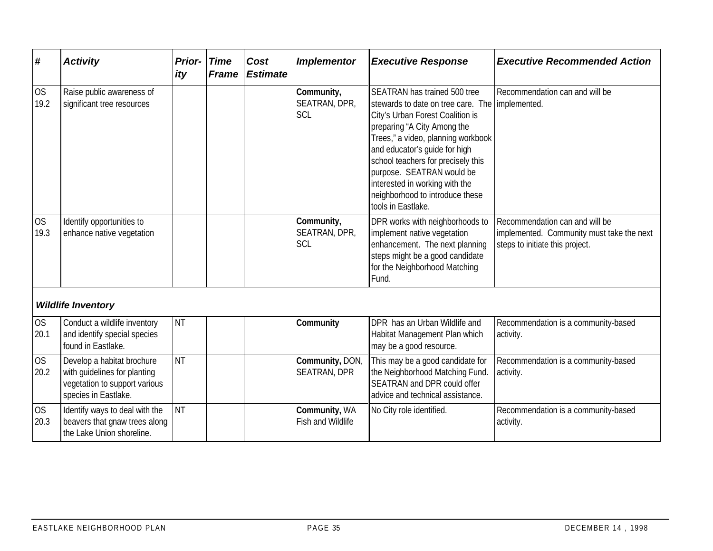| #                 | <b>Activity</b>                                                                                                     | <b>Prior-</b><br>ity | <b>Time</b><br><b>Frame</b> | Cost<br><b>Estimate</b> | <b>Implementor</b>                 | <b>Executive Response</b>                                                                                                                                                                                                                                                                                                                                                               | <b>Executive Recommended Action</b>                                                                            |
|-------------------|---------------------------------------------------------------------------------------------------------------------|----------------------|-----------------------------|-------------------------|------------------------------------|-----------------------------------------------------------------------------------------------------------------------------------------------------------------------------------------------------------------------------------------------------------------------------------------------------------------------------------------------------------------------------------------|----------------------------------------------------------------------------------------------------------------|
| <b>OS</b><br>19.2 | Raise public awareness of<br>significant tree resources                                                             |                      |                             |                         | Community,<br>SEATRAN, DPR,<br>SCL | SEATRAN has trained 500 tree<br>stewards to date on tree care. The implemented.<br>City's Urban Forest Coalition is<br>preparing "A City Among the<br>Trees," a video, planning workbook<br>and educator's quide for high<br>school teachers for precisely this<br>purpose. SEATRAN would be<br>interested in working with the<br>neighborhood to introduce these<br>tools in Eastlake. | Recommendation can and will be                                                                                 |
| <b>OS</b><br>19.3 | Identify opportunities to<br>enhance native vegetation                                                              |                      |                             |                         | Community,<br>SEATRAN, DPR,<br>SCL | DPR works with neighborhoods to<br>implement native vegetation<br>enhancement. The next planning<br>steps might be a good candidate<br>for the Neighborhood Matching<br>Fund.                                                                                                                                                                                                           | Recommendation can and will be<br>implemented. Community must take the next<br>steps to initiate this project. |
|                   | <b>Wildlife Inventory</b>                                                                                           |                      |                             |                         |                                    |                                                                                                                                                                                                                                                                                                                                                                                         |                                                                                                                |
| <b>OS</b><br>20.1 | Conduct a wildlife inventory<br>and identify special species<br>found in Eastlake.                                  | NT                   |                             |                         | Community                          | DPR has an Urban Wildlife and<br>Habitat Management Plan which<br>may be a good resource.                                                                                                                                                                                                                                                                                               | Recommendation is a community-based<br>activity.                                                               |
| <b>OS</b><br>20.2 | Develop a habitat brochure<br>with guidelines for planting<br>vegetation to support various<br>species in Eastlake. | NT                   |                             |                         | Community, DON,<br>SEATRAN, DPR    | This may be a good candidate for<br>the Neighborhood Matching Fund.<br>SEATRAN and DPR could offer<br>advice and technical assistance.                                                                                                                                                                                                                                                  | Recommendation is a community-based<br>activity.                                                               |
| <b>OS</b><br>20.3 | Identify ways to deal with the<br>beavers that gnaw trees along<br>the Lake Union shoreline.                        | <b>NT</b>            |                             |                         | Community, WA<br>Fish and Wildlife | No City role identified.                                                                                                                                                                                                                                                                                                                                                                | Recommendation is a community-based<br>activity.                                                               |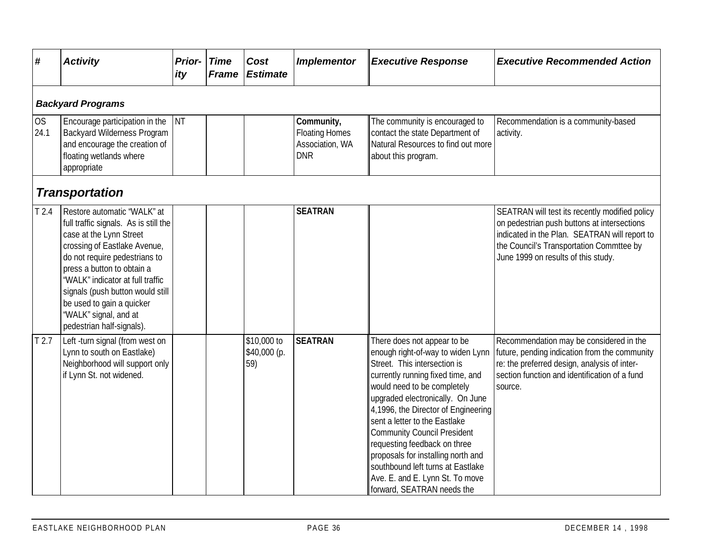| #                        | <b>Activity</b>                                                                                                                                                                                                                                                                                                                                           | <b>Prior-</b><br>ity | <b>Time</b><br><b>Frame</b> | Cost<br><b>Estimate</b>            | <b>Implementor</b>                                                   | <b>Executive Response</b>                                                                                                                                                                                                                                                                                                                                                                                                                                                                          | <b>Executive Recommended Action</b>                                                                                                                                                                                               |  |  |  |  |  |
|--------------------------|-----------------------------------------------------------------------------------------------------------------------------------------------------------------------------------------------------------------------------------------------------------------------------------------------------------------------------------------------------------|----------------------|-----------------------------|------------------------------------|----------------------------------------------------------------------|----------------------------------------------------------------------------------------------------------------------------------------------------------------------------------------------------------------------------------------------------------------------------------------------------------------------------------------------------------------------------------------------------------------------------------------------------------------------------------------------------|-----------------------------------------------------------------------------------------------------------------------------------------------------------------------------------------------------------------------------------|--|--|--|--|--|
| <b>Backyard Programs</b> |                                                                                                                                                                                                                                                                                                                                                           |                      |                             |                                    |                                                                      |                                                                                                                                                                                                                                                                                                                                                                                                                                                                                                    |                                                                                                                                                                                                                                   |  |  |  |  |  |
| OS<br>24.1               | Encourage participation in the<br><b>Backyard Wilderness Program</b><br>and encourage the creation of<br>floating wetlands where<br>appropriate                                                                                                                                                                                                           | <b>NT</b>            |                             |                                    | Community,<br><b>Floating Homes</b><br>Association, WA<br><b>DNR</b> | The community is encouraged to<br>contact the state Department of<br>Natural Resources to find out more<br>about this program.                                                                                                                                                                                                                                                                                                                                                                     | Recommendation is a community-based<br>activity.                                                                                                                                                                                  |  |  |  |  |  |
|                          | <b>Transportation</b>                                                                                                                                                                                                                                                                                                                                     |                      |                             |                                    |                                                                      |                                                                                                                                                                                                                                                                                                                                                                                                                                                                                                    |                                                                                                                                                                                                                                   |  |  |  |  |  |
| T <sub>2.4</sub>         | Restore automatic 'WALK" at<br>full traffic signals. As is still the<br>case at the Lynn Street<br>crossing of Eastlake Avenue,<br>do not require pedestrians to<br>press a button to obtain a<br>'WALK" indicator at full traffic<br>signals (push button would still<br>be used to gain a quicker<br>'WALK" signal, and at<br>pedestrian half-signals). |                      |                             |                                    | <b>SEATRAN</b>                                                       |                                                                                                                                                                                                                                                                                                                                                                                                                                                                                                    | SEATRAN will test its recently modified policy<br>on pedestrian push buttons at intersections<br>indicated in the Plan. SEATRAN will report to<br>the Council's Transportation Commttee by<br>June 1999 on results of this study. |  |  |  |  |  |
| T <sub>2.7</sub>         | Left -turn signal (from west on<br>Lynn to south on Eastlake)<br>Neighborhood will support only<br>if Lynn St. not widened.                                                                                                                                                                                                                               |                      |                             | \$10,000 to<br>\$40,000 (p.<br>59) | <b>SEATRAN</b>                                                       | There does not appear to be<br>enough right-of-way to widen Lynn<br>Street. This intersection is<br>currently running fixed time, and<br>would need to be completely<br>upgraded electronically. On June<br>4,1996, the Director of Engineering<br>sent a letter to the Eastlake<br><b>Community Council President</b><br>requesting feedback on three<br>proposals for installing north and<br>southbound left turns at Eastlake<br>Ave. E. and E. Lynn St. To move<br>forward, SEATRAN needs the | Recommendation may be considered in the<br>future, pending indication from the community<br>re: the preferred design, analysis of inter-<br>section function and identification of a fund<br>source.                              |  |  |  |  |  |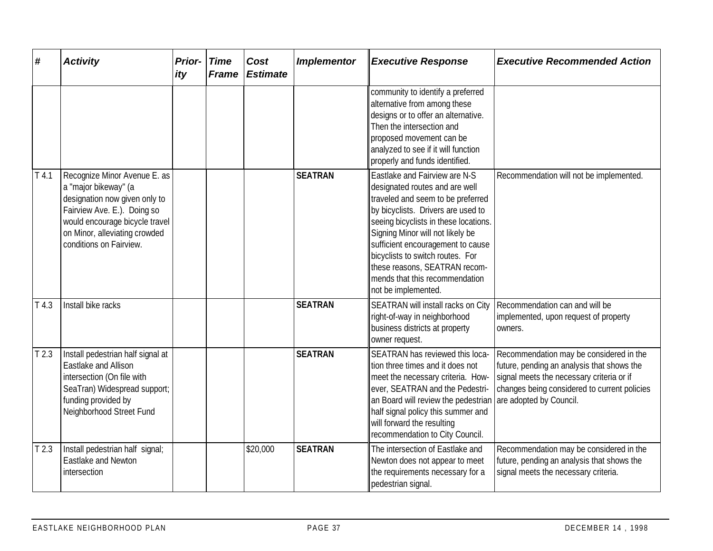| #                | <b>Activity</b>                                                                                                                                                                                                    | <b>Prior-</b> Time<br>ity | <b>Frame</b> | Cost<br><b>Estimate</b> | <b>Implementor</b> | <b>Executive Response</b>                                                                                                                                                                                                                                                                                                                                                                  | <b>Executive Recommended Action</b>                                                                                                                                                                           |
|------------------|--------------------------------------------------------------------------------------------------------------------------------------------------------------------------------------------------------------------|---------------------------|--------------|-------------------------|--------------------|--------------------------------------------------------------------------------------------------------------------------------------------------------------------------------------------------------------------------------------------------------------------------------------------------------------------------------------------------------------------------------------------|---------------------------------------------------------------------------------------------------------------------------------------------------------------------------------------------------------------|
|                  |                                                                                                                                                                                                                    |                           |              |                         |                    | community to identify a preferred<br>alternative from among these<br>designs or to offer an alternative.<br>Then the intersection and<br>proposed movement can be<br>analyzed to see if it will function<br>properly and funds identified.                                                                                                                                                 |                                                                                                                                                                                                               |
| T4.1             | Recognize Minor Avenue E. as<br>a "major bikeway" (a<br>designation now given only to<br>Fairview Ave. E.). Doing so<br>would encourage bicycle travel<br>on Minor, alleviating crowded<br>conditions on Fairview. |                           |              |                         | <b>SEATRAN</b>     | Eastlake and Fairview are N-S<br>designated routes and are well<br>traveled and seem to be preferred<br>by bicyclists. Drivers are used to<br>seeing bicyclists in these locations.<br>Signing Minor will not likely be<br>sufficient encouragement to cause<br>bicyclists to switch routes. For<br>these reasons, SEATRAN recom-<br>mends that this recommendation<br>not be implemented. | Recommendation will not be implemented.                                                                                                                                                                       |
| T4.3             | Install bike racks                                                                                                                                                                                                 |                           |              |                         | <b>SEATRAN</b>     | SEATRAN will install racks on City<br>right-of-way in neighborhood<br>business districts at property<br>owner request.                                                                                                                                                                                                                                                                     | Recommendation can and will be<br>implemented, upon request of property<br>owners.                                                                                                                            |
| T <sub>2.3</sub> | Install pedestrian half signal at<br>Eastlake and Allison<br>intersection (On file with<br>SeaTran) Widespread support;<br>funding provided by<br>Neighborhood Street Fund                                         |                           |              |                         | <b>SEATRAN</b>     | SEATRAN has reviewed this loca-<br>tion three times and it does not<br>meet the necessary criteria. How-<br>ever, SEATRAN and the Pedestri-<br>an Board will review the pedestrian<br>half signal policy this summer and<br>will forward the resulting<br>recommendation to City Council.                                                                                                  | Recommendation may be considered in the<br>future, pending an analysis that shows the<br>signal meets the necessary criteria or if<br>changes being considered to current policies<br>are adopted by Council. |
| T <sub>2.3</sub> | Install pedestrian half signal;<br>Eastlake and Newton<br>intersection                                                                                                                                             |                           |              | \$20,000                | <b>SEATRAN</b>     | The intersection of Eastlake and<br>Newton does not appear to meet<br>the requirements necessary for a<br>pedestrian signal.                                                                                                                                                                                                                                                               | Recommendation may be considered in the<br>future, pending an analysis that shows the<br>signal meets the necessary criteria.                                                                                 |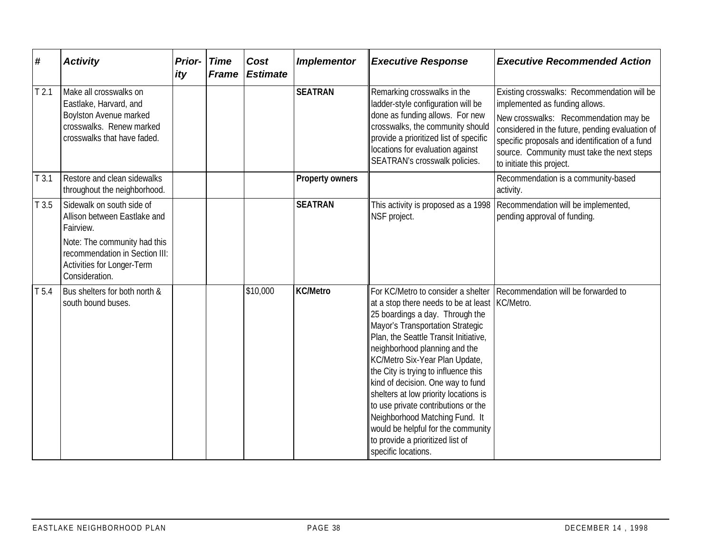| #                | <b>Activity</b>                                                                                                                                                                          | <b>Prior-</b><br>ity | <b>Time</b><br><b>Frame</b> | Cost<br><b>Estimate</b> | <b>Implementor</b>     | <b>Executive Response</b>                                                                                                                                                                                                                                                                                                                                                                                                                                                                                                                                               | <b>Executive Recommended Action</b>                                                                                                                                                                                                                                                                     |
|------------------|------------------------------------------------------------------------------------------------------------------------------------------------------------------------------------------|----------------------|-----------------------------|-------------------------|------------------------|-------------------------------------------------------------------------------------------------------------------------------------------------------------------------------------------------------------------------------------------------------------------------------------------------------------------------------------------------------------------------------------------------------------------------------------------------------------------------------------------------------------------------------------------------------------------------|---------------------------------------------------------------------------------------------------------------------------------------------------------------------------------------------------------------------------------------------------------------------------------------------------------|
| T <sub>2.1</sub> | Make all crosswalks on<br>Eastlake, Harvard, and<br>Boylston Avenue marked<br>crosswalks. Renew marked<br>crosswalks that have faded.                                                    |                      |                             |                         | <b>SEATRAN</b>         | Remarking crosswalks in the<br>ladder-style configuration will be<br>done as funding allows. For new<br>crosswalks, the community should<br>provide a prioritized list of specific<br>locations for evaluation against<br>SEATRAN's crosswalk policies.                                                                                                                                                                                                                                                                                                                 | Existing crosswalks: Recommendation will be<br>implemented as funding allows.<br>New crosswalks: Recommendation may be<br>considered in the future, pending evaluation of<br>specific proposals and identification of a fund<br>source. Community must take the next steps<br>to initiate this project. |
| T3.1             | Restore and clean sidewalks<br>throughout the neighborhood.                                                                                                                              |                      |                             |                         | <b>Property owners</b> |                                                                                                                                                                                                                                                                                                                                                                                                                                                                                                                                                                         | Recommendation is a community-based<br>activity.                                                                                                                                                                                                                                                        |
| T3.5             | Sidewalk on south side of<br>Allison between Eastlake and<br>Fairview.<br>Note: The community had this<br>recommendation in Section III:<br>Activities for Longer-Term<br>Consideration. |                      |                             |                         | <b>SEATRAN</b>         | This activity is proposed as a 1998<br>NSF project.                                                                                                                                                                                                                                                                                                                                                                                                                                                                                                                     | Recommendation will be implemented,<br>pending approval of funding.                                                                                                                                                                                                                                     |
| T <sub>5.4</sub> | Bus shelters for both north &<br>south bound buses.                                                                                                                                      |                      |                             | \$10,000                | <b>KC/Metro</b>        | For KC/Metro to consider a shelter<br>at a stop there needs to be at least KC/Metro.<br>25 boardings a day. Through the<br>Mayor's Transportation Strategic<br>Plan, the Seattle Transit Initiative,<br>neighborhood planning and the<br>KC/Metro Six-Year Plan Update,<br>the City is trying to influence this<br>kind of decision. One way to fund<br>shelters at low priority locations is<br>to use private contributions or the<br>Neighborhood Matching Fund. It<br>would be helpful for the community<br>to provide a prioritized list of<br>specific locations. | Recommendation will be forwarded to                                                                                                                                                                                                                                                                     |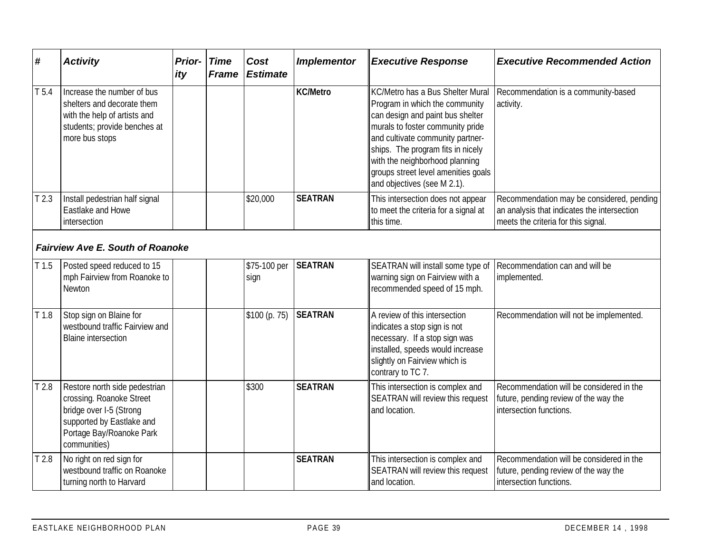| $\pmb{\#}$       | <b>Activity</b>                                                                                                                                               | Prior-<br>ity | <b>Time</b><br><b>Frame</b> | Cost<br><b>Estimate</b> | <b>Implementor</b> | <b>Executive Response</b>                                                                                                                                                                                                                                                                                                   | <b>Executive Recommended Action</b>                                                                                             |
|------------------|---------------------------------------------------------------------------------------------------------------------------------------------------------------|---------------|-----------------------------|-------------------------|--------------------|-----------------------------------------------------------------------------------------------------------------------------------------------------------------------------------------------------------------------------------------------------------------------------------------------------------------------------|---------------------------------------------------------------------------------------------------------------------------------|
| T <sub>5.4</sub> | Increase the number of bus<br>shelters and decorate them<br>with the help of artists and<br>students; provide benches at<br>more bus stops                    |               |                             |                         | <b>KC/Metro</b>    | KC/Metro has a Bus Shelter Mural<br>Program in which the community<br>can design and paint bus shelter<br>murals to foster community pride<br>and cultivate community partner-<br>ships. The program fits in nicely<br>with the neighborhood planning<br>groups street level amenities goals<br>and objectives (see M 2.1). | Recommendation is a community-based<br>activity.                                                                                |
| T <sub>2.3</sub> | Install pedestrian half signal<br>Eastlake and Howe<br>intersection                                                                                           |               |                             | \$20,000                | <b>SEATRAN</b>     | This intersection does not appear<br>to meet the criteria for a signal at<br>this time.                                                                                                                                                                                                                                     | Recommendation may be considered, pending<br>an analysis that indicates the intersection<br>meets the criteria for this signal. |
|                  | <b>Fairview Ave E. South of Roanoke</b>                                                                                                                       |               |                             |                         |                    |                                                                                                                                                                                                                                                                                                                             |                                                                                                                                 |
| T1.5             | Posted speed reduced to 15<br>mph Fairview from Roanoke to<br>Newton                                                                                          |               |                             | \$75-100 per<br>sign    | <b>SEATRAN</b>     | SEATRAN will install some type of<br>warning sign on Fairview with a<br>recommended speed of 15 mph.                                                                                                                                                                                                                        | Recommendation can and will be<br>implemented.                                                                                  |
| T <sub>1.8</sub> | Stop sign on Blaine for<br>westbound traffic Fairview and<br><b>Blaine intersection</b>                                                                       |               |                             | \$100 (p. 75)           | <b>SEATRAN</b>     | A review of this intersection<br>indicates a stop sign is not<br>necessary. If a stop sign was<br>installed, speeds would increase<br>slightly on Fairview which is<br>contrary to TC 7.                                                                                                                                    | Recommendation will not be implemented.                                                                                         |
| T <sub>2.8</sub> | Restore north side pedestrian<br>crossing. Roanoke Street<br>bridge over I-5 (Strong<br>supported by Eastlake and<br>Portage Bay/Roanoke Park<br>communities) |               |                             | \$300                   | <b>SEATRAN</b>     | This intersection is complex and<br>SEATRAN will review this request<br>and location.                                                                                                                                                                                                                                       | Recommendation will be considered in the<br>future, pending review of the way the<br>intersection functions.                    |
| T <sub>2.8</sub> | No right on red sign for<br>westbound traffic on Roanoke<br>turning north to Harvard                                                                          |               |                             |                         | <b>SEATRAN</b>     | This intersection is complex and<br>SEATRAN will review this request<br>and location.                                                                                                                                                                                                                                       | Recommendation will be considered in the<br>future, pending review of the way the<br>intersection functions.                    |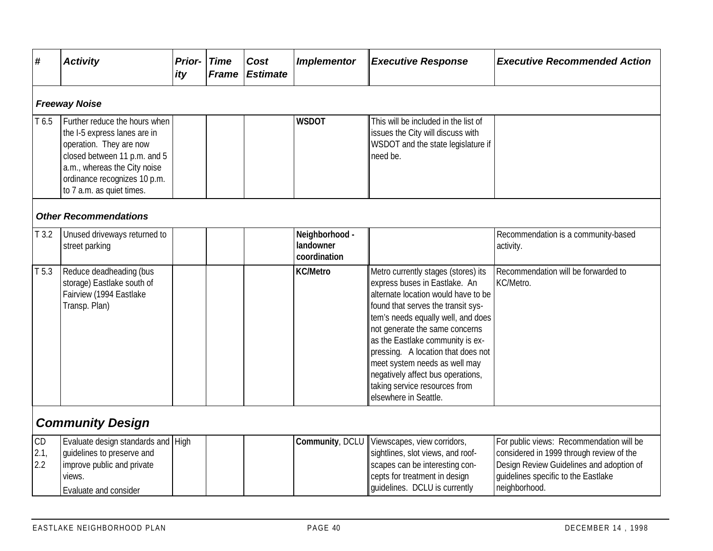| #                    | <b>Activity</b>                                                                                                                                                                                                       | <b>Prior-</b><br>ity | <b>Time</b><br><b>Frame</b> | Cost<br><b>Estimate</b> | <b>Implementor</b>                          | <b>Executive Response</b>                                                                                                                                                                                                                                                                                                                                                                                                           | <b>Executive Recommended Action</b>                                                                                                                                                      |  |  |  |  |  |
|----------------------|-----------------------------------------------------------------------------------------------------------------------------------------------------------------------------------------------------------------------|----------------------|-----------------------------|-------------------------|---------------------------------------------|-------------------------------------------------------------------------------------------------------------------------------------------------------------------------------------------------------------------------------------------------------------------------------------------------------------------------------------------------------------------------------------------------------------------------------------|------------------------------------------------------------------------------------------------------------------------------------------------------------------------------------------|--|--|--|--|--|
| <b>Freeway Noise</b> |                                                                                                                                                                                                                       |                      |                             |                         |                                             |                                                                                                                                                                                                                                                                                                                                                                                                                                     |                                                                                                                                                                                          |  |  |  |  |  |
| T 6.5                | Further reduce the hours when<br>the I-5 express lanes are in<br>operation. They are now<br>closed between 11 p.m. and 5<br>a.m., whereas the City noise<br>ordinance recognizes 10 p.m.<br>to 7 a.m. as quiet times. |                      |                             |                         | <b>WSDOT</b>                                | This will be included in the list of<br>issues the City will discuss with<br>WSDOT and the state legislature if<br>need be.                                                                                                                                                                                                                                                                                                         |                                                                                                                                                                                          |  |  |  |  |  |
|                      | <b>Other Recommendations</b>                                                                                                                                                                                          |                      |                             |                         |                                             |                                                                                                                                                                                                                                                                                                                                                                                                                                     |                                                                                                                                                                                          |  |  |  |  |  |
| T3.2                 | Unused driveways returned to<br>street parking                                                                                                                                                                        |                      |                             |                         | Neighborhood -<br>landowner<br>coordination |                                                                                                                                                                                                                                                                                                                                                                                                                                     | Recommendation is a community-based<br>activity.                                                                                                                                         |  |  |  |  |  |
| T <sub>5.3</sub>     | Reduce deadheading (bus<br>storage) Eastlake south of<br>Fairview (1994 Eastlake<br>Transp. Plan)                                                                                                                     |                      |                             |                         | <b>KC/Metro</b>                             | Metro currently stages (stores) its<br>express buses in Eastlake. An<br>alternate location would have to be<br>found that serves the transit sys-<br>tem's needs equally well, and does<br>not generate the same concerns<br>as the Eastlake community is ex-<br>pressing. A location that does not<br>meet system needs as well may<br>negatively affect bus operations,<br>taking service resources from<br>elsewhere in Seattle. | Recommendation will be forwarded to<br>KC/Metro.                                                                                                                                         |  |  |  |  |  |
|                      | <b>Community Design</b>                                                                                                                                                                                               |                      |                             |                         |                                             |                                                                                                                                                                                                                                                                                                                                                                                                                                     |                                                                                                                                                                                          |  |  |  |  |  |
| CD<br>2.1,<br>2.2    | Evaluate design standards and High<br>guidelines to preserve and<br>improve public and private<br>views.<br>Evaluate and consider                                                                                     |                      |                             |                         | Community, DCLU                             | Viewscapes, view corridors,<br>sightlines, slot views, and roof-<br>scapes can be interesting con-<br>cepts for treatment in design<br>quidelines. DCLU is currently                                                                                                                                                                                                                                                                | For public views: Recommendation will be<br>considered in 1999 through review of the<br>Design Review Guidelines and adoption of<br>quidelines specific to the Eastlake<br>neighborhood. |  |  |  |  |  |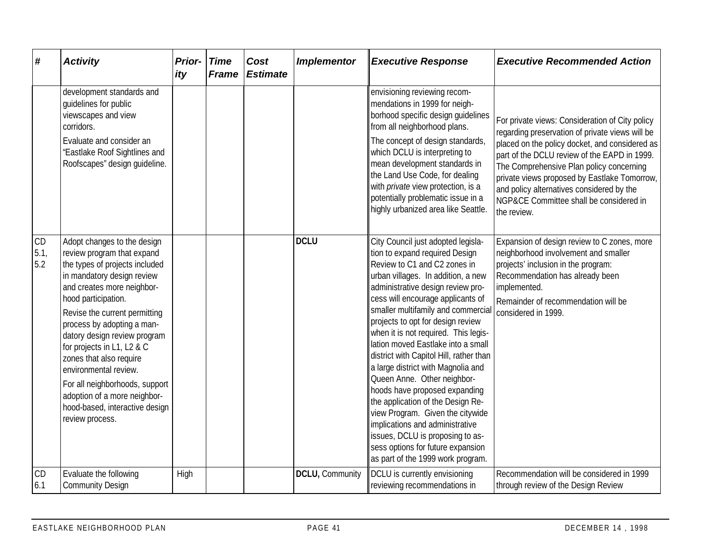| #                 | <b>Activity</b>                                                                                                                                                                                                                                                                                                                                                                                                                                                                        | <b>Prior-</b><br>ity | <b>Time</b><br><b>Frame</b> | Cost<br><b>Estimate</b> | <b>Implementor</b> | <b>Executive Response</b>                                                                                                                                                                                                                                                                                                                                                                                                                                                                                                                                                                                                                                                                                                                                | <b>Executive Recommended Action</b>                                                                                                                                                                                                                                                                                                                                                                     |
|-------------------|----------------------------------------------------------------------------------------------------------------------------------------------------------------------------------------------------------------------------------------------------------------------------------------------------------------------------------------------------------------------------------------------------------------------------------------------------------------------------------------|----------------------|-----------------------------|-------------------------|--------------------|----------------------------------------------------------------------------------------------------------------------------------------------------------------------------------------------------------------------------------------------------------------------------------------------------------------------------------------------------------------------------------------------------------------------------------------------------------------------------------------------------------------------------------------------------------------------------------------------------------------------------------------------------------------------------------------------------------------------------------------------------------|---------------------------------------------------------------------------------------------------------------------------------------------------------------------------------------------------------------------------------------------------------------------------------------------------------------------------------------------------------------------------------------------------------|
|                   | development standards and<br>guidelines for public<br>viewscapes and view<br>corridors.<br>Evaluate and consider an<br>"Eastlake Roof Sightlines and<br>Roofscapes" design quideline.                                                                                                                                                                                                                                                                                                  |                      |                             |                         |                    | envisioning reviewing recom-<br>mendations in 1999 for neigh-<br>borhood specific design quidelines<br>from all neighborhood plans.<br>The concept of design standards,<br>which DCLU is interpreting to<br>mean development standards in<br>the Land Use Code, for dealing<br>with <i>private</i> view protection, is a<br>potentially problematic issue in a<br>highly urbanized area like Seattle.                                                                                                                                                                                                                                                                                                                                                    | For private views: Consideration of City policy<br>regarding preservation of private views will be<br>placed on the policy docket, and considered as<br>part of the DCLU review of the EAPD in 1999.<br>The Comprehensive Plan policy concerning<br>private views proposed by Eastlake Tomorrow,<br>and policy alternatives considered by the<br>NGP&CE Committee shall be considered in<br>the review. |
| CD<br>5.1,<br>5.2 | Adopt changes to the design<br>review program that expand<br>the types of projects included<br>in mandatory design review<br>and creates more neighbor-<br>hood participation.<br>Revise the current permitting<br>process by adopting a man-<br>datory design review program<br>for projects in L1, L2 & C<br>zones that also require<br>environmental review.<br>For all neighborhoods, support<br>adoption of a more neighbor-<br>hood-based, interactive design<br>review process. |                      |                             |                         | <b>DCLU</b>        | City Council just adopted legisla-<br>tion to expand required Design<br>Review to C1 and C2 zones in<br>urban villages. In addition, a new<br>administrative design review pro-<br>cess will encourage applicants of<br>smaller multifamily and commercial<br>projects to opt for design review<br>when it is not required. This legis-<br>lation moved Eastlake into a small<br>district with Capitol Hill, rather than<br>a large district with Magnolia and<br>Queen Anne. Other neighbor-<br>hoods have proposed expanding<br>the application of the Design Re-<br>view Program. Given the citywide<br>implications and administrative<br>issues, DCLU is proposing to as-<br>sess options for future expansion<br>as part of the 1999 work program. | Expansion of design review to C zones, more<br>neighborhood involvement and smaller<br>projects' inclusion in the program:<br>Recommendation has already been<br>implemented.<br>Remainder of recommendation will be<br>considered in 1999.                                                                                                                                                             |
| CD<br>6.1         | Evaluate the following<br><b>Community Design</b>                                                                                                                                                                                                                                                                                                                                                                                                                                      | High                 |                             |                         | DCLU, Community    | DCLU is currently envisioning<br>reviewing recommendations in                                                                                                                                                                                                                                                                                                                                                                                                                                                                                                                                                                                                                                                                                            | Recommendation will be considered in 1999<br>through review of the Design Review                                                                                                                                                                                                                                                                                                                        |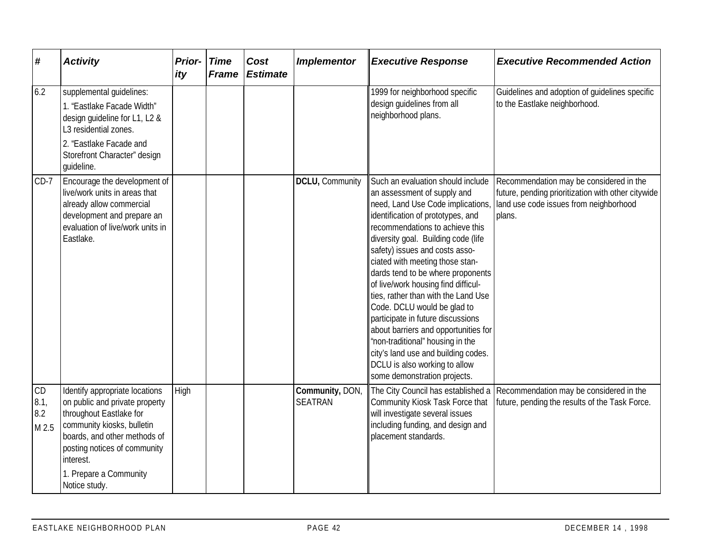| #                          | <b>Activity</b>                                                                                                                                                                                                                                   | Prior-<br>ity | <b>Time</b><br><b>Frame</b> | Cost<br><b>Estimate</b> | <b>Implementor</b>                | <b>Executive Response</b>                                                                                                                                                                                                                                                                                                                                                                                                                                                                                                                                                                                                                                            | <b>Executive Recommended Action</b>                                                                                                               |
|----------------------------|---------------------------------------------------------------------------------------------------------------------------------------------------------------------------------------------------------------------------------------------------|---------------|-----------------------------|-------------------------|-----------------------------------|----------------------------------------------------------------------------------------------------------------------------------------------------------------------------------------------------------------------------------------------------------------------------------------------------------------------------------------------------------------------------------------------------------------------------------------------------------------------------------------------------------------------------------------------------------------------------------------------------------------------------------------------------------------------|---------------------------------------------------------------------------------------------------------------------------------------------------|
| 6.2                        | supplemental quidelines:<br>1. "Eastlake Facade Width"<br>design guideline for L1, L2 &<br>L3 residential zones.<br>2. 'Eastlake Facade and<br>Storefront Character" design<br>guideline.                                                         |               |                             |                         |                                   | 1999 for neighborhood specific<br>design guidelines from all<br>neighborhood plans.                                                                                                                                                                                                                                                                                                                                                                                                                                                                                                                                                                                  | Guidelines and adoption of quidelines specific<br>to the Eastlake neighborhood.                                                                   |
| $CD-7$                     | Encourage the development of<br>live/work units in areas that<br>already allow commercial<br>development and prepare an<br>evaluation of live/work units in<br>Eastlake.                                                                          |               |                             |                         | DCLU, Community                   | Such an evaluation should include<br>an assessment of supply and<br>need, Land Use Code implications,<br>identification of prototypes, and<br>recommendations to achieve this<br>diversity goal. Building code (life<br>safety) issues and costs asso-<br>ciated with meeting those stan-<br>dards tend to be where proponents<br>of live/work housing find difficul-<br>ties, rather than with the Land Use<br>Code. DCLU would be glad to<br>participate in future discussions<br>about barriers and opportunities for<br>"non-traditional" housing in the<br>city's land use and building codes.<br>DCLU is also working to allow<br>some demonstration projects. | Recommendation may be considered in the<br>future, pending prioritization with other citywide<br>land use code issues from neighborhood<br>plans. |
| CD<br>8.1,<br>8.2<br>M 2.5 | Identify appropriate locations<br>on public and private property<br>throughout Eastlake for<br>community kiosks, bulletin<br>boards, and other methods of<br>posting notices of community<br>interest.<br>1. Prepare a Community<br>Notice study. | High          |                             |                         | Community, DON,<br><b>SEATRAN</b> | The City Council has established a<br>Community Kiosk Task Force that<br>will investigate several issues<br>including funding, and design and<br>placement standards.                                                                                                                                                                                                                                                                                                                                                                                                                                                                                                | Recommendation may be considered in the<br>future, pending the results of the Task Force.                                                         |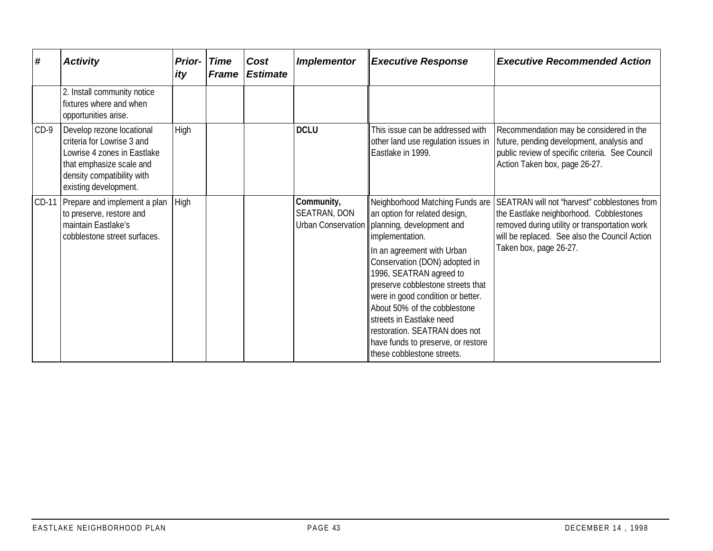| #      | <b>Activity</b>                                                                                                                                                           | <b>Prior-</b><br>ity | Time<br><b>Frame</b> | Cost<br><b>Estimate</b> | <b>Implementor</b>         | <b>Executive Response</b>                                                                                                                                                                                                                                                                                                                                                                                                                                                  | <b>Executive Recommended Action</b>                                                                                                                                                                                 |
|--------|---------------------------------------------------------------------------------------------------------------------------------------------------------------------------|----------------------|----------------------|-------------------------|----------------------------|----------------------------------------------------------------------------------------------------------------------------------------------------------------------------------------------------------------------------------------------------------------------------------------------------------------------------------------------------------------------------------------------------------------------------------------------------------------------------|---------------------------------------------------------------------------------------------------------------------------------------------------------------------------------------------------------------------|
|        | 2. Install community notice<br>fixtures where and when<br>opportunities arise.                                                                                            |                      |                      |                         |                            |                                                                                                                                                                                                                                                                                                                                                                                                                                                                            |                                                                                                                                                                                                                     |
| $CD-9$ | Develop rezone locational<br>criteria for Lowrise 3 and<br>Lowrise 4 zones in Eastlake<br>that emphasize scale and<br>density compatibility with<br>existing development. | High                 |                      |                         | <b>DCLU</b>                | This issue can be addressed with<br>other land use regulation issues in<br>Eastlake in 1999.                                                                                                                                                                                                                                                                                                                                                                               | Recommendation may be considered in the<br>future, pending development, analysis and<br>public review of specific criteria. See Council<br>Action Taken box, page 26-27.                                            |
| CD-11  | Prepare and implement a plan<br>to preserve, restore and<br>maintain Eastlake's<br>cobblestone street surfaces.                                                           | High                 |                      |                         | Community,<br>SEATRAN, DON | Neighborhood Matching Funds are<br>an option for related design,<br>Urban Conservation   planning, development and<br>implementation.<br>In an agreement with Urban<br>Conservation (DON) adopted in<br>1996, SEATRAN agreed to<br>preserve cobblestone streets that<br>were in good condition or better.<br>About 50% of the cobblestone<br>streets in Eastlake need<br>restoration. SEATRAN does not<br>have funds to preserve, or restore<br>these cobblestone streets. | SEATRAN will not 'harvest" cobblestones from<br>the Eastlake neighborhood. Cobblestones<br>removed during utility or transportation work<br>will be replaced. See also the Council Action<br>Taken box, page 26-27. |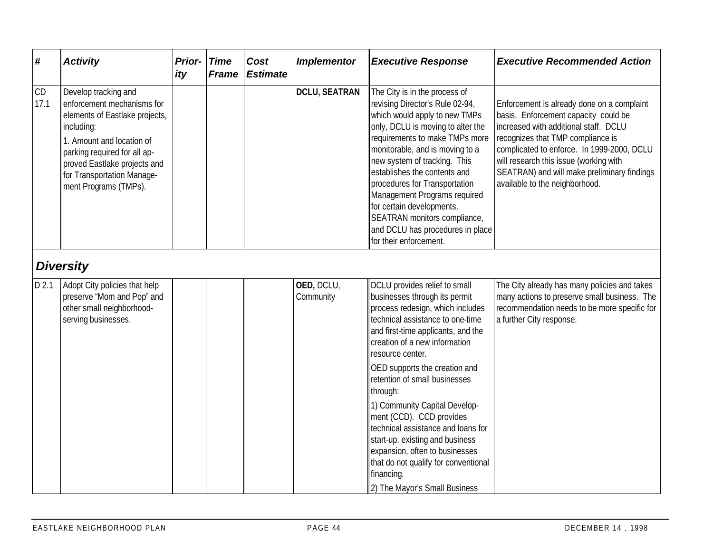| #          | <b>Activity</b>                                                                                                                                                                                                                                        | <b>Prior-</b><br>ity | <b>Time</b><br><b>Frame</b> | Cost<br><b>Estimate</b> | <b>Implementor</b>      | <b>Executive Response</b>                                                                                                                                                                                                                                                                                                                                                                                                                                               | <b>Executive Recommended Action</b>                                                                                                                                                                                                                                                                                                       |
|------------|--------------------------------------------------------------------------------------------------------------------------------------------------------------------------------------------------------------------------------------------------------|----------------------|-----------------------------|-------------------------|-------------------------|-------------------------------------------------------------------------------------------------------------------------------------------------------------------------------------------------------------------------------------------------------------------------------------------------------------------------------------------------------------------------------------------------------------------------------------------------------------------------|-------------------------------------------------------------------------------------------------------------------------------------------------------------------------------------------------------------------------------------------------------------------------------------------------------------------------------------------|
| CD<br>17.1 | Develop tracking and<br>enforcement mechanisms for<br>elements of Eastlake projects,<br>including:<br>1. Amount and location of<br>parking required for all ap-<br>proved Eastlake projects and<br>for Transportation Manage-<br>ment Programs (TMPs). |                      |                             |                         | <b>DCLU, SEATRAN</b>    | The City is in the process of<br>revising Director's Rule 02-94,<br>which would apply to new TMPs<br>only, DCLU is moving to alter the<br>requirements to make TMPs more<br>monitorable, and is moving to a<br>new system of tracking. This<br>establishes the contents and<br>procedures for Transportation<br>Management Programs required<br>for certain developments.<br>SEATRAN monitors compliance,<br>and DCLU has procedures in place<br>for their enforcement. | Enforcement is already done on a complaint<br>basis. Enforcement capacity could be<br>increased with additional staff. DCLU<br>recognizes that TMP compliance is<br>complicated to enforce. In 1999-2000, DCLU<br>will research this issue (working with<br>SEATRAN) and will make preliminary findings<br>available to the neighborhood. |
|            | <b>Diversity</b>                                                                                                                                                                                                                                       |                      |                             |                         |                         |                                                                                                                                                                                                                                                                                                                                                                                                                                                                         |                                                                                                                                                                                                                                                                                                                                           |
| D 2.1      | Adopt City policies that help<br>preserve 'Mom and Pop" and<br>other small neighborhood-<br>serving businesses.                                                                                                                                        |                      |                             |                         | OED, DCLU,<br>Community | DCLU provides relief to small<br>businesses through its permit<br>process redesign, which includes<br>technical assistance to one-time<br>and first-time applicants, and the<br>creation of a new information<br>resource center.                                                                                                                                                                                                                                       | The City already has many policies and takes<br>many actions to preserve small business. The<br>recommendation needs to be more specific for<br>a further City response.                                                                                                                                                                  |
|            |                                                                                                                                                                                                                                                        |                      |                             |                         |                         | OED supports the creation and<br>retention of small businesses<br>through:                                                                                                                                                                                                                                                                                                                                                                                              |                                                                                                                                                                                                                                                                                                                                           |
|            |                                                                                                                                                                                                                                                        |                      |                             |                         |                         | 1) Community Capital Develop-<br>ment (CCD). CCD provides<br>technical assistance and loans for<br>start-up, existing and business<br>expansion, often to businesses<br>that do not qualify for conventional<br>financing.<br>2) The Mayor's Small Business                                                                                                                                                                                                             |                                                                                                                                                                                                                                                                                                                                           |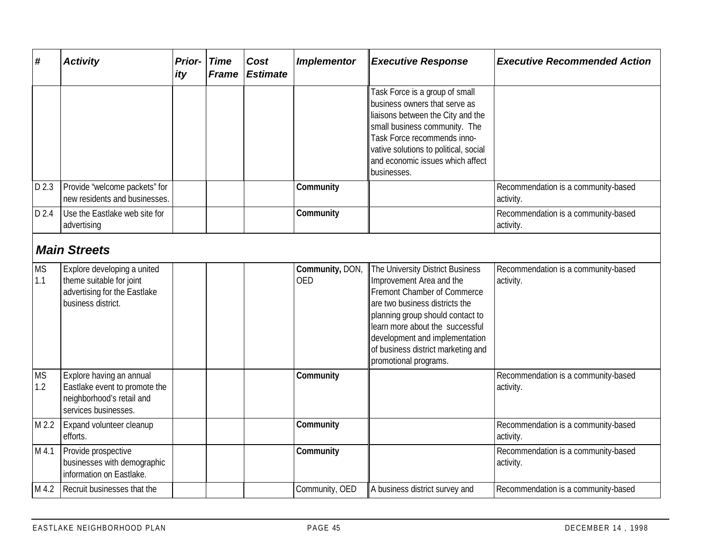| #                | <b>Activity</b>                                                                                                | Prior- Time<br>ity | <b>Frame</b> | Cost<br><b>Estimate</b> | <b>Implementor</b>            | <b>Executive Response</b>                                                                                                                                                                                                                                                                             | <b>Executive Recommended Action</b>              |
|------------------|----------------------------------------------------------------------------------------------------------------|--------------------|--------------|-------------------------|-------------------------------|-------------------------------------------------------------------------------------------------------------------------------------------------------------------------------------------------------------------------------------------------------------------------------------------------------|--------------------------------------------------|
|                  |                                                                                                                |                    |              |                         |                               | Task Force is a group of small<br>business owners that serve as<br>liaisons between the City and the<br>small business community. The<br>Task Force recommends inno-<br>vative solutions to political, social<br>and economic issues which affect<br>businesses.                                      |                                                  |
| D 2.3            | Provide 'welcome packets" for<br>new residents and businesses.                                                 |                    |              |                         | Community                     |                                                                                                                                                                                                                                                                                                       | Recommendation is a community-based<br>activity. |
| D 2.4            | Use the Eastlake web site for<br>advertising                                                                   |                    |              |                         | Community                     |                                                                                                                                                                                                                                                                                                       | Recommendation is a community-based<br>activity. |
|                  | <b>Main Streets</b>                                                                                            |                    |              |                         |                               |                                                                                                                                                                                                                                                                                                       |                                                  |
| <b>MS</b><br>1.1 | Explore developing a united<br>theme suitable for joint<br>advertising for the Eastlake<br>business district.  |                    |              |                         | Community, DON,<br><b>OED</b> | The University District Business<br>Improvement Area and the<br>Fremont Chamber of Commerce<br>are two business districts the<br>planning group should contact to<br>learn more about the successful<br>development and implementation<br>of business district marketing and<br>promotional programs. | Recommendation is a community-based<br>activity. |
| <b>MS</b><br>1.2 | Explore having an annual<br>Eastlake event to promote the<br>neighborhood's retail and<br>services businesses. |                    |              |                         | Community                     |                                                                                                                                                                                                                                                                                                       | Recommendation is a community-based<br>activity. |
| M 2.2            | Expand volunteer cleanup<br>efforts.                                                                           |                    |              |                         | Community                     |                                                                                                                                                                                                                                                                                                       | Recommendation is a community-based<br>activity. |
| M 4.1            | Provide prospective<br>businesses with demographic<br>information on Eastlake.                                 |                    |              |                         | Community                     |                                                                                                                                                                                                                                                                                                       | Recommendation is a community-based<br>activity. |
| M 4.2            | Recruit businesses that the                                                                                    |                    |              |                         | Community, OED                | A business district survey and                                                                                                                                                                                                                                                                        | Recommendation is a community-based              |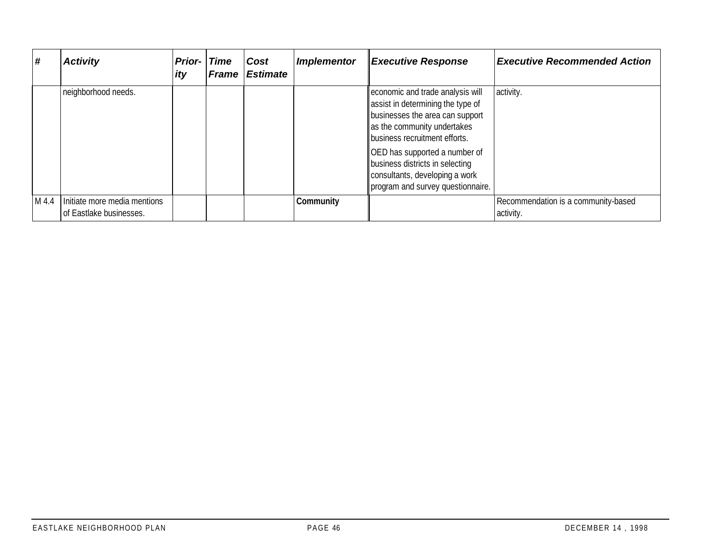| ∦     | <b>Activity</b>                                         | <b>Prior-</b><br><i>ity</i> | <b>Time</b><br><b>Frame</b> | Cost<br><b>Estimate</b> | <b>Implementor</b> | <b>Executive Response</b>                                                                                                                                                | <b>Executive Recommended Action</b>              |
|-------|---------------------------------------------------------|-----------------------------|-----------------------------|-------------------------|--------------------|--------------------------------------------------------------------------------------------------------------------------------------------------------------------------|--------------------------------------------------|
|       | neighborhood needs.                                     |                             |                             |                         |                    | economic and trade analysis will<br>assist in determining the type of<br>businesses the area can support<br>as the community undertakes<br>business recruitment efforts. | activity.                                        |
|       |                                                         |                             |                             |                         |                    | OED has supported a number of<br>business districts in selecting<br>consultants, developing a work<br>program and survey questionnaire.                                  |                                                  |
| M 4.4 | Initiate more media mentions<br>of Eastlake businesses. |                             |                             |                         | Community          |                                                                                                                                                                          | Recommendation is a community-based<br>activity. |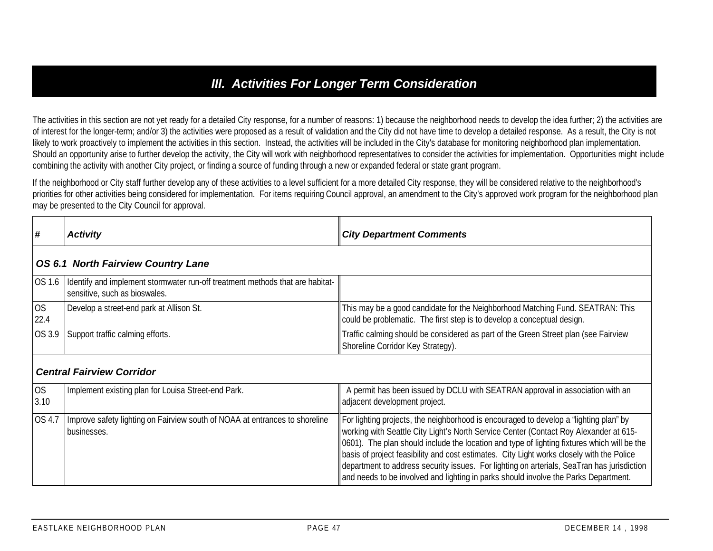## *III. Activities For Longer Term Consideration*

The activities in this section are not yet ready for a detailed City response, for a number of reasons: 1) because the neighborhood needs to develop the idea further; 2) the activities are of interest for the longer-term; and/or 3) the activities were proposed as a result of validation and the City did not have time to develop a detailed response. As a result, the City is not likely to work proactively to implement the activities in this section. Instead, the activities will be included in the City's database for monitoring neighborhood plan implementation. Should an opportunity arise to further develop the activity, the City will work with neighborhood representatives to consider the activities for implementation. Opportunities might include combining the activity with another City project, or finding a source of funding through a new or expanded federal or state grant program.

If the neighborhood or City staff further develop any of these activities to a level sufficient for a more detailed City response, they will be considered relative to the neighborhood's priorities for other activities being considered for implementation. For items requiring Council approval, an amendment to the City's approved work program for the neighborhood plan may be presented to the City Council for approval.

| #                 | <b>Activity</b>                                                                                                | <b>City Department Comments</b>                                                                                                                                                                                                                                                                                                                                                                                                                                                                                                                                 |  |  |  |  |  |
|-------------------|----------------------------------------------------------------------------------------------------------------|-----------------------------------------------------------------------------------------------------------------------------------------------------------------------------------------------------------------------------------------------------------------------------------------------------------------------------------------------------------------------------------------------------------------------------------------------------------------------------------------------------------------------------------------------------------------|--|--|--|--|--|
|                   | <b>OS 6.1 North Fairview Country Lane</b>                                                                      |                                                                                                                                                                                                                                                                                                                                                                                                                                                                                                                                                                 |  |  |  |  |  |
| OS 1.6            | Identify and implement stormwater run-off treatment methods that are habitat-<br>sensitive, such as bioswales. |                                                                                                                                                                                                                                                                                                                                                                                                                                                                                                                                                                 |  |  |  |  |  |
| <b>OS</b><br>22.4 | Develop a street-end park at Allison St.                                                                       | This may be a good candidate for the Neighborhood Matching Fund. SEATRAN: This<br>could be problematic. The first step is to develop a conceptual design.                                                                                                                                                                                                                                                                                                                                                                                                       |  |  |  |  |  |
| OS 3.9            | Support traffic calming efforts.                                                                               | Traffic calming should be considered as part of the Green Street plan (see Fairview<br>Shoreline Corridor Key Strategy).                                                                                                                                                                                                                                                                                                                                                                                                                                        |  |  |  |  |  |
|                   | <b>Central Fairview Corridor</b>                                                                               |                                                                                                                                                                                                                                                                                                                                                                                                                                                                                                                                                                 |  |  |  |  |  |
| OS<br>3.10        | Implement existing plan for Louisa Street-end Park.                                                            | A permit has been issued by DCLU with SEATRAN approval in association with an<br>adjacent development project.                                                                                                                                                                                                                                                                                                                                                                                                                                                  |  |  |  |  |  |
| OS 4.7            | Improve safety lighting on Fairview south of NOAA at entrances to shoreline<br>businesses.                     | For lighting projects, the neighborhood is encouraged to develop a "lighting plan" by<br>working with Seattle City Light's North Service Center (Contact Roy Alexander at 615-<br>0601). The plan should include the location and type of lighting fixtures which will be the<br>basis of project feasibility and cost estimates. City Light works closely with the Police<br>department to address security issues. For lighting on arterials, SeaTran has jurisdiction<br>and needs to be involved and lighting in parks should involve the Parks Department. |  |  |  |  |  |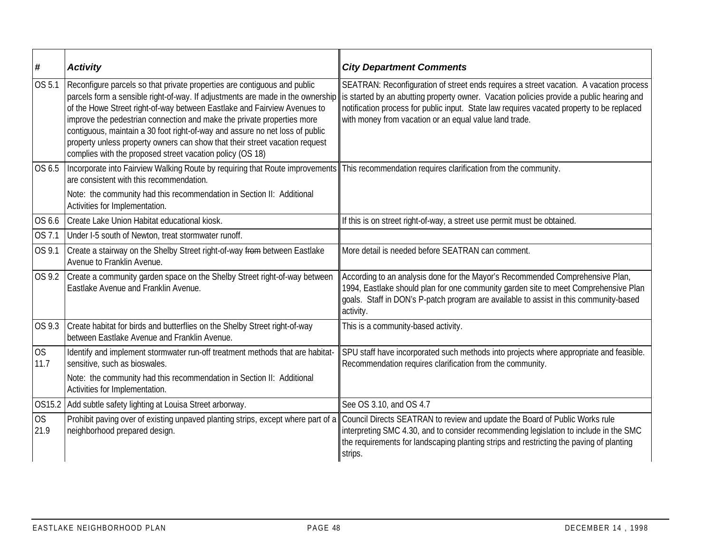| #                 | <b>Activity</b>                                                                                                                                                                                                                                                                                                                                                                                                                                            | <b>City Department Comments</b>                                                                                                                                                                                                                                                                                                                                                                                          |
|-------------------|------------------------------------------------------------------------------------------------------------------------------------------------------------------------------------------------------------------------------------------------------------------------------------------------------------------------------------------------------------------------------------------------------------------------------------------------------------|--------------------------------------------------------------------------------------------------------------------------------------------------------------------------------------------------------------------------------------------------------------------------------------------------------------------------------------------------------------------------------------------------------------------------|
| OS 5.1            | Reconfigure parcels so that private properties are contiguous and public<br>of the Howe Street right-of-way between Eastlake and Fairview Avenues to<br>improve the pedestrian connection and make the private properties more<br>contiguous, maintain a 30 foot right-of-way and assure no net loss of public<br>property unless property owners can show that their street vacation request<br>complies with the proposed street vacation policy (OS 18) | SEATRAN: Reconfiguration of street ends requires a street vacation. A vacation process<br>parcels form a sensible right-of-way. If adjustments are made in the ownership is started by an abutting property owner. Vacation policies provide a public hearing and<br>notification process for public input. State law requires vacated property to be replaced<br>with money from vacation or an equal value land trade. |
| OS 6.5            | Incorporate into Fairview Walking Route by requiring that Route improvements This recommendation requires clarification from the community.<br>are consistent with this recommendation.                                                                                                                                                                                                                                                                    |                                                                                                                                                                                                                                                                                                                                                                                                                          |
|                   | Note: the community had this recommendation in Section II: Additional<br>Activities for Implementation.                                                                                                                                                                                                                                                                                                                                                    |                                                                                                                                                                                                                                                                                                                                                                                                                          |
| OS 6.6            | Create Lake Union Habitat educational kiosk.                                                                                                                                                                                                                                                                                                                                                                                                               | If this is on street right-of-way, a street use permit must be obtained.                                                                                                                                                                                                                                                                                                                                                 |
| OS 7.1            | Under I-5 south of Newton, treat stormwater runoff.                                                                                                                                                                                                                                                                                                                                                                                                        |                                                                                                                                                                                                                                                                                                                                                                                                                          |
| OS 9.1            | Create a stairway on the Shelby Street right-of-way from between Eastlake<br>Avenue to Franklin Avenue.                                                                                                                                                                                                                                                                                                                                                    | More detail is needed before SEATRAN can comment.                                                                                                                                                                                                                                                                                                                                                                        |
| OS 9.2            | Create a community garden space on the Shelby Street right-of-way between<br>Eastlake Avenue and Franklin Avenue.                                                                                                                                                                                                                                                                                                                                          | According to an analysis done for the Mayor's Recommended Comprehensive Plan,<br>1994, Eastlake should plan for one community garden site to meet Comprehensive Plan<br>goals. Staff in DON's P-patch program are available to assist in this community-based<br>activity.                                                                                                                                               |
| OS 9.3            | Create habitat for birds and butterflies on the Shelby Street right-of-way<br>between Eastlake Avenue and Franklin Avenue.                                                                                                                                                                                                                                                                                                                                 | This is a community-based activity.                                                                                                                                                                                                                                                                                                                                                                                      |
| <b>OS</b><br>11.7 | Identify and implement stormwater run-off treatment methods that are habitat-<br>sensitive, such as bioswales.                                                                                                                                                                                                                                                                                                                                             | SPU staff have incorporated such methods into projects where appropriate and feasible.<br>Recommendation requires clarification from the community.                                                                                                                                                                                                                                                                      |
|                   | Note: the community had this recommendation in Section II: Additional<br>Activities for Implementation.                                                                                                                                                                                                                                                                                                                                                    |                                                                                                                                                                                                                                                                                                                                                                                                                          |
| OS15.2            | Add subtle safety lighting at Louisa Street arborway.                                                                                                                                                                                                                                                                                                                                                                                                      | See OS 3.10, and OS 4.7                                                                                                                                                                                                                                                                                                                                                                                                  |
| OS<br>21.9        | neighborhood prepared design.                                                                                                                                                                                                                                                                                                                                                                                                                              | Prohibit paving over of existing unpaved planting strips, except where part of a Council Directs SEATRAN to review and update the Board of Public Works rule<br>interpreting SMC 4.30, and to consider recommending legislation to include in the SMC<br>the requirements for landscaping planting strips and restricting the paving of planting<br>strips.                                                              |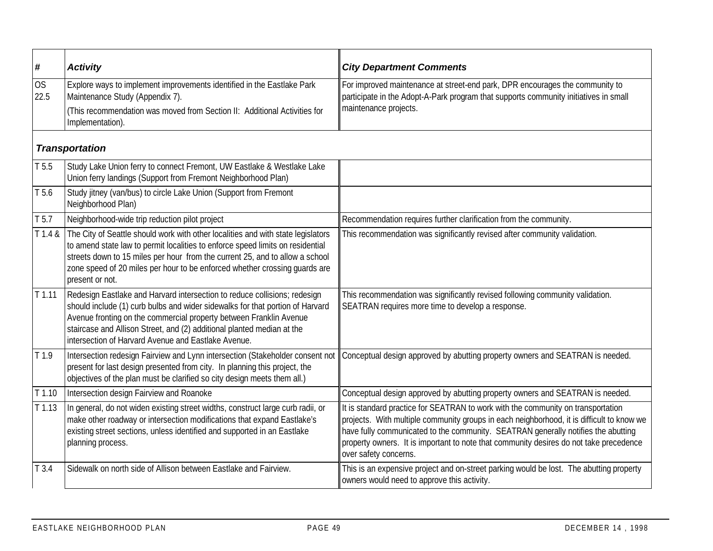| #                 | <b>Activity</b>                                                                                                                                                                                                                                                                                                                                                   | <b>City Department Comments</b>                                                                                                                                                                                                                                                                                                                                                       |
|-------------------|-------------------------------------------------------------------------------------------------------------------------------------------------------------------------------------------------------------------------------------------------------------------------------------------------------------------------------------------------------------------|---------------------------------------------------------------------------------------------------------------------------------------------------------------------------------------------------------------------------------------------------------------------------------------------------------------------------------------------------------------------------------------|
| <b>OS</b><br>22.5 | Explore ways to implement improvements identified in the Eastlake Park<br>Maintenance Study (Appendix 7).<br>(This recommendation was moved from Section II: Additional Activities for<br>Implementation).                                                                                                                                                        | For improved maintenance at street-end park, DPR encourages the community to<br>participate in the Adopt-A-Park program that supports community initiatives in small<br>maintenance projects.                                                                                                                                                                                         |
|                   | <b>Transportation</b>                                                                                                                                                                                                                                                                                                                                             |                                                                                                                                                                                                                                                                                                                                                                                       |
| T 5.5             | Study Lake Union ferry to connect Fremont, UW Eastlake & Westlake Lake<br>Union ferry landings (Support from Fremont Neighborhood Plan)                                                                                                                                                                                                                           |                                                                                                                                                                                                                                                                                                                                                                                       |
| T 5.6             | Study jitney (van/bus) to circle Lake Union (Support from Fremont<br>Neighborhood Plan)                                                                                                                                                                                                                                                                           |                                                                                                                                                                                                                                                                                                                                                                                       |
| T 5.7             | Neighborhood-wide trip reduction pilot project                                                                                                                                                                                                                                                                                                                    | Recommendation requires further clarification from the community.                                                                                                                                                                                                                                                                                                                     |
| T 1.4 &           | The City of Seattle should work with other localities and with state legislators<br>to amend state law to permit localities to enforce speed limits on residential<br>streets down to 15 miles per hour from the current 25, and to allow a school<br>zone speed of 20 miles per hour to be enforced whether crossing guards are<br>present or not.               | This recommendation was significantly revised after community validation.                                                                                                                                                                                                                                                                                                             |
| $T$ 1.11          | Redesign Eastlake and Harvard intersection to reduce collisions; redesign<br>should include (1) curb bulbs and wider sidewalks for that portion of Harvard<br>Avenue fronting on the commercial property between Franklin Avenue<br>staircase and Allison Street, and (2) additional planted median at the<br>intersection of Harvard Avenue and Eastlake Avenue. | This recommendation was significantly revised following community validation.<br>SEATRAN requires more time to develop a response.                                                                                                                                                                                                                                                    |
| T <sub>1.9</sub>  | Intersection redesign Fairview and Lynn intersection (Stakeholder consent not<br>present for last design presented from city. In planning this project, the<br>objectives of the plan must be clarified so city design meets them all.)                                                                                                                           | Conceptual design approved by abutting property owners and SEATRAN is needed.                                                                                                                                                                                                                                                                                                         |
| $T$ 1.10          | Intersection design Fairview and Roanoke                                                                                                                                                                                                                                                                                                                          | Conceptual design approved by abutting property owners and SEATRAN is needed.                                                                                                                                                                                                                                                                                                         |
| T1.13             | In general, do not widen existing street widths, construct large curb radii, or<br>make other roadway or intersection modifications that expand Eastlake's<br>existing street sections, unless identified and supported in an Eastlake<br>planning process.                                                                                                       | It is standard practice for SEATRAN to work with the community on transportation<br>projects. With multiple community groups in each neighborhood, it is difficult to know we<br>have fully communicated to the community. SEATRAN generally notifies the abutting<br>property owners. It is important to note that community desires do not take precedence<br>over safety concerns. |
| T3.4              | Sidewalk on north side of Allison between Eastlake and Fairview.                                                                                                                                                                                                                                                                                                  | This is an expensive project and on-street parking would be lost. The abutting property<br>owners would need to approve this activity.                                                                                                                                                                                                                                                |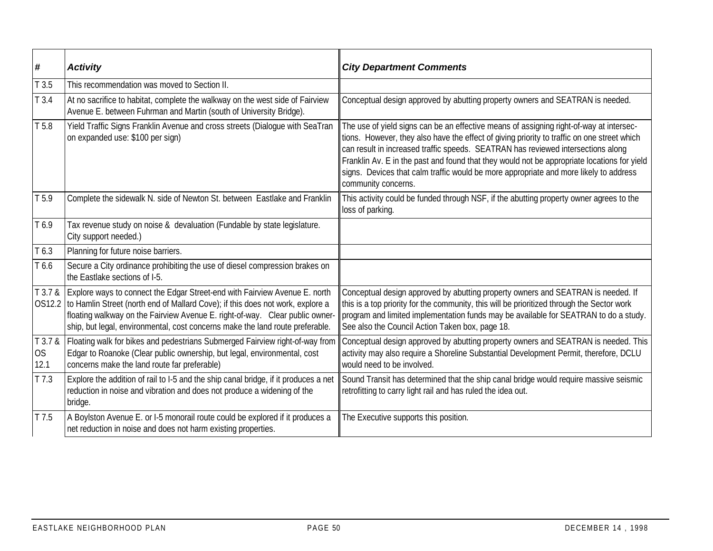| #                     | <b>Activity</b>                                                                                                                                                                                                                                                                                                               | <b>City Department Comments</b>                                                                                                                                                                                                                                                                                                                                                                                                                                                           |
|-----------------------|-------------------------------------------------------------------------------------------------------------------------------------------------------------------------------------------------------------------------------------------------------------------------------------------------------------------------------|-------------------------------------------------------------------------------------------------------------------------------------------------------------------------------------------------------------------------------------------------------------------------------------------------------------------------------------------------------------------------------------------------------------------------------------------------------------------------------------------|
| T3.5                  | This recommendation was moved to Section II.                                                                                                                                                                                                                                                                                  |                                                                                                                                                                                                                                                                                                                                                                                                                                                                                           |
| T3.4                  | At no sacrifice to habitat, complete the walkway on the west side of Fairview<br>Avenue E. between Fuhrman and Martin (south of University Bridge).                                                                                                                                                                           | Conceptual design approved by abutting property owners and SEATRAN is needed.                                                                                                                                                                                                                                                                                                                                                                                                             |
| T <sub>5.8</sub>      | Yield Traffic Signs Franklin Avenue and cross streets (Dialogue with SeaTran<br>on expanded use: \$100 per sign)                                                                                                                                                                                                              | The use of yield signs can be an effective means of assigning right-of-way at intersec-<br>tions. However, they also have the effect of giving priority to traffic on one street which<br>can result in increased traffic speeds. SEATRAN has reviewed intersections along<br>Franklin Av. E in the past and found that they would not be appropriate locations for yield<br>signs. Devices that calm traffic would be more appropriate and more likely to address<br>community concerns. |
| T <sub>5.9</sub>      | Complete the sidewalk N. side of Newton St. between Eastlake and Franklin                                                                                                                                                                                                                                                     | This activity could be funded through NSF, if the abutting property owner agrees to the<br>loss of parking.                                                                                                                                                                                                                                                                                                                                                                               |
| T <sub>6.9</sub>      | Tax revenue study on noise & devaluation (Fundable by state legislature.<br>City support needed.)                                                                                                                                                                                                                             |                                                                                                                                                                                                                                                                                                                                                                                                                                                                                           |
| T <sub>6.3</sub>      | Planning for future noise barriers.                                                                                                                                                                                                                                                                                           |                                                                                                                                                                                                                                                                                                                                                                                                                                                                                           |
| T6.6                  | Secure a City ordinance prohibiting the use of diesel compression brakes on<br>the Eastlake sections of I-5.                                                                                                                                                                                                                  |                                                                                                                                                                                                                                                                                                                                                                                                                                                                                           |
| T 3.7 &<br>OS12.2     | Explore ways to connect the Edgar Street-end with Fairview Avenue E. north<br>to Hamlin Street (north end of Mallard Cove); if this does not work, explore a<br>floating walkway on the Fairview Avenue E. right-of-way. Clear public owner-<br>ship, but legal, environmental, cost concerns make the land route preferable. | Conceptual design approved by abutting property owners and SEATRAN is needed. If<br>this is a top priority for the community, this will be prioritized through the Sector work<br>program and limited implementation funds may be available for SEATRAN to do a study.<br>See also the Council Action Taken box, page 18.                                                                                                                                                                 |
| T 3.7 &<br>OS<br>12.1 | Floating walk for bikes and pedestrians Submerged Fairview right-of-way from<br>Edgar to Roanoke (Clear public ownership, but legal, environmental, cost<br>concerns make the land route far preferable)                                                                                                                      | Conceptual design approved by abutting property owners and SEATRAN is needed. This<br>activity may also require a Shoreline Substantial Development Permit, therefore, DCLU<br>would need to be involved.                                                                                                                                                                                                                                                                                 |
| T 7.3                 | Explore the addition of rail to I-5 and the ship canal bridge, if it produces a net<br>reduction in noise and vibration and does not produce a widening of the<br>bridge.                                                                                                                                                     | Sound Transit has determined that the ship canal bridge would require massive seismic<br>retrofitting to carry light rail and has ruled the idea out.                                                                                                                                                                                                                                                                                                                                     |
| T 7.5                 | A Boylston Avenue E. or I-5 monorail route could be explored if it produces a<br>net reduction in noise and does not harm existing properties.                                                                                                                                                                                | The Executive supports this position.                                                                                                                                                                                                                                                                                                                                                                                                                                                     |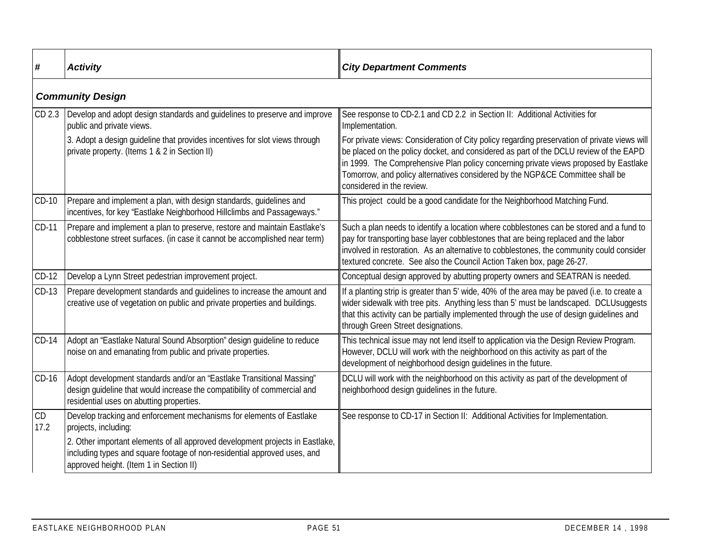| #          | <b>Activity</b>                                                                                                                                                                                      | <b>City Department Comments</b>                                                                                                                                                                                                                                                                                                                                                             |
|------------|------------------------------------------------------------------------------------------------------------------------------------------------------------------------------------------------------|---------------------------------------------------------------------------------------------------------------------------------------------------------------------------------------------------------------------------------------------------------------------------------------------------------------------------------------------------------------------------------------------|
|            | <b>Community Design</b>                                                                                                                                                                              |                                                                                                                                                                                                                                                                                                                                                                                             |
| CD 2.3     | Develop and adopt design standards and guidelines to preserve and improve<br>public and private views.                                                                                               | See response to CD-2.1 and CD 2.2 in Section II: Additional Activities for<br>Implementation.                                                                                                                                                                                                                                                                                               |
|            | 3. Adopt a design guideline that provides incentives for slot views through<br>private property. (Items 1 & 2 in Section II)                                                                         | For private views: Consideration of City policy regarding preservation of private views will<br>be placed on the policy docket, and considered as part of the DCLU review of the EAPD<br>in 1999. The Comprehensive Plan policy concerning private views proposed by Eastlake<br>Tomorrow, and policy alternatives considered by the NGP&CE Committee shall be<br>considered in the review. |
| $CD-10$    | Prepare and implement a plan, with design standards, guidelines and<br>incentives, for key "Eastlake Neighborhood Hillclimbs and Passageways."                                                       | This project could be a good candidate for the Neighborhood Matching Fund.                                                                                                                                                                                                                                                                                                                  |
| CD-11      | Prepare and implement a plan to preserve, restore and maintain Eastlake's<br>cobblestone street surfaces. (in case it cannot be accomplished near term)                                              | Such a plan needs to identify a location where cobblestones can be stored and a fund to<br>pay for transporting base layer cobblestones that are being replaced and the labor<br>involved in restoration. As an alternative to cobblestones, the community could consider<br>textured concrete. See also the Council Action Taken box, page 26-27.                                          |
| $CD-12$    | Develop a Lynn Street pedestrian improvement project.                                                                                                                                                | Conceptual design approved by abutting property owners and SEATRAN is needed.                                                                                                                                                                                                                                                                                                               |
| $CD-13$    | Prepare development standards and quidelines to increase the amount and<br>creative use of vegetation on public and private properties and buildings.                                                | If a planting strip is greater than 5' wide, 40% of the area may be paved (i.e. to create a<br>wider sidewalk with tree pits. Anything less than 5' must be landscaped. DCLUsuggests<br>that this activity can be partially implemented through the use of design guidelines and<br>through Green Street designations.                                                                      |
| $CD-14$    | Adopt an "Eastlake Natural Sound Absorption" design guideline to reduce<br>noise on and emanating from public and private properties.                                                                | This technical issue may not lend itself to application via the Design Review Program.<br>However, DCLU will work with the neighborhood on this activity as part of the<br>development of neighborhood design guidelines in the future.                                                                                                                                                     |
| $CD-16$    | Adopt development standards and/or an "Eastlake Transitional Massing"<br>design guideline that would increase the compatibility of commercial and<br>residential uses on abutting properties.        | DCLU will work with the neighborhood on this activity as part of the development of<br>neighborhood design guidelines in the future.                                                                                                                                                                                                                                                        |
| CD<br>17.2 | Develop tracking and enforcement mechanisms for elements of Eastlake<br>projects, including:                                                                                                         | See response to CD-17 in Section II: Additional Activities for Implementation.                                                                                                                                                                                                                                                                                                              |
|            | 2. Other important elements of all approved development projects in Eastlake,<br>including types and square footage of non-residential approved uses, and<br>approved height. (Item 1 in Section II) |                                                                                                                                                                                                                                                                                                                                                                                             |